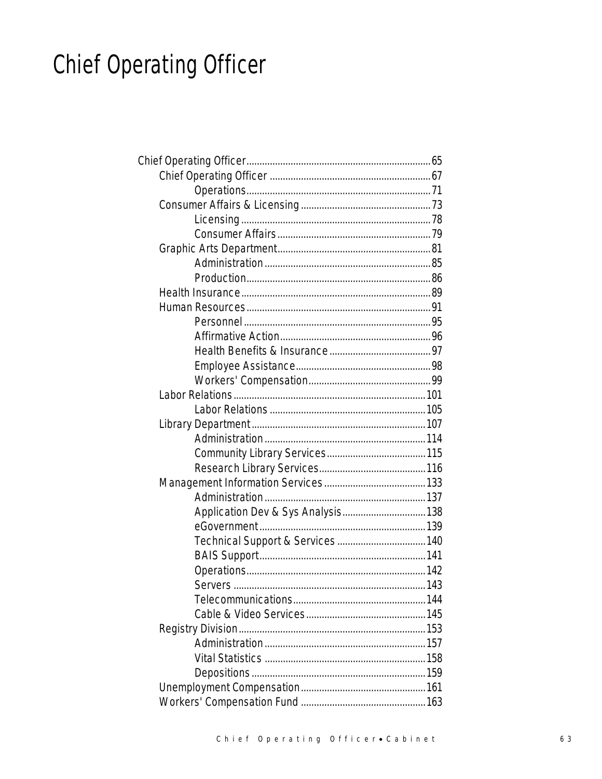# **Chief Operating Officer**

| Application Dev & Sys Analysis 138 |  |
|------------------------------------|--|
|                                    |  |
| Technical Support & Services  140  |  |
|                                    |  |
|                                    |  |
|                                    |  |
|                                    |  |
|                                    |  |
|                                    |  |
|                                    |  |
|                                    |  |
|                                    |  |
|                                    |  |
|                                    |  |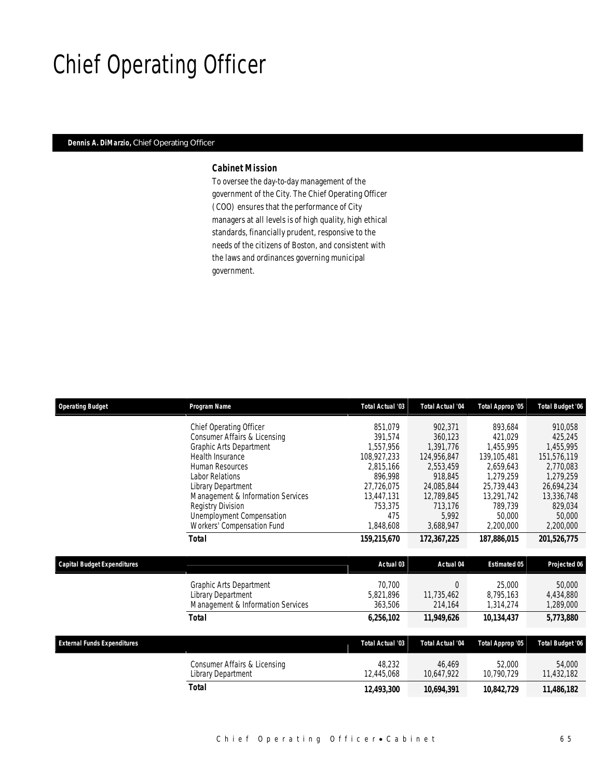# Chief Operating Officer

#### *Dennis A. DiMarzio, Chief Operating Officer*

#### *Cabinet Mission*

To oversee the day-to-day management of the government of the City. The Chief Operating Officer (COO) ensures that the performance of City managers at all levels is of high quality, high ethical standards, financially prudent, responsive to the needs of the citizens of Boston, and consistent with the laws and ordinances governing municipal government.

| <b>Operating Budget</b>            | Program Name                      | Total Actual '03 | <b>Total Actual '04</b> | Total Approp '05    | Total Budget '06        |
|------------------------------------|-----------------------------------|------------------|-------------------------|---------------------|-------------------------|
|                                    | Chief Operating Officer           | 851,079          | 902,371                 | 893,684             | 910,058                 |
|                                    | Consumer Affairs & Licensing      | 391,574          | 360,123                 | 421.029             | 425,245                 |
|                                    | Graphic Arts Department           | 1,557,956        | 1,391,776               | 1,455,995           | 1,455,995               |
|                                    | Health Insurance                  | 108,927,233      | 124,956,847             | 139,105,481         | 151,576,119             |
|                                    | Human Resources                   | 2,815,166        | 2,553,459               | 2,659,643           | 2,770,083               |
|                                    | <b>Labor Relations</b>            | 896.998          | 918,845                 | 1,279,259           | 1.279.259               |
|                                    | Library Department                | 27,726,075       | 24,085,844              | 25,739,443          | 26,694,234              |
|                                    | Management & Information Services | 13,447,131       | 12,789,845              | 13,291,742          | 13,336,748              |
|                                    | <b>Registry Division</b>          | 753,375          | 713,176                 | 789,739             | 829,034                 |
|                                    | Unemployment Compensation         | 475              | 5,992                   | 50,000              | 50,000                  |
|                                    | Workers' Compensation Fund        | 1,848,608        | 3,688,947               | 2,200,000           | 2,200,000               |
|                                    | <b>Total</b>                      | 159,215,670      | 172,367,225             | 187,886,015         | 201,526,775             |
| <b>Capital Budget Expenditures</b> |                                   | Actual 03        | Actual 04               | <b>Estimated 05</b> | Projected 06            |
|                                    |                                   |                  |                         |                     |                         |
|                                    | Graphic Arts Department           | 70,700           | $\Omega$                | 25,000              | 50,000                  |
|                                    | <b>Library Department</b>         | 5,821,896        | 11,735,462              | 8,795,163           | 4,434,880               |
|                                    | Management & Information Services | 363,506          | 214,164                 | 1,314,274           | 1,289,000               |
|                                    | <b>Total</b>                      | 6,256,102        | 11,949,626              | 10,134,437          | 5,773,880               |
|                                    |                                   |                  |                         |                     |                         |
| <b>External Funds Expenditures</b> |                                   | Total Actual '03 | <b>Total Actual '04</b> | Total Approp '05    | <b>Total Budget '06</b> |
|                                    | Consumer Affairs & Licensing      | 48,232           | 46.469                  | 52,000              | 54,000                  |
|                                    | Library Department                | 12,445,068       | 10,647,922              | 10,790,729          | 11,432,182              |
|                                    | <b>Total</b>                      |                  |                         |                     |                         |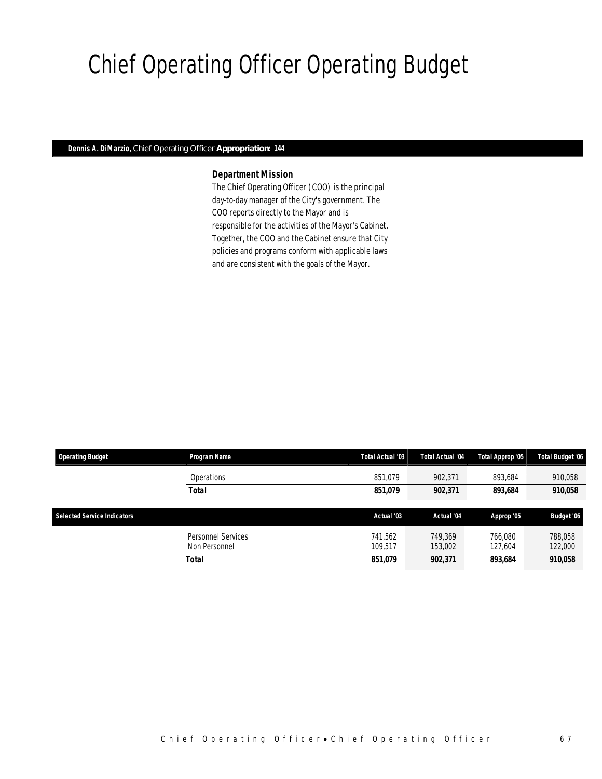# Chief Operating Officer Operating Budget

### *Dennis A. DiMarzio, Chief Operating Officer Appropriation: 144*

## *Department Mission*

The Chief Operating Officer (COO) is the principal day-to-day manager of the City's government. The COO reports directly to the Mayor and is responsible for the activities of the Mayor's Cabinet. Together, the COO and the Cabinet ensure that City policies and programs conform with applicable laws and are consistent with the goals of the Mayor.

| <b>Operating Budget</b>            | Program Name                               | Total Actual '03   | Total Actual '04   | Total Approp '05   | <b>Total Budget '06</b> |
|------------------------------------|--------------------------------------------|--------------------|--------------------|--------------------|-------------------------|
|                                    | <b>Operations</b>                          | 851.079            | 902,371            | 893.684            | 910,058                 |
|                                    | Total                                      | 851,079            | 902,371            | 893,684            | 910,058                 |
|                                    |                                            |                    |                    |                    |                         |
| <b>Selected Service Indicators</b> |                                            | Actual '03         | Actual '04         | Approp '05         | Budget '06              |
|                                    | <b>Personnel Services</b><br>Non Personnel | 741.562<br>109.517 | 749.369<br>153,002 | 766.080<br>127.604 | 788,058<br>122,000      |
|                                    | Total                                      | 851,079            | 902,371            | 893,684            | 910,058                 |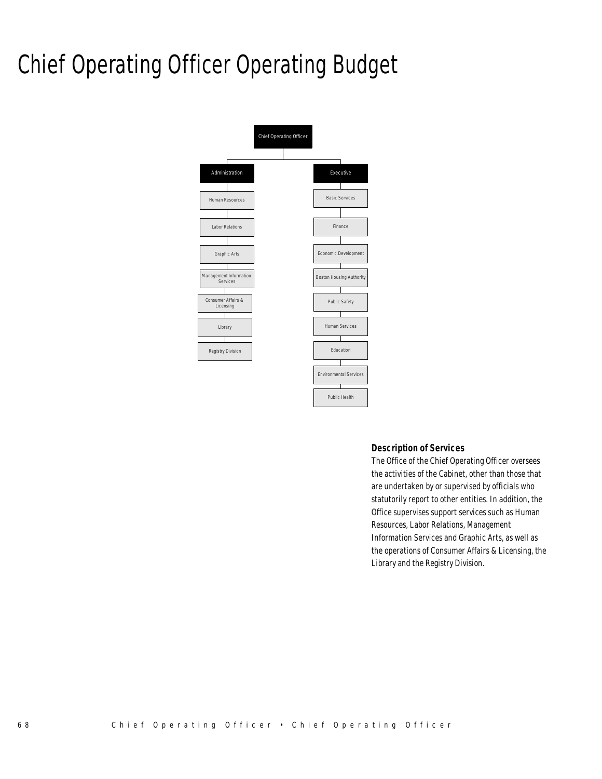# Chief Operating Officer Operating Budget



#### *Description of Services*

The Office of the Chief Operating Officer oversees the activities of the Cabinet, other than those that are undertaken by or supervised by officials who statutorily report to other entities. In addition, the Office supervises support services such as Human Resources, Labor Relations, Management Information Services and Graphic Arts, as well as the operations of Consumer Affairs & Licensing, the Library and the Registry Division.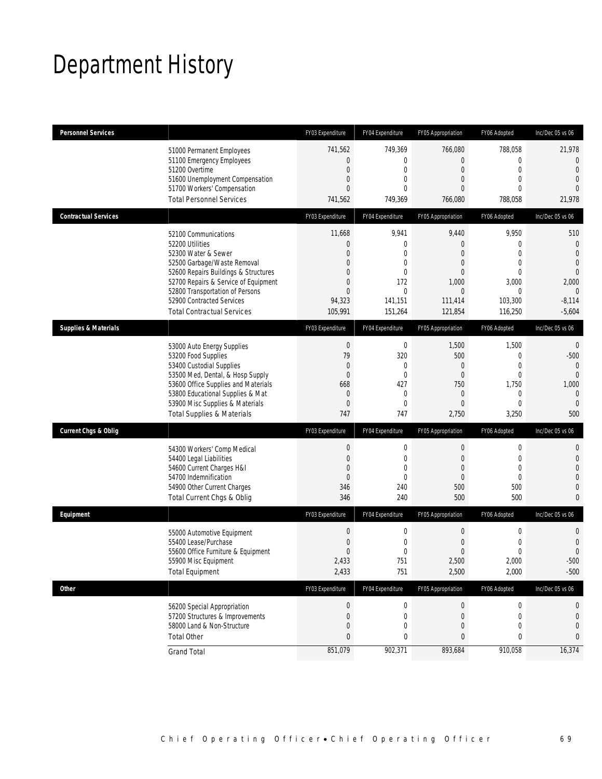# Department History

| <b>Personnel Services</b>       |                                                                                                                                                                                                                                                                                    | FY03 Expenditure                                                                                               | FY04 Expenditure                                                                                                   | FY05 Appropriation                                                                                          | FY06 Adopted                                                                                     | Inc/Dec 05 vs 06                                                                                               |
|---------------------------------|------------------------------------------------------------------------------------------------------------------------------------------------------------------------------------------------------------------------------------------------------------------------------------|----------------------------------------------------------------------------------------------------------------|--------------------------------------------------------------------------------------------------------------------|-------------------------------------------------------------------------------------------------------------|--------------------------------------------------------------------------------------------------|----------------------------------------------------------------------------------------------------------------|
|                                 | 51000 Permanent Employees<br>51100 Emergency Employees<br>51200 Overtime<br>51600 Unemployment Compensation<br>51700 Workers' Compensation                                                                                                                                         | 741,562<br>0<br>$\overline{0}$<br>$\overline{0}$<br>$\Omega$                                                   | 749,369<br>$\mathbf{0}$<br>$\mathbf{0}$<br>$\mathbf{0}$<br>$\theta$                                                | 766.080<br>$\Omega$<br>$\overline{0}$<br>$\overline{0}$<br>$\Omega$                                         | 788,058<br>$\Omega$<br>$\Omega$<br>$\Omega$<br>$\Omega$                                          | 21,978<br>$\theta$<br>$\mathbf{0}$<br>$\theta$<br>$\theta$                                                     |
|                                 | <b>Total Personnel Services</b>                                                                                                                                                                                                                                                    | 741,562                                                                                                        | 749,369                                                                                                            | 766,080                                                                                                     | 788,058                                                                                          | 21,978                                                                                                         |
| <b>Contractual Services</b>     |                                                                                                                                                                                                                                                                                    | FY03 Expenditure                                                                                               | FY04 Expenditure                                                                                                   | FY05 Appropriation                                                                                          | FY06 Adopted                                                                                     | Inc/Dec 05 vs 06                                                                                               |
|                                 | 52100 Communications<br>52200 Utilities<br>52300 Water & Sewer<br>52500 Garbage/Waste Removal<br>52600 Repairs Buildings & Structures<br>52700 Repairs & Service of Equipment<br>52800 Transportation of Persons<br>52900 Contracted Services<br><b>Total Contractual Services</b> | 11,668<br>0<br>$\Omega$<br>$\overline{0}$<br>$\Omega$<br>$\overline{0}$<br>$\overline{0}$<br>94,323<br>105,991 | 9,941<br>$\mathbf{0}$<br>$\mathbf{0}$<br>$\mathbf{0}$<br>$\mathbf{0}$<br>172<br>$\mathbf{0}$<br>141,151<br>151,264 | 9,440<br>$\overline{0}$<br>$\overline{0}$<br>$\overline{0}$<br>$\Omega$<br>1,000<br>0<br>111,414<br>121,854 | 9,950<br>$\Omega$<br>$\Omega$<br>$\Omega$<br>$\Omega$<br>3,000<br>$\Omega$<br>103,300<br>116,250 | 510<br>$\theta$<br>$\mathbf{0}$<br>$\mathbf{0}$<br>$\theta$<br>2,000<br>$\overline{0}$<br>$-8,114$<br>$-5,604$ |
| <b>Supplies &amp; Materials</b> |                                                                                                                                                                                                                                                                                    | FY03 Expenditure                                                                                               | FY04 Expenditure                                                                                                   | FY05 Appropriation                                                                                          | FY06 Adopted                                                                                     | Inc/Dec 05 vs 06                                                                                               |
|                                 | 53000 Auto Energy Supplies<br>53200 Food Supplies<br>53400 Custodial Supplies<br>53500 Med, Dental, & Hosp Supply<br>53600 Office Supplies and Materials<br>53800 Educational Supplies & Mat<br>53900 Misc Supplies & Materials<br><b>Total Supplies &amp; Materials</b>           | $\boldsymbol{0}$<br>79<br>$\mathbf{0}$<br>$\mathbf{0}$<br>668<br>$\mathbf{0}$<br>$\mathbf{0}$<br>747           | $\bf 0$<br>320<br>$\mathbf{0}$<br>$\mathbf{0}$<br>427<br>$\mathbf 0$<br>$\mathbf{0}$<br>747                        | 1,500<br>500<br>$\overline{0}$<br>$\mathbf{0}$<br>750<br>$\theta$<br>$\overline{0}$<br>2,750                | 1,500<br>$\mathbf{0}$<br>$\Omega$<br>$\Omega$<br>1,750<br>$\mathbf{0}$<br>$\Omega$<br>3,250      | $\mathbf 0$<br>$-500$<br>$\mathbf{0}$<br>$\mathbf{0}$<br>1,000<br>$\theta$<br>$\overline{0}$<br>500            |
| <b>Current Chgs &amp; Oblig</b> |                                                                                                                                                                                                                                                                                    | FY03 Expenditure                                                                                               | FY04 Expenditure                                                                                                   | FY05 Appropriation                                                                                          | FY06 Adopted                                                                                     | Inc/Dec 05 vs 06                                                                                               |
|                                 | 54300 Workers' Comp Medical<br>54400 Legal Liabilities<br>54600 Current Charges H&I<br>54700 Indemnification<br>54900 Other Current Charges<br>Total Current Chgs & Oblig                                                                                                          | 0<br>$\mathbf 0$<br>$\overline{0}$<br>$\Omega$<br>346<br>346                                                   | $\mathbf 0$<br>$\mathbf 0$<br>$\mathbf{0}$<br>$\mathbf{0}$<br>240<br>240                                           | $\theta$<br>$\theta$<br>$\overline{0}$<br>$\theta$<br>500<br>500                                            | $\mathbf{0}$<br>$\mathbf 0$<br>$\overline{0}$<br>$\theta$<br>500<br>500                          | $\mathbf{0}$<br>$\mathbf 0$<br>$\boldsymbol{0}$<br>$\Omega$<br>$\theta$<br>$\mathbf{0}$                        |
| Equipment                       |                                                                                                                                                                                                                                                                                    | FY03 Expenditure                                                                                               | FY04 Expenditure                                                                                                   | FY05 Appropriation                                                                                          | FY06 Adopted                                                                                     | Inc/Dec 05 vs 06                                                                                               |
|                                 | 55000 Automotive Equipment<br>55400 Lease/Purchase<br>55600 Office Furniture & Equipment<br>55900 Misc Equipment<br><b>Total Equipment</b>                                                                                                                                         | $\mathbf 0$<br>$\overline{0}$<br>$\mathbf 0$<br>2,433<br>2,433                                                 | $\mathbf 0$<br>$\mathbf{0}$<br>$\mathbf{0}$<br>751<br>751                                                          | $\theta$<br>$\theta$<br>0<br>2,500<br>2,500                                                                 | $\mathbf 0$<br>$\Omega$<br>0<br>2,000<br>2,000                                                   | 0<br>$\overline{0}$<br>$\mathbf 0$<br>$-500$<br>$-500$                                                         |
| <b>Other</b>                    |                                                                                                                                                                                                                                                                                    | FY03 Expenditure                                                                                               | FY04 Expenditure                                                                                                   | FY05 Appropriation                                                                                          | FY06 Adopted                                                                                     | Inc/Dec 05 vs 06                                                                                               |
|                                 | 56200 Special Appropriation<br>57200 Structures & Improvements<br>58000 Land & Non-Structure<br><b>Total Other</b>                                                                                                                                                                 | $\boldsymbol{0}$<br>0<br>0<br>0                                                                                | $\boldsymbol{0}$<br>$\mathbf 0$<br>$\mathbf 0$<br>0                                                                | $\theta$<br>0<br>0<br>0                                                                                     | 0<br>0<br>0<br>0                                                                                 | 0<br>$\theta$<br>0<br>0                                                                                        |
|                                 | <b>Grand Total</b>                                                                                                                                                                                                                                                                 | 851,079                                                                                                        | 902,371                                                                                                            | 893,684                                                                                                     | 910,058                                                                                          | 16,374                                                                                                         |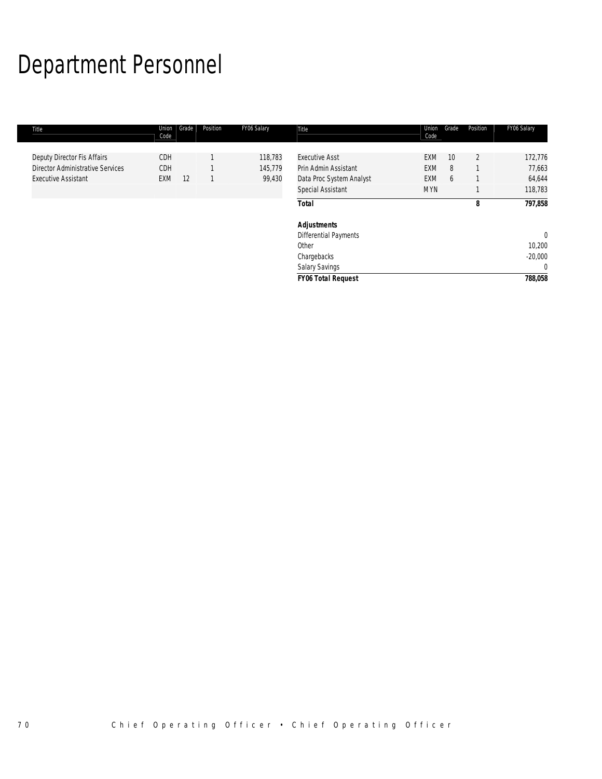# Department Personnel

| Title                                                                                                | Union<br>Code            | Grade | Position | FY06 Salary                  | Title                                                                                                          | Union<br>Code                                 | Grade        | Position | FY06 Salary                            |
|------------------------------------------------------------------------------------------------------|--------------------------|-------|----------|------------------------------|----------------------------------------------------------------------------------------------------------------|-----------------------------------------------|--------------|----------|----------------------------------------|
| Deputy Director Fis Affairs<br><b>Director Administrative Services</b><br><b>Executive Assistant</b> | CDH<br>CDH<br><b>EXM</b> | 12    |          | 118,783<br>145,779<br>99,430 | <b>Executive Asst</b><br>Prin Admin Assistant<br>Data Proc System Analyst<br>Special Assistant<br><b>Total</b> | <b>EXM</b><br>EXM<br><b>EXM</b><br><b>MYN</b> | 10<br>8<br>6 | 2<br>8   | 172,776<br>77,663<br>64,644<br>118,783 |
|                                                                                                      |                          |       |          |                              | <b>Adjustments</b><br><b>Differential Payments</b><br>Other                                                    |                                               |              |          | 797,858<br>$\mathbf 0$<br>10,200       |
|                                                                                                      |                          |       |          |                              | Chargebacks<br>Salary Savings<br><b>FY06 Total Request</b>                                                     |                                               |              |          | $-20,000$<br>$\Omega$<br>788,058       |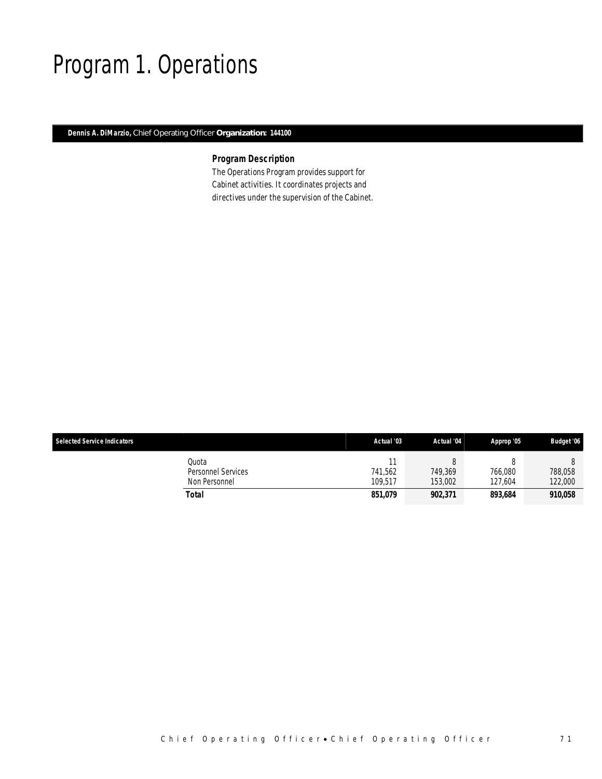# Program 1. Operations

*Dennis A. DiMarzio, Chief Operating Officer Organization: 144100* 

## *Program Description*

The Operations Program provides support for Cabinet activities. It coordinates projects and directives under the supervision of the Cabinet.

| <b>Selected Service Indicators</b> |                                              | Actual '03         | Actual '04         | Approp '05         | <b>Budget '06</b>  |
|------------------------------------|----------------------------------------------|--------------------|--------------------|--------------------|--------------------|
|                                    | Quota<br>Personnel Services<br>Non Personnel | 741.562<br>109.517 | 749.369<br>153,002 | 766.080<br>127.604 | 788,058<br>122,000 |
|                                    | Total                                        | 851,079            | 902,371            | 893.684            | 910,058            |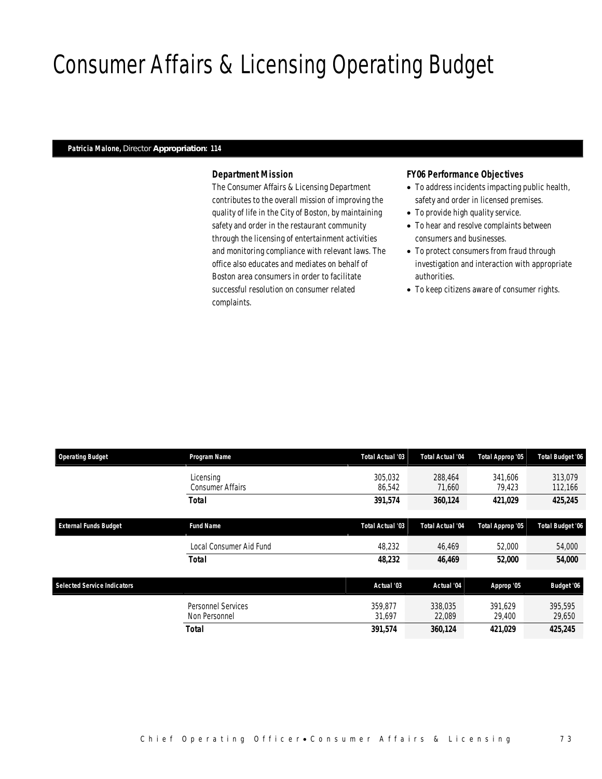# Consumer Affairs & Licensing Operating Budget

#### *Patricia Malone, Director Appropriation: 114*

### *Department Mission*

The Consumer Affairs & Licensing Department contributes to the overall mission of improving the quality of life in the City of Boston, by maintaining safety and order in the restaurant community through the licensing of entertainment activities and monitoring compliance with relevant laws. The office also educates and mediates on behalf of Boston area consumers in order to facilitate successful resolution on consumer related complaints.

#### *FY06 Performance Objectives*

- To address incidents impacting public health, safety and order in licensed premises.
- To provide high quality service.
- To hear and resolve complaints between consumers and businesses.
- To protect consumers from fraud through investigation and interaction with appropriate authorities.
- To keep citizens aware of consumer rights.

| <b>Operating Budget</b>            | Program Name                         | Total Actual '03  | Total Actual '04        | Total Approp '05  | Total Budget '06   |
|------------------------------------|--------------------------------------|-------------------|-------------------------|-------------------|--------------------|
|                                    | Licensing<br><b>Consumer Affairs</b> | 305,032<br>86,542 | 288,464<br>71,660       | 341.606<br>79,423 | 313.079<br>112,166 |
|                                    | <b>Total</b>                         | 391,574           | 360,124                 | 421,029           | 425,245            |
| <b>External Funds Budget</b>       | <b>Fund Name</b>                     | Total Actual '03  | <b>Total Actual '04</b> | Total Approp '05  | Total Budget '06   |
|                                    | Local Consumer Aid Fund              | 48,232            | 46,469                  | 52,000            | 54,000             |
|                                    | <b>Total</b>                         | 48,232            | 46,469                  | 52,000            | 54,000             |
| <b>Selected Service Indicators</b> |                                      | Actual '03        | Actual '04              | Approp '05        | Budget '06         |
|                                    | Personnel Services<br>Non Personnel  | 359.877<br>31.697 | 338.035<br>22,089       | 391.629<br>29,400 | 395.595<br>29,650  |
|                                    | <b>Total</b>                         | 391,574           | 360,124                 | 421,029           | 425,245            |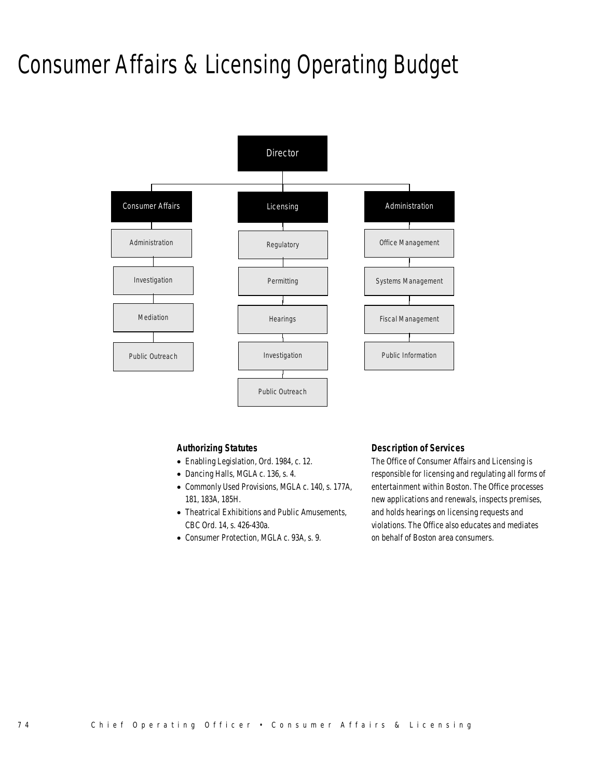# Consumer Affairs & Licensing Operating Budget



### *Authorizing Statutes*

- Enabling Legislation, Ord. 1984, c. 12.
- Dancing Halls, MGLA c. 136, s. 4.
- Commonly Used Provisions, MGLA c. 140, s. 177A, 181, 183A, 185H.
- Theatrical Exhibitions and Public Amusements, CBC Ord. 14, s. 426-430a.
- Consumer Protection, MGLA c. 93A, s. 9.

### *Description of Services*

The Office of Consumer Affairs and Licensing is responsible for licensing and regulating all forms of entertainment within Boston. The Office processes new applications and renewals, inspects premises, and holds hearings on licensing requests and violations. The Office also educates and mediates on behalf of Boston area consumers.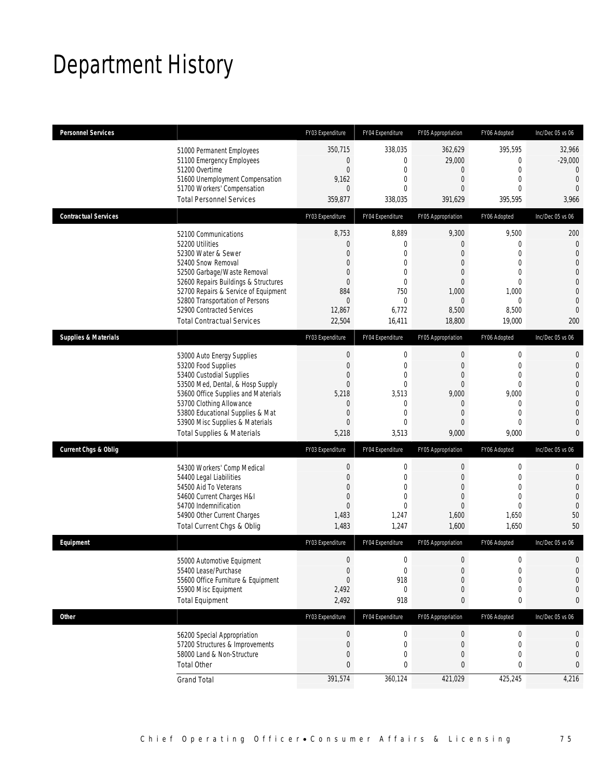# Department History

| <b>Personnel Services</b>       |                                                                                                                                                                                                                                                                                                          | FY03 Expenditure                                                                                                                   | FY04 Expenditure                                                                                                               | FY05 Appropriation                                                                                                                     | FY06 Adopted                                                                                                        | Inc/Dec $05$ vs $06$                                                                                                                 |
|---------------------------------|----------------------------------------------------------------------------------------------------------------------------------------------------------------------------------------------------------------------------------------------------------------------------------------------------------|------------------------------------------------------------------------------------------------------------------------------------|--------------------------------------------------------------------------------------------------------------------------------|----------------------------------------------------------------------------------------------------------------------------------------|---------------------------------------------------------------------------------------------------------------------|--------------------------------------------------------------------------------------------------------------------------------------|
|                                 | 51000 Permanent Employees<br>51100 Emergency Employees<br>51200 Overtime<br>51600 Unemployment Compensation<br>51700 Workers' Compensation<br><b>Total Personnel Services</b>                                                                                                                            | 350,715<br>0<br>$\overline{0}$<br>9,162<br>$\overline{0}$<br>359,877                                                               | 338,035<br>$\mathbf{0}$<br>$\mathbf{0}$<br>$\mathbf{0}$<br>$\overline{0}$<br>338,035                                           | 362.629<br>29,000<br>0<br>0<br>$\overline{0}$<br>391,629                                                                               | 395,595<br>0<br>$\mathbf{0}$<br>$\Omega$<br>$\Omega$<br>395,595                                                     | 32,966<br>$-29,000$<br>$\mathbf 0$<br>$\overline{0}$<br>$\mathbf{0}$<br>3,966                                                        |
| <b>Contractual Services</b>     |                                                                                                                                                                                                                                                                                                          | FY03 Expenditure                                                                                                                   | FY04 Expenditure                                                                                                               | FY05 Appropriation                                                                                                                     | FY06 Adopted                                                                                                        | Inc/Dec 05 vs 06                                                                                                                     |
|                                 | 52100 Communications<br>52200 Utilities<br>52300 Water & Sewer<br>52400 Snow Removal<br>52500 Garbage/Waste Removal<br>52600 Repairs Buildings & Structures<br>52700 Repairs & Service of Equipment<br>52800 Transportation of Persons<br>52900 Contracted Services<br><b>Total Contractual Services</b> | 8,753<br>0<br>$\Omega$<br>$\overline{0}$<br>$\Omega$<br>$\overline{0}$<br>884<br>$\overline{0}$<br>12,867<br>22,504                | 8,889<br>$\mathbf 0$<br>$\mathbf{0}$<br>$\mathbf{0}$<br>$\mathbf{0}$<br>$\mathbf{0}$<br>750<br>$\mathbf{0}$<br>6,772<br>16,411 | 9,300<br>0<br>$\overline{0}$<br>$\overline{0}$<br>0<br>0<br>1,000<br>$\overline{0}$<br>8,500<br>18,800                                 | 9,500<br>0<br>$\Omega$<br>$\overline{0}$<br>$\Omega$<br>$\Omega$<br>1,000<br>$\Omega$<br>8,500<br>19,000            | 200<br>$\theta$<br>$\mathbf{0}$<br>$\mathbf 0$<br>$\theta$<br>$\mathbf 0$<br>$\mathbf 0$<br>$\mathbf{0}$<br>$\theta$<br>200          |
| <b>Supplies &amp; Materials</b> |                                                                                                                                                                                                                                                                                                          | FY03 Expenditure                                                                                                                   | FY04 Expenditure                                                                                                               | FY05 Appropriation                                                                                                                     | FY06 Adopted                                                                                                        | Inc/Dec 05 vs 06                                                                                                                     |
|                                 | 53000 Auto Energy Supplies<br>53200 Food Supplies<br>53400 Custodial Supplies<br>53500 Med, Dental, & Hosp Supply<br>53600 Office Supplies and Materials<br>53700 Clothing Allowance<br>53800 Educational Supplies & Mat<br>53900 Misc Supplies & Materials<br><b>Total Supplies &amp; Materials</b>     | $\mathbf 0$<br>$\overline{0}$<br>$\mathbf 0$<br>$\mathbf{0}$<br>5,218<br>$\mathbf{0}$<br>$\overline{0}$<br>$\overline{0}$<br>5,218 | $\mathbf 0$<br>$\mathbf 0$<br>$\mathbf 0$<br>$\mathbf{0}$<br>3,513<br>$\mathbf{0}$<br>$\mathbf{0}$<br>$\mathbf{0}$<br>3,513    | $\theta$<br>$\overline{0}$<br>$\overline{0}$<br>$\overline{0}$<br>9,000<br>$\overline{0}$<br>$\overline{0}$<br>$\overline{0}$<br>9,000 | $\mathbf 0$<br>$\mathbf{0}$<br>$\overline{0}$<br>$\Omega$<br>9,000<br>$\theta$<br>$\Omega$<br>$\mathbf{0}$<br>9,000 | 0<br>$\overline{0}$<br>$\boldsymbol{0}$<br>$\mathbf 0$<br>$\mathbf 0$<br>$\mathbf{0}$<br>$\mathbf{0}$<br>$\mathbf 0$<br>$\mathbf{0}$ |
| <b>Current Chgs &amp; Oblig</b> |                                                                                                                                                                                                                                                                                                          | FY03 Expenditure                                                                                                                   | FY04 Expenditure                                                                                                               | FY05 Appropriation                                                                                                                     | FY06 Adopted                                                                                                        | Inc/Dec 05 vs 06                                                                                                                     |
|                                 | 54300 Workers' Comp Medical<br>54400 Legal Liabilities<br>54500 Aid To Veterans<br>54600 Current Charges H&I<br>54700 Indemnification<br>54900 Other Current Charges<br>Total Current Chgs & Oblig                                                                                                       | 0<br>$\overline{0}$<br>$\overline{0}$<br>$\mathbf{0}$<br>$\overline{0}$<br>1,483<br>1,483                                          | 0<br>$\mathbf{0}$<br>$\mathbf{0}$<br>$\mathbf{0}$<br>$\mathbf{0}$<br>1,247<br>1,247                                            | $\theta$<br>$\overline{0}$<br>$\overline{0}$<br>0<br>$\overline{0}$<br>1,600<br>1,600                                                  | $\mathbf 0$<br>$\mathbf{0}$<br>$\overline{0}$<br>$\mathbf{0}$<br>$\Omega$<br>1,650<br>1,650                         | 0<br>$\mathbf{0}$<br>$\boldsymbol{0}$<br>$\theta$<br>$\mathbf 0$<br>50<br>50                                                         |
| Equipment                       |                                                                                                                                                                                                                                                                                                          | FY03 Expenditure                                                                                                                   | FY04 Expenditure                                                                                                               | FY05 Appropriation                                                                                                                     | FY06 Adopted                                                                                                        | Inc/Dec 05 vs 06                                                                                                                     |
|                                 | 55000 Automotive Equipment<br>55400 Lease/Purchase<br>55600 Office Furniture & Equipment<br>55900 Misc Equipment<br><b>Total Equipment</b>                                                                                                                                                               | $\mathbf{0}$<br>$\boldsymbol{0}$<br>$\overline{0}$<br>2,492<br>2,492                                                               | $\boldsymbol{0}$<br>$\bf 0$<br>918<br>$\mathbf 0$<br>918                                                                       | $\boldsymbol{0}$<br>$\mathbf 0$<br>0<br>0<br>0                                                                                         | $\mathbf{0}$<br>$\mathbf 0$<br>$\overline{0}$<br>0<br>0                                                             | $\Omega$<br>0<br>0<br>$\mathbf{0}$<br>$\bf{0}$                                                                                       |
| <b>Other</b>                    |                                                                                                                                                                                                                                                                                                          | FY03 Expenditure                                                                                                                   | FY04 Expenditure                                                                                                               | FY05 Appropriation                                                                                                                     | FY06 Adopted                                                                                                        | Inc/Dec 05 vs 06                                                                                                                     |
|                                 | 56200 Special Appropriation<br>57200 Structures & Improvements<br>58000 Land & Non-Structure<br><b>Total Other</b>                                                                                                                                                                                       | $\theta$<br>0<br>0<br>0                                                                                                            | $\boldsymbol{0}$<br>$\mathbf 0$<br>$\mathbf{0}$<br>0                                                                           | $\boldsymbol{0}$<br>$\mathbf 0$<br>0<br>0                                                                                              | $\boldsymbol{0}$<br>$\mathbf 0$<br>0<br>0                                                                           | 0<br>$\boldsymbol{0}$<br>$\mathbf{0}$<br>$\bf{0}$                                                                                    |
|                                 | <b>Grand Total</b>                                                                                                                                                                                                                                                                                       | 391,574                                                                                                                            | 360,124                                                                                                                        | 421,029                                                                                                                                | 425,245                                                                                                             | 4,216                                                                                                                                |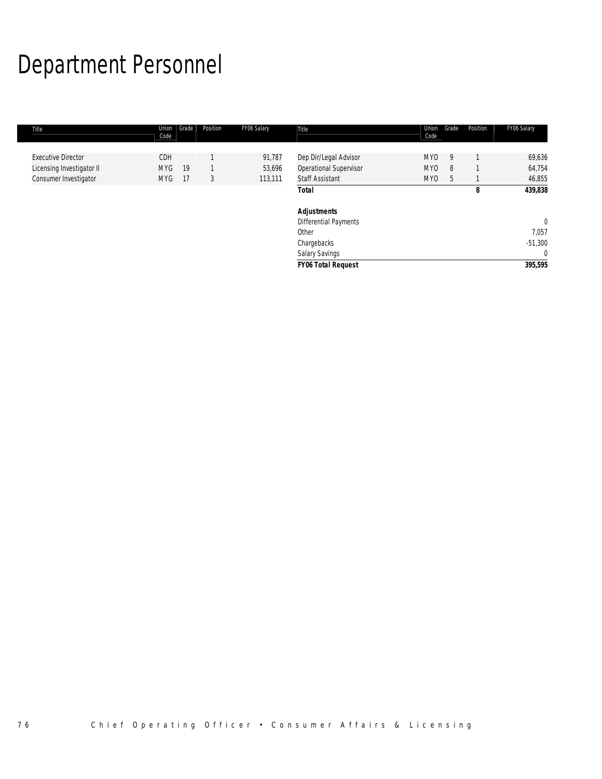# Department Personnel

| Title                     | Union      | Grade | Position | FY06 Salary | Title                         | Union           | Grade | Position | FY06 Salary  |
|---------------------------|------------|-------|----------|-------------|-------------------------------|-----------------|-------|----------|--------------|
|                           | Code       |       |          |             |                               | Code            |       |          |              |
|                           |            |       |          |             |                               |                 |       |          |              |
| <b>Executive Director</b> | <b>CDH</b> |       |          | 91,787      | Dep Dir/Legal Advisor         | MY <sub>0</sub> | 9     |          | 69,636       |
| Licensing Investigator II | <b>MYG</b> | 19    |          | 53,696      | <b>Operational Supervisor</b> | MY <sub>0</sub> | 8     |          | 64,754       |
| Consumer Investigator     | MYG        | - 17  | 3        | 113,111     | <b>Staff Assistant</b>        | MY0             | 5     |          | 46,855       |
|                           |            |       |          |             | <b>Total</b>                  |                 |       | 8        | 439,838      |
|                           |            |       |          |             | <b>Adjustments</b>            |                 |       |          |              |
|                           |            |       |          |             | Differential Payments         |                 |       |          | $\mathbf{0}$ |
|                           |            |       |          |             | Other                         |                 |       |          | 7,057        |
|                           |            |       |          |             | Chargebacks                   |                 |       |          | $-51,300$    |
|                           |            |       |          |             | Salary Savings                |                 |       |          | $\Omega$     |
|                           |            |       |          |             | <b>FY06 Total Request</b>     |                 |       |          | 395,595      |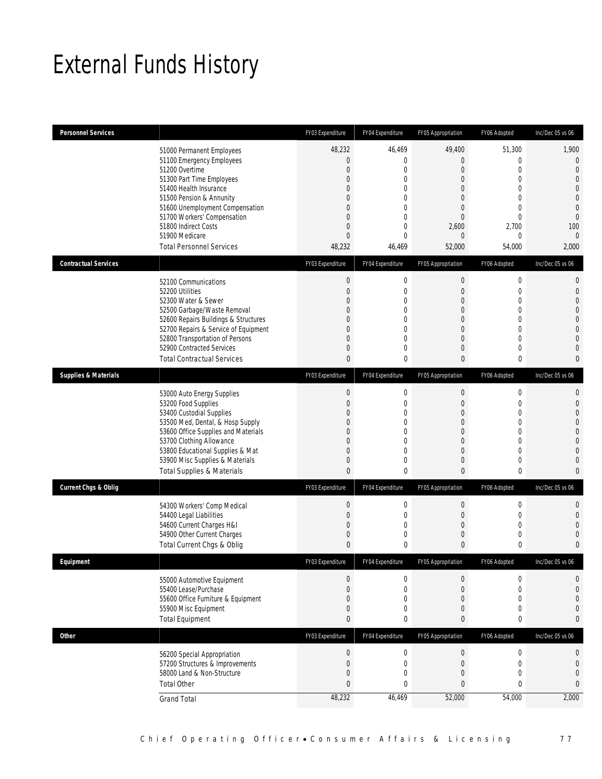# External Funds History

| <b>Personnel Services</b>       |                                                                                                                                                                                                                                                                                                            | FY03 Expenditure                                                                                                                                            | FY04 Expenditure                                                                                                                             | FY05 Appropriation                                                                                                                                               | FY06 Adopted                                                                                                                         | Inc/Dec 05 vs 06                                                                                                                                           |
|---------------------------------|------------------------------------------------------------------------------------------------------------------------------------------------------------------------------------------------------------------------------------------------------------------------------------------------------------|-------------------------------------------------------------------------------------------------------------------------------------------------------------|----------------------------------------------------------------------------------------------------------------------------------------------|------------------------------------------------------------------------------------------------------------------------------------------------------------------|--------------------------------------------------------------------------------------------------------------------------------------|------------------------------------------------------------------------------------------------------------------------------------------------------------|
|                                 | 51000 Permanent Employees<br>51100 Emergency Employees<br>51200 Overtime<br>51300 Part Time Employees<br>51400 Health Insurance<br>51500 Pension & Annunity<br>51600 Unemployment Compensation<br>51700 Workers' Compensation<br>51800 Indirect Costs<br>51900 Medicare<br><b>Total Personnel Services</b> | 48,232<br>$\mathbf{0}$<br>$\mathbf{0}$<br>$\mathbf 0$<br>$\mathbf{0}$<br>$\overline{0}$<br>$\mathbf{0}$<br>$\theta$<br>$\overline{0}$<br>$\theta$<br>48,232 | 46,469<br>0<br>$\overline{0}$<br>$\overline{0}$<br>0<br>$\overline{0}$<br>$\overline{0}$<br>$\Omega$<br>$\overline{0}$<br>$\Omega$<br>46,469 | 49,400<br>$\mathbf 0$<br>$\mathbf{0}$<br>$\overline{0}$<br>$\overline{0}$<br>$\boldsymbol{0}$<br>$\overline{0}$<br>$\Omega$<br>2,600<br>$\overline{0}$<br>52,000 | 51,300<br>0<br>$\overline{0}$<br>$\overline{0}$<br>$\mathbf 0$<br>$\mathbf{0}$<br>$\overline{0}$<br>$\Omega$<br>2,700<br>0<br>54,000 | 1,900<br>$\mathbf 0$<br>$\overline{0}$<br>$\overline{0}$<br>$\overline{0}$<br>$\overline{0}$<br>$\overline{0}$<br>$\mathbf{0}$<br>100<br>$\theta$<br>2,000 |
| <b>Contractual Services</b>     |                                                                                                                                                                                                                                                                                                            | FY03 Expenditure                                                                                                                                            | FY04 Expenditure                                                                                                                             | FY05 Appropriation                                                                                                                                               | FY06 Adopted                                                                                                                         | Inc/Dec 05 vs 06                                                                                                                                           |
|                                 | 52100 Communications<br>52200 Utilities<br>52300 Water & Sewer<br>52500 Garbage/Waste Removal<br>52600 Repairs Buildings & Structures<br>52700 Repairs & Service of Equipment<br>52800 Transportation of Persons<br>52900 Contracted Services<br><b>Total Contractual Services</b>                         | $\theta$<br>$\mathbf 0$<br>$\mathbf{0}$<br>$\overline{0}$<br>$\overline{0}$<br>$\overline{0}$<br>$\mathbf 0$<br>$\overline{0}$<br>$\mathbf{0}$              | $\boldsymbol{0}$<br>$\mathbf 0$<br>0<br>$\overline{0}$<br>$\overline{0}$<br>$\Omega$<br>$\mathbf{0}$<br>0<br>0                               | 0<br>$\boldsymbol{0}$<br>$\overline{0}$<br>$\boldsymbol{0}$<br>$\overline{0}$<br>$\overline{0}$<br>$\overline{0}$<br>$\overline{0}$<br>$\mathbf{0}$              | $\boldsymbol{0}$<br>$\mathbf 0$<br>0<br>$\mathbf 0$<br>$\overline{0}$<br>0<br>$\mathbf 0$<br>$\mathbf 0$<br>0                        | $\mathbf 0$<br>$\mathbf{0}$<br>$\mathbf 0$<br>$\overline{0}$<br>$\overline{0}$<br>$\overline{0}$<br>$\overline{0}$<br>$\mathbf 0$<br>$\mathbf{0}$          |
| <b>Supplies &amp; Materials</b> |                                                                                                                                                                                                                                                                                                            | FY03 Expenditure                                                                                                                                            | FY04 Expenditure                                                                                                                             | FY05 Appropriation                                                                                                                                               | FY06 Adopted                                                                                                                         | Inc/Dec 05 vs 06                                                                                                                                           |
|                                 | 53000 Auto Energy Supplies<br>53200 Food Supplies<br>53400 Custodial Supplies<br>53500 Med, Dental, & Hosp Supply<br>53600 Office Supplies and Materials<br>53700 Clothing Allowance<br>53800 Educational Supplies & Mat<br>53900 Misc Supplies & Materials<br><b>Total Supplies &amp; Materials</b>       | $\theta$<br>$\mathbf 0$<br>$\overline{0}$<br>$\mathbf 0$<br>$\mathbf{0}$<br>$\overline{0}$<br>$\overline{0}$<br>$\overline{0}$<br>$\mathbf{0}$              | $\boldsymbol{0}$<br>$\mathbf 0$<br>0<br>0<br>$\overline{0}$<br>$\Omega$<br>$\overline{0}$<br>0<br>$\theta$                                   | $\boldsymbol{0}$<br>$\boldsymbol{0}$<br>$\overline{0}$<br>$\mathbf 0$<br>$\overline{0}$<br>$\mathbf{0}$<br>$\boldsymbol{0}$<br>$\overline{0}$<br>$\mathbf{0}$    | $\boldsymbol{0}$<br>$\mathbf 0$<br>$\mathbf 0$<br>0<br>$\overline{0}$<br>$\overline{0}$<br>$\mathbf 0$<br>0<br>0                     | $\mathbf 0$<br>$\overline{0}$<br>$\overline{0}$<br>$\overline{0}$<br>$\overline{0}$<br>$\overline{0}$<br>$\Omega$<br>$\mathbf 0$<br>$\theta$               |
| <b>Current Chgs &amp; Oblig</b> |                                                                                                                                                                                                                                                                                                            | FY03 Expenditure                                                                                                                                            | FY04 Expenditure                                                                                                                             | FY05 Appropriation                                                                                                                                               | FY06 Adopted                                                                                                                         | Inc/Dec 05 vs 06                                                                                                                                           |
|                                 | 54300 Workers' Comp Medical<br>54400 Legal Liabilities<br>54600 Current Charges H&I<br>54900 Other Current Charges<br>Total Current Chgs & Oblig                                                                                                                                                           | $\theta$<br>$\mathbf 0$<br>$\overline{0}$<br>$\mathbf 0$<br>$\bf{0}$                                                                                        | $\mathbf 0$<br>$\mathbf 0$<br>0<br>0<br>0                                                                                                    | $\boldsymbol{0}$<br>$\boldsymbol{0}$<br>$\overline{0}$<br>$\mathbf 0$<br>0                                                                                       | $\mathbf 0$<br>$\mathbf 0$<br>0<br>0<br>0                                                                                            | $\mathbf 0$<br>$\overline{0}$<br>$\overline{0}$<br>$\overline{0}$<br>$\mathbf{0}$                                                                          |
| Equipment                       |                                                                                                                                                                                                                                                                                                            | FY03 Expenditure                                                                                                                                            | FY04 Expenditure                                                                                                                             | FY05 Appropriation                                                                                                                                               | FY06 Adopted                                                                                                                         | Inc/Dec 05 vs 06                                                                                                                                           |
|                                 | 55000 Automotive Equipment<br>55400 Lease/Purchase<br>55600 Office Furniture & Equipment<br>55900 Misc Equipment<br><b>Total Equipment</b>                                                                                                                                                                 | $\mathbf{0}$<br>$\theta$<br>$\mathbf 0$<br>$\mathbf 0$<br>$\mathbf{0}$                                                                                      | $\mathbf 0$<br>$\mathbf{0}$<br>$\mathbf 0$<br>$\mathbf 0$<br>0                                                                               | $\boldsymbol{0}$<br>$\overline{0}$<br>0<br>$\mathbf 0$<br>0                                                                                                      | $\mathbf 0$<br>$\mathbf 0$<br>$\mathbf 0$<br>$\mathbf 0$<br>0                                                                        | $\mathbf 0$<br>$\mathbf 0$<br>$\overline{0}$<br>$\mathbf 0$<br>$\mathbf{0}$                                                                                |
| <b>Other</b>                    |                                                                                                                                                                                                                                                                                                            | FY03 Expenditure                                                                                                                                            | FY04 Expenditure                                                                                                                             | FY05 Appropriation                                                                                                                                               | FY06 Adopted                                                                                                                         | Inc/Dec 05 vs 06                                                                                                                                           |
|                                 | 56200 Special Appropriation<br>57200 Structures & Improvements<br>58000 Land & Non-Structure<br><b>Total Other</b>                                                                                                                                                                                         | $\mathbf 0$<br>$\mathbf 0$<br>$\mathbf{0}$<br>$\mathbf{0}$                                                                                                  | $\mathbf 0$<br>$\mathbf 0$<br>$\mathbf 0$<br>0                                                                                               | 0<br>$\boldsymbol{0}$<br>$\mathbf 0$<br>$\bf 0$                                                                                                                  | $\mathbf 0$<br>$\boldsymbol{0}$<br>$\mathbf 0$<br>0                                                                                  | $\mathbf 0$<br>$\mathbf 0$<br>$\mathbf{0}$<br>$\pmb{0}$                                                                                                    |
|                                 | <b>Grand Total</b>                                                                                                                                                                                                                                                                                         | 48,232                                                                                                                                                      | 46,469                                                                                                                                       | 52,000                                                                                                                                                           | 54,000                                                                                                                               | 2,000                                                                                                                                                      |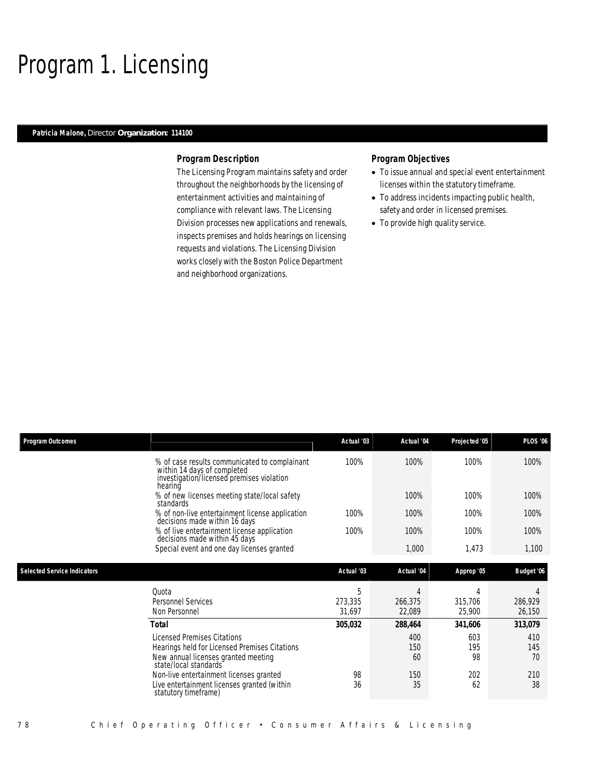# Program 1. Licensing

#### *Patricia Malone, Director Organization: 114100*

#### *Program Description*

The Licensing Program maintains safety and order throughout the neighborhoods by the licensing of entertainment activities and maintaining of compliance with relevant laws. The Licensing Division processes new applications and renewals, inspects premises and holds hearings on licensing requests and violations. The Licensing Division works closely with the Boston Police Department and neighborhood organizations.

#### *Program Objectives*

- To issue annual and special event entertainment licenses within the statutory timeframe.
- To address incidents impacting public health, safety and order in licensed premises.
- To provide high quality service.

| <b>Program Outcomes</b>            |                                                                                                                                                     | Actual '03             | Actual '04             | Projected '05     | <b>PLOS '06</b>   |
|------------------------------------|-----------------------------------------------------------------------------------------------------------------------------------------------------|------------------------|------------------------|-------------------|-------------------|
|                                    | % of case results communicated to complainant<br>within 14 days of completed<br>investigation/licensed premises violation<br>hearing                | 100%                   | 100%                   | 100%              | 100%              |
|                                    | % of new licenses meeting state/local safety<br>standards                                                                                           |                        | 100%                   | 100%              | 100%              |
|                                    | % of non-live entertainment license application<br>decisions made within 16 days                                                                    | 100%                   | 100%                   | 100%              | 100%              |
|                                    | % of live entertainment license application<br>decisions made within 45 days                                                                        | 100%                   | 100%                   | 100%              | 100%              |
|                                    | Special event and one day licenses granted                                                                                                          |                        | 1,000                  | 1,473             | 1,100             |
| <b>Selected Service Indicators</b> |                                                                                                                                                     | Actual '03             | Actual '04             | Approp '05        | Budget '06        |
|                                    | Quota<br><b>Personnel Services</b><br>Non Personnel                                                                                                 | 5<br>273,335<br>31,697 | 4<br>266,375<br>22,089 | 315,706<br>25,900 | 286,929<br>26,150 |
|                                    | <b>Total</b>                                                                                                                                        | 305,032                | 288,464                | 341,606           | 313,079           |
|                                    | <b>Licensed Premises Citations</b><br>Hearings held for Licensed Premises Citations<br>New annual licenses granted meeting<br>state/local standards |                        | 400<br>150<br>60       | 603<br>195<br>98  | 410<br>145<br>70  |
|                                    | Non-live entertainment licenses granted<br>Live entertainment licenses granted (within<br>statutory timeframe)                                      | 98<br>36               | 150<br>35              | 202<br>62         | 210<br>38         |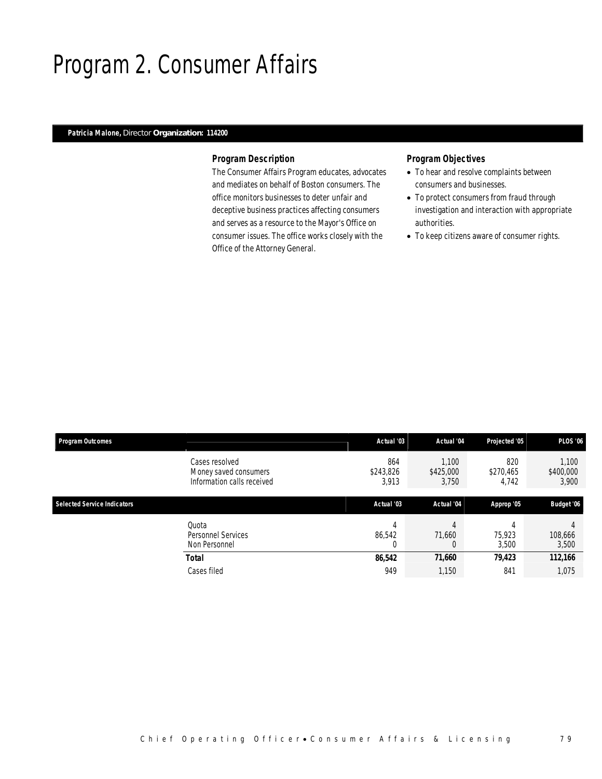# Program 2. Consumer Affairs

#### *Patricia Malone, Director Organization: 114200*

#### *Program Description*

The Consumer Affairs Program educates, advocates and mediates on behalf of Boston consumers. The office monitors businesses to deter unfair and deceptive business practices affecting consumers and serves as a resource to the Mayor's Office on consumer issues. The office works closely with the Office of the Attorney General.

## *Program Objectives*

- To hear and resolve complaints between consumers and businesses.
- To protect consumers from fraud through investigation and interaction with appropriate authorities.
- To keep citizens aware of consumer rights.

| <b>Program Outcomes</b>            |                                                                       | Actual '03                | Actual '04                  | Projected '05             | <b>PLOS '06</b>             |
|------------------------------------|-----------------------------------------------------------------------|---------------------------|-----------------------------|---------------------------|-----------------------------|
|                                    | Cases resolved<br>Money saved consumers<br>Information calls received | 864<br>\$243,826<br>3,913 | 1.100<br>\$425,000<br>3,750 | 820<br>\$270,465<br>4,742 | 1.100<br>\$400,000<br>3,900 |
| <b>Selected Service Indicators</b> |                                                                       | Actual '03                | Actual '04                  | Approp '05                | Budget '06                  |
|                                    | Quota<br>Personnel Services<br>Non Personnel                          | 4<br>86,542<br>0          | 4<br>71,660<br>0            | 4<br>75,923<br>3,500      | 108,666<br>3,500            |
|                                    | <b>Total</b>                                                          | 86,542                    | 71,660                      | 79,423                    | 112,166                     |
|                                    | Cases filed                                                           | 949                       | 1,150                       | 841                       | 1,075                       |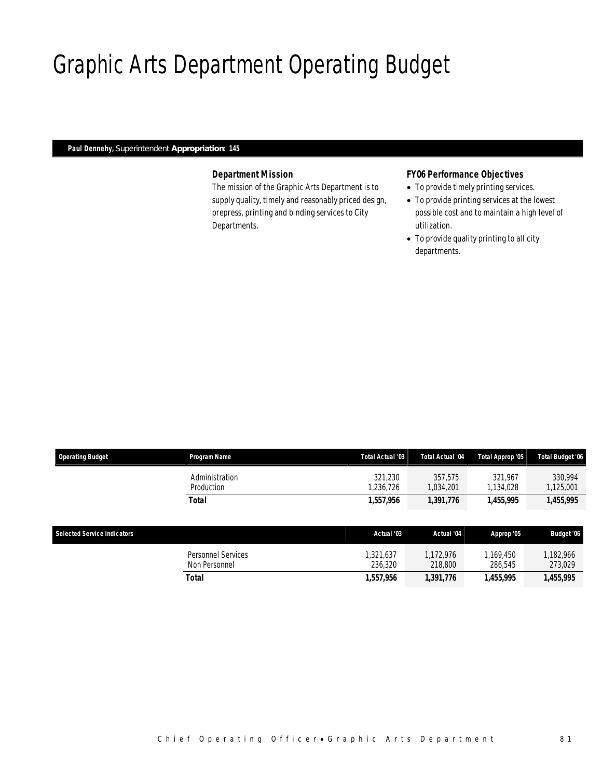# Graphic Arts Department Operating Budget

### *Paul Dennehy, Superintendent Appropriation: 145*

### *Department Mission*

The mission of the Graphic Arts Department is to supply quality, timely and reasonably priced design, prepress, printing and binding services to City Departments.

#### *FY06 Performance Objectives*

- To provide timely printing services.
- To provide printing services at the lowest possible cost and to maintain a high level of utilization.
- To provide quality printing to all city departments.

| <b>Operating Budget</b>            | Program Name                        | Total Actual '03     | <b>Total Actual '04</b> | Total Approp '05     | Total Budget '06     |
|------------------------------------|-------------------------------------|----------------------|-------------------------|----------------------|----------------------|
|                                    | Administration<br>Production        | 321.230<br>1,236,726 | 357.575<br>1,034,201    | 321.967<br>1,134,028 | 330.994<br>1,125,001 |
|                                    | <b>Total</b>                        | 1,557,956            | 1,391,776               | 1,455,995            | 1,455,995            |
|                                    |                                     |                      |                         |                      |                      |
| <b>Selected Service Indicators</b> |                                     | Actual '03           | Actual '04              | Approp '05           | Budget '06           |
|                                    | Personnel Services<br>Non Personnel | 1.321.637<br>236.320 | 1.172.976<br>218,800    | 1.169.450<br>286.545 | 1,182,966<br>273,029 |
|                                    | Total                               | 1,557,956            | 1,391,776               | 1.455.995            | 1,455,995            |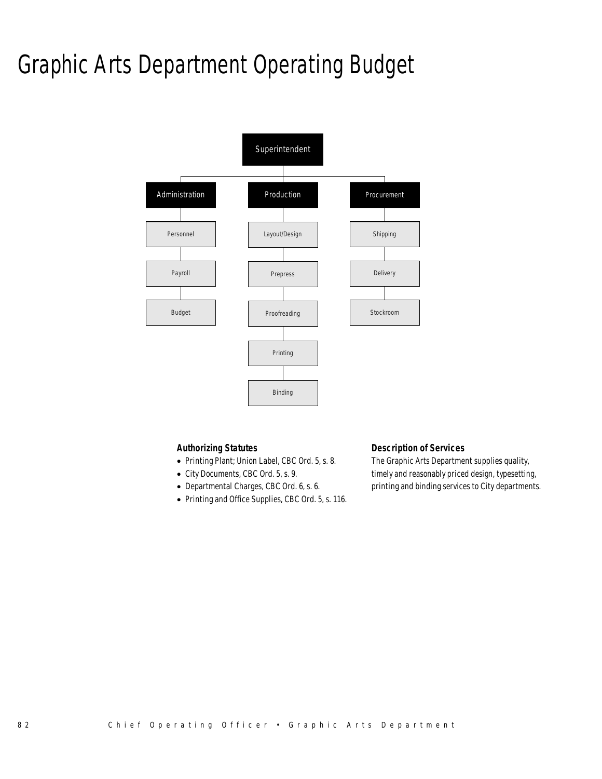# Graphic Arts Department Operating Budget



#### *Authorizing Statutes*

- Printing Plant; Union Label, CBC Ord. 5, s. 8.
- City Documents, CBC Ord. 5, s. 9.
- Departmental Charges, CBC Ord. 6, s. 6.
- Printing and Office Supplies, CBC Ord. 5, s. 116.

#### *Description of Services*

The Graphic Arts Department supplies quality, timely and reasonably priced design, typesetting, printing and binding services to City departments.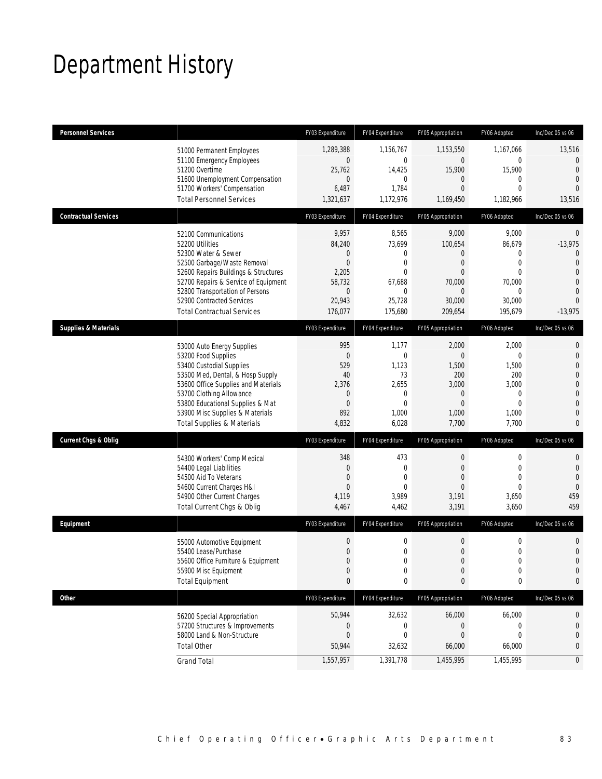# Department History

| <b>Personnel Services</b>       |                                                                                                                                                                                                                                                                                           | FY03 Expenditure                                                                                            | FY04 Expenditure                                                                            | FY05 Appropriation                                                                                        | FY06 Adopted                                                                                       | Inc/Dec 05 vs 06                                                                                                                                  |
|---------------------------------|-------------------------------------------------------------------------------------------------------------------------------------------------------------------------------------------------------------------------------------------------------------------------------------------|-------------------------------------------------------------------------------------------------------------|---------------------------------------------------------------------------------------------|-----------------------------------------------------------------------------------------------------------|----------------------------------------------------------------------------------------------------|---------------------------------------------------------------------------------------------------------------------------------------------------|
|                                 | 51000 Permanent Employees<br>51100 Emergency Employees<br>51200 Overtime<br>51600 Unemployment Compensation<br>51700 Workers' Compensation<br><b>Total Personnel Services</b>                                                                                                             | 1,289,388<br>$\mathbf 0$<br>25,762<br>$\mathbf 0$<br>6,487<br>1,321,637                                     | 1,156,767<br>$\mathbf{0}$<br>14,425<br>$\mathbf{0}$<br>1,784<br>1,172,976                   | 1,153,550<br>$\overline{0}$<br>15,900<br>$\overline{0}$<br>$\Omega$<br>1,169,450                          | 1.167.066<br>$\mathbf 0$<br>15,900<br>0<br>$\theta$<br>1,182,966                                   | 13,516<br>$\overline{0}$<br>$\overline{0}$<br>$\overline{0}$<br>$\overline{0}$<br>13,516                                                          |
| <b>Contractual Services</b>     |                                                                                                                                                                                                                                                                                           | FY03 Expenditure                                                                                            | FY04 Expenditure                                                                            | FY05 Appropriation                                                                                        | FY06 Adopted                                                                                       | Inc/Dec 05 vs 06                                                                                                                                  |
|                                 | 52100 Communications<br>52200 Utilities<br>52300 Water & Sewer<br>52500 Garbage/Waste Removal<br>52600 Repairs Buildings & Structures<br>52700 Repairs & Service of Equipment<br>52800 Transportation of Persons<br>52900 Contracted Services<br><b>Total Contractual Services</b>        | 9,957<br>84,240<br>$\overline{0}$<br>$\overline{0}$<br>2,205<br>58,732<br>$\mathbf{0}$<br>20,943<br>176,077 | 8,565<br>73,699<br>0<br>0<br>$\mathbf{0}$<br>67,688<br>$\Omega$<br>25,728<br>175,680        | 9,000<br>100,654<br>$\mathbf{0}$<br>$\overline{0}$<br>$\Omega$<br>70,000<br>$\Omega$<br>30,000<br>209,654 | 9,000<br>86,679<br>0<br>$\boldsymbol{0}$<br>$\mathbf 0$<br>70,000<br>$\Omega$<br>30,000<br>195,679 | $\mathbf 0$<br>$-13,975$<br>$\overline{0}$<br>$\overline{0}$<br>$\mathbf{0}$<br>$\overline{0}$<br>$\Omega$<br>$\overline{0}$<br>$-13,975$         |
| <b>Supplies &amp; Materials</b> |                                                                                                                                                                                                                                                                                           | FY03 Expenditure                                                                                            | FY04 Expenditure                                                                            | FY05 Appropriation                                                                                        | FY06 Adopted                                                                                       | Inc/Dec 05 vs 06                                                                                                                                  |
|                                 | 53000 Auto Energy Supplies<br>53200 Food Supplies<br>53400 Custodial Supplies<br>53500 Med, Dental, & Hosp Supply<br>53600 Office Supplies and Materials<br>53700 Clothing Allowance<br>53800 Educational Supplies & Mat<br>53900 Misc Supplies & Materials<br>Total Supplies & Materials | 995<br>$\overline{0}$<br>529<br>40<br>2,376<br>$\mathbf{0}$<br>$\mathbf{0}$<br>892<br>4,832                 | 1,177<br>$\mathbf{0}$<br>1,123<br>73<br>2,655<br>$\mathbf{0}$<br>$\theta$<br>1,000<br>6,028 | 2,000<br>$\mathbf{0}$<br>1,500<br>200<br>3,000<br>$\overline{0}$<br>$\Omega$<br>1,000<br>7,700            | 2,000<br>$\mathbf 0$<br>1,500<br>200<br>3,000<br>$\mathbf 0$<br>$\Omega$<br>1,000<br>7,700         | $\mathbf{0}$<br>$\mathbf{0}$<br>$\overline{0}$<br>$\mathbf{0}$<br>$\mathbf{0}$<br>$\overline{0}$<br>$\overline{0}$<br>$\mathbf 0$<br>$\mathbf{0}$ |
| <b>Current Chgs &amp; Oblig</b> |                                                                                                                                                                                                                                                                                           | FY03 Expenditure                                                                                            | FY04 Expenditure                                                                            | FY05 Appropriation                                                                                        | FY06 Adopted                                                                                       | Inc/Dec 05 vs 06                                                                                                                                  |
|                                 | 54300 Workers' Comp Medical<br>54400 Legal Liabilities<br>54500 Aid To Veterans<br>54600 Current Charges H&I<br>54900 Other Current Charges<br>Total Current Chgs & Oblig                                                                                                                 | 348<br>$\mathbf{0}$<br>$\Omega$<br>$\mathbf{0}$<br>4,119<br>4,467                                           | 473<br>$\mathbf{0}$<br>$\theta$<br>$\theta$<br>3,989<br>4,462                               | 0<br>$\mathbf{0}$<br>$\Omega$<br>$\Omega$<br>3,191<br>3,191                                               | $\boldsymbol{0}$<br>0<br>$\theta$<br>$\mathbf 0$<br>3,650<br>3,650                                 | $\mathbf 0$<br>$\mathbf{0}$<br>$\overline{0}$<br>$\mathbf{0}$<br>459<br>459                                                                       |
| Equipment                       |                                                                                                                                                                                                                                                                                           | FY03 Expenditure                                                                                            | FY04 Expenditure                                                                            | FY05 Appropriation                                                                                        | FY06 Adopted                                                                                       | Inc/Dec 05 vs 06                                                                                                                                  |
|                                 | 55000 Automotive Equipment<br>55400 Lease/Purchase<br>55600 Office Furniture & Equipment<br>55900 Misc Equipment<br><b>Total Equipment</b>                                                                                                                                                | $\boldsymbol{0}$<br>$\mathbf 0$<br>$\mathbf{0}$<br>$\boldsymbol{0}$<br>$\mathbf{0}$                         | $\mathbf 0$<br>$\mathbf{0}$<br>$\cap$<br>$\mathbf 0$<br>0                                   | 0<br>$\boldsymbol{0}$<br>$\Omega$<br>$\boldsymbol{0}$<br>$\mathbf{0}$                                     | 0<br>$\mathbf 0$<br>$\Omega$<br>$\boldsymbol{0}$<br>0                                              | $\mathbf 0$<br>$\overline{0}$<br>$\Omega$<br>$\mathbf{0}$<br>0                                                                                    |
| Other                           |                                                                                                                                                                                                                                                                                           | FY03 Expenditure                                                                                            | FY04 Expenditure                                                                            | FY05 Appropriation                                                                                        | FY06 Adopted                                                                                       | Inc/Dec 05 vs 06                                                                                                                                  |
|                                 | 56200 Special Appropriation<br>57200 Structures & Improvements<br>58000 Land & Non-Structure<br><b>Total Other</b>                                                                                                                                                                        | 50,944<br>0<br>$\mathbf{0}$<br>50,944                                                                       | 32,632<br>0<br>$\mathbf{0}$<br>32,632                                                       | 66,000<br>0<br>$\overline{0}$<br>66,000                                                                   | 66,000<br>0<br>0<br>66,000                                                                         | $\mathbf 0$<br>0<br>$\mathbf 0$<br>0                                                                                                              |
|                                 | <b>Grand Total</b>                                                                                                                                                                                                                                                                        | 1,557,957                                                                                                   | 1,391,778                                                                                   | 1,455,995                                                                                                 | 1,455,995                                                                                          | $\overline{0}$                                                                                                                                    |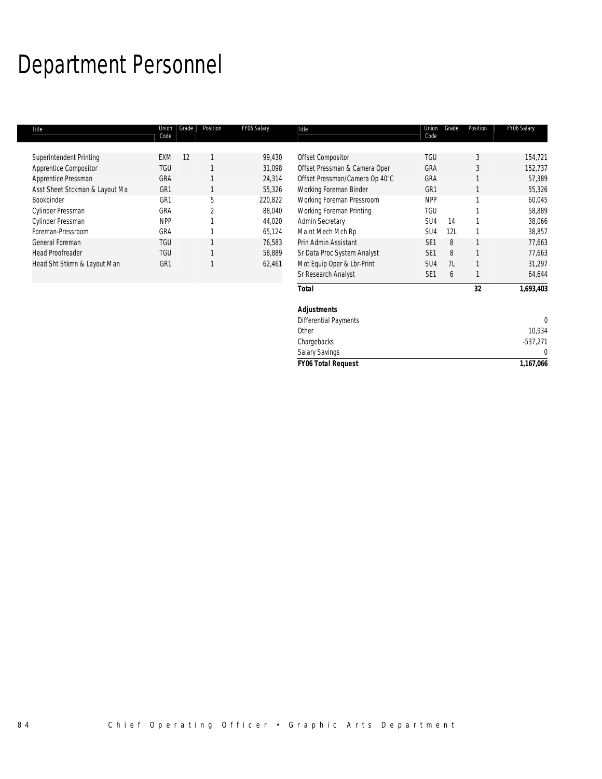# Department Personnel

п

| Title                          | Union<br>Code | Grade | Position | FY06 Salary | Title                          | Union<br>Code   | Grade | Position | FY06 Salary |
|--------------------------------|---------------|-------|----------|-------------|--------------------------------|-----------------|-------|----------|-------------|
| Superintendent Printing        | EXM           | 12    |          | 99,430      | <b>Offset Compositor</b>       | TGU             |       | 3        | 154,721     |
| Apprentice Compositor          | <b>TGU</b>    |       |          | 31,098      | Offset Pressman & Camera Oper  | GRA             |       | 3        | 152,737     |
| Apprentice Pressman            | GRA           |       |          | 24,314      | Offset Pressman/Camera Op 40"C | GRA             |       |          | 57,389      |
| Asst Sheet Stckman & Layout Ma | GR1           |       |          | 55,326      | Working Foreman Binder         | GR1             |       |          | 55,326      |
| Bookbinder                     | GR1           |       | 5        | 220,822     | Working Foreman Pressroom      | <b>NPP</b>      |       |          | 60,045      |
| Cylinder Pressman              | GRA           |       |          | 88,040      | Working Foreman Printing       | TGU             |       |          | 58,889      |
| Cylinder Pressman              | <b>NPP</b>    |       |          | 44,020      | <b>Admin Secretary</b>         | SU4             | 14    |          | 38,066      |
| Foreman-Pressroom              | GRA           |       |          | 65,124      | Maint Mech Mch Rp              | SU4             | 12L   |          | 38,857      |
| General Foreman                | <b>TGU</b>    |       |          | 76,583      | Prin Admin Assistant           | SE <sub>1</sub> | 8     |          | 77,663      |
| <b>Head Proofreader</b>        | <b>TGU</b>    |       |          | 58,889      | Sr Data Proc System Analyst    | SE <sub>1</sub> | 8     |          | 77,663      |
| Head Sht Stkmn & Layout Man    | GR1           |       |          | 62,461      | Mot Equip Oper & Lbr-Print     | SU <sub>4</sub> | 7L    |          | 31,297      |
|                                |               |       |          |             | Sr Research Analyst            | SE <sub>1</sub> | 6     |          | 64,644      |
|                                |               |       |          |             | <b>Total</b>                   |                 |       | 32       | 1,693,403   |
|                                |               |       |          |             | <b>Adjustments</b>             |                 |       |          |             |
|                                |               |       |          |             | Differential Payments          |                 |       |          | 0           |

other and the contract of the contract of the contract of the contract of the contract of the contract of the contract of the contract of the contract of the contract of the contract of the contract of the contract of the

Salary Savings

Chargebacks -537,271<br>Salary Savings 0

*FY06 Total Request 1,167,066*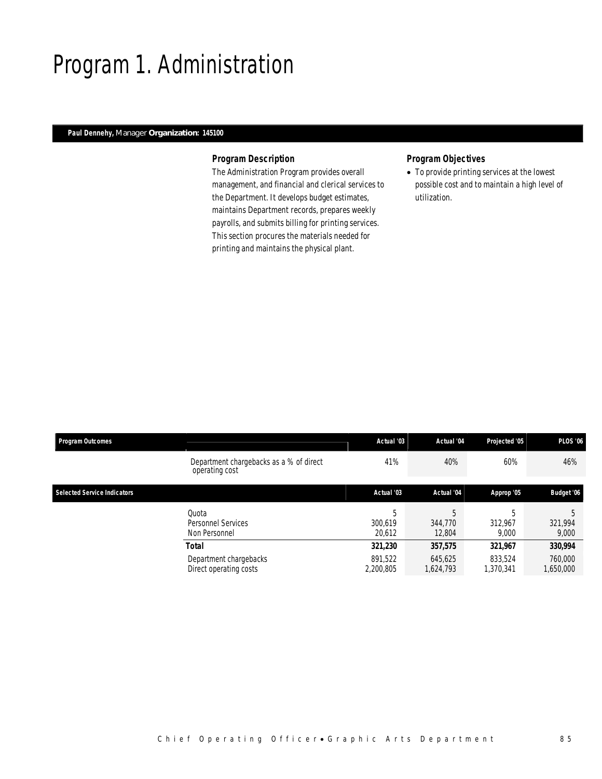# Program 1. Administration

### *Paul Dennehy, Manager Organization: 145100*

#### *Program Description*

The Administration Program provides overall management, and financial and clerical services to the Department. It develops budget estimates, maintains Department records, prepares weekly payrolls, and submits billing for printing services. This section procures the materials needed for printing and maintains the physical plant.

## *Program Objectives*

• To provide printing services at the lowest possible cost and to maintain a high level of utilization.

| <b>Program Outcomes</b>            |                                                           | Actual '03                      | Actual '04                      | Projected '05                   | <b>PLOS '06</b>                 |
|------------------------------------|-----------------------------------------------------------|---------------------------------|---------------------------------|---------------------------------|---------------------------------|
|                                    | Department chargebacks as a % of direct<br>operating cost | 41%                             | 40%                             | 60%                             | 46%                             |
| <b>Selected Service Indicators</b> |                                                           |                                 | Actual '04                      | Approp '05                      | Budget '06                      |
|                                    | Quota<br>Personnel Services<br>Non Personnel              | 5<br>300.619<br>20,612          | 5<br>344,770<br>12,804          | 5<br>312.967<br>9.000           | 321,994<br>9,000                |
|                                    | Total<br>Department chargebacks<br>Direct operating costs | 321,230<br>891,522<br>2,200,805 | 357,575<br>645,625<br>1,624,793 | 321,967<br>833,524<br>1,370,341 | 330,994<br>760,000<br>1,650,000 |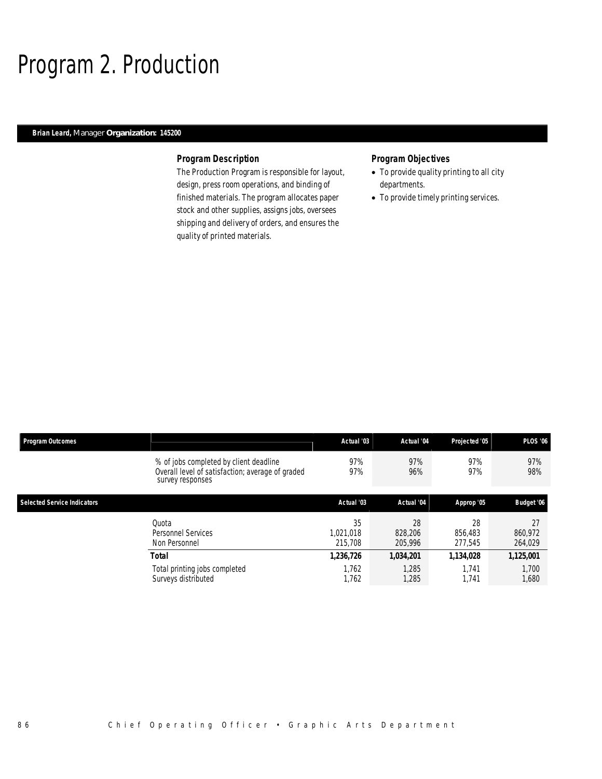## Program 2. Production

### *Brian Leard, Manager Organization: 145200*

#### *Program Description*

The Production Program is responsible for layout, design, press room operations, and binding of finished materials. The program allocates paper stock and other supplies, assigns jobs, oversees shipping and delivery of orders, and ensures the quality of printed materials.

## *Program Objectives*

- To provide quality printing to all city departments.
- To provide timely printing services.

| <b>Program Outcomes</b>            |                                                                                                                | Actual '03                 | Actual '04               | Projected '05            | <b>PLOS '06</b>          |
|------------------------------------|----------------------------------------------------------------------------------------------------------------|----------------------------|--------------------------|--------------------------|--------------------------|
|                                    | % of jobs completed by client deadline<br>Overall level of satisfaction; average of graded<br>survey responses | 97%<br>97%                 | 97%<br>96%               | 97%<br>97%               | 97%<br>98%               |
| <b>Selected Service Indicators</b> |                                                                                                                | Actual '03                 | Actual '04               | Approp '05               | Budget '06               |
|                                    | Quota<br><b>Personnel Services</b><br>Non Personnel                                                            | 35<br>1.021.018<br>215,708 | 28<br>828,206<br>205.996 | 28<br>856,483<br>277.545 | 27<br>860,972<br>264,029 |
|                                    | Total                                                                                                          | 1,236,726                  | 1,034,201                | 1,134,028                | 1,125,001                |
|                                    | Total printing jobs completed<br>Surveys distributed                                                           | 1,762<br>1,762             | 1,285<br>1,285           | 1.741<br>1.741           | 1,700<br>1,680           |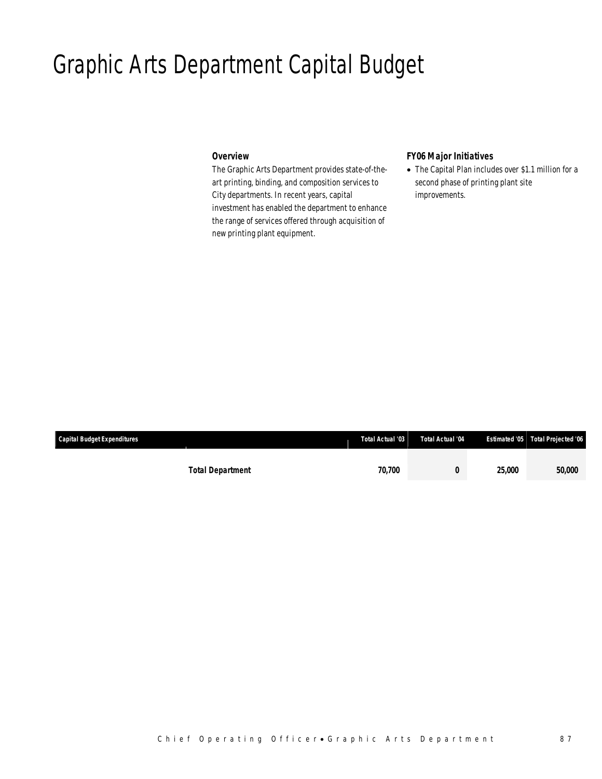# Graphic Arts Department Capital Budget

### *Overview*

The Graphic Arts Department provides state-of-theart printing, binding, and composition services to City departments. In recent years, capital investment has enabled the department to enhance the range of services offered through acquisition of new printing plant equipment.

## *FY06 Major Initiatives*

• The Capital Plan includes over \$1.1 million for a second phase of printing plant site improvements.

| Capital Budget Expenditures |                         | Total Actual '03 | Total Actual '04 |                      | <b>Estimated '05 Total Projected '06</b> |
|-----------------------------|-------------------------|------------------|------------------|----------------------|------------------------------------------|
|                             |                         |                  |                  |                      |                                          |
|                             | <b>Total Department</b> | 70,700           |                  | <i><b>25,000</b></i> | 50,000                                   |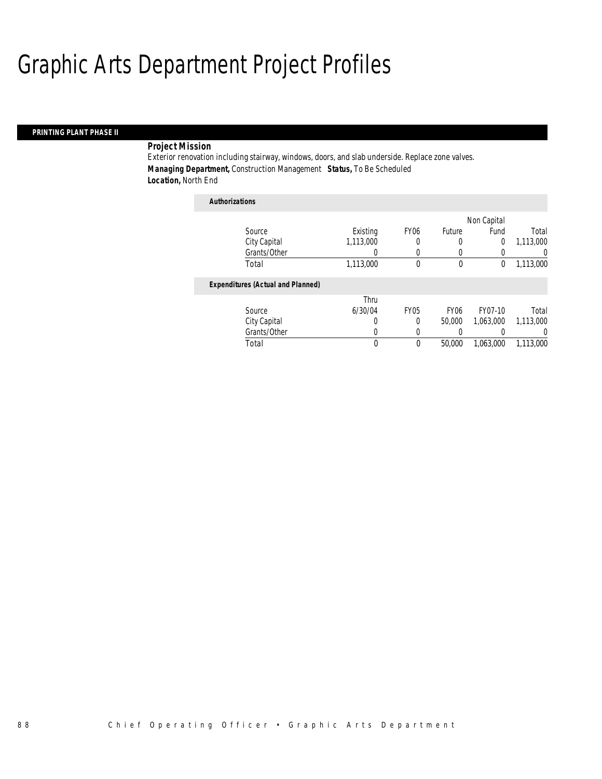# Graphic Arts Department Project Profiles

### *PRINTING PLANT PHASE II*

### *Project Mission*

Exterior renovation including stairway, windows, doors, and slab underside. Replace zone valves. *Managing Department,* Construction Management *Status,* To Be Scheduled *Location,* North End

### *Authorizations*

|                                          |           |             |             | Non Capital |           |
|------------------------------------------|-----------|-------------|-------------|-------------|-----------|
| Source                                   | Existing  | <b>FY06</b> | Future      | Fund        | Total     |
| City Capital                             | 1,113,000 | 0           | 0           | 0           | 1,113,000 |
| Grants/Other                             |           | 0           | 0           | 0           | 0         |
| Total                                    | 1,113,000 | 0           | 0           | 0           | 1,113,000 |
| <b>Expenditures (Actual and Planned)</b> |           |             |             |             |           |
|                                          | Thru      |             |             |             |           |
| Source                                   | 6/30/04   | <b>FY05</b> | <b>FY06</b> | FY07-10     | Total     |
| City Capital                             | 0         | 0           | 50,000      | 1,063,000   | 1,113,000 |
| Grants/Other                             | 0         |             | 0           |             | 0         |
| Total                                    | 0         | 0           | 50,000      | 1,063,000   | 1,113,000 |
|                                          |           |             |             |             |           |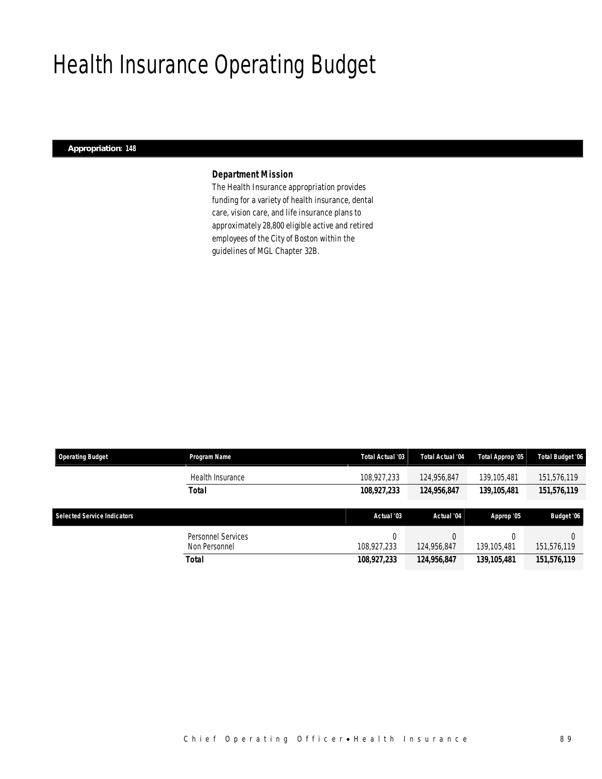# Health Insurance Operating Budget

### *Appropriation: 148*

### *Department Mission*

The Health Insurance appropriation provides funding for a variety of health insurance, dental care, vision care, and life insurance plans to approximately 28,800 eligible active and retired employees of the City of Boston within the guidelines of MGL Chapter 32B.

| <b>Operating Budget</b>            | Program Name       | Total Actual '03 | Total Actual '04 | Total Approp '05 | Total Budget '06 |
|------------------------------------|--------------------|------------------|------------------|------------------|------------------|
|                                    | Health Insurance   | 108,927,233      | 124,956,847      | 139,105,481      | 151,576,119      |
|                                    | <b>Total</b>       | 108,927,233      | 124,956,847      | 139,105,481      | 151,576,119      |
|                                    |                    |                  |                  |                  |                  |
|                                    |                    |                  |                  |                  |                  |
| <b>Selected Service Indicators</b> |                    | Actual '03       | Actual '04       | Approp '05       | Budget '06       |
|                                    | Personnel Services |                  | $\Omega$         |                  |                  |
|                                    | Non Personnel      | 108,927,233      | 124,956,847      | 139,105,481      | 151,576,119      |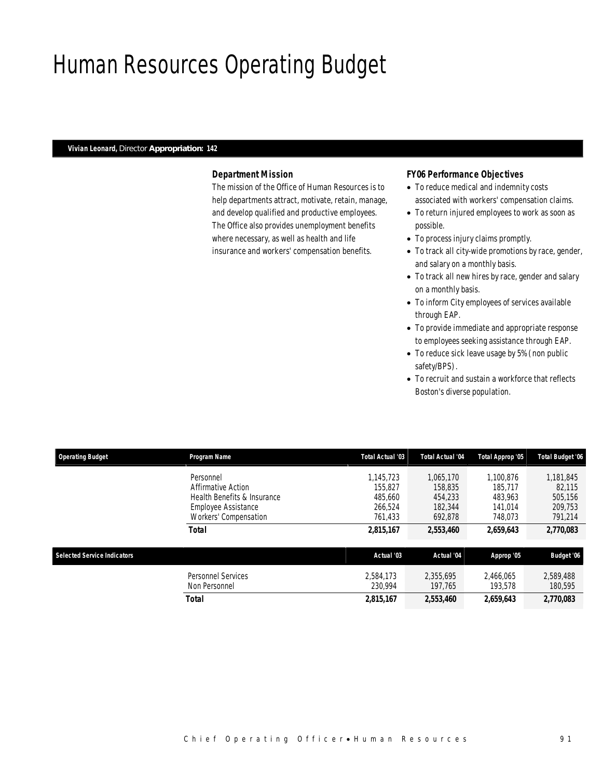# Human Resources Operating Budget

#### *Vivian Leonard, Director Appropriation: 142*

### *Department Mission*

The mission of the Office of Human Resources is to help departments attract, motivate, retain, manage, and develop qualified and productive employees. The Office also provides unemployment benefits where necessary, as well as health and life insurance and workers' compensation benefits.

### *FY06 Performance Objectives*

- To reduce medical and indemnity costs associated with workers' compensation claims.
- To return injured employees to work as soon as possible.
- To process injury claims promptly.
- To track all city-wide promotions by race, gender, and salary on a monthly basis.
- To track all new hires by race, gender and salary on a monthly basis.
- To inform City employees of services available through EAP.
- To provide immediate and appropriate response to employees seeking assistance through EAP.
- To reduce sick leave usage by 5% (non public safety/BPS).
- To recruit and sustain a workforce that reflects Boston's diverse population.

| <b>Operating Budget</b>            | Program Name                                                                                                   | Total Actual '03                                     | <b>Total Actual '04</b>                               | Total Approp '05                                      | <b>Total Budget '06</b>                              |
|------------------------------------|----------------------------------------------------------------------------------------------------------------|------------------------------------------------------|-------------------------------------------------------|-------------------------------------------------------|------------------------------------------------------|
|                                    | Personnel<br>Affirmative Action<br>Health Benefits & Insurance<br>Employee Assistance<br>Workers' Compensation | .145.723<br>155.827<br>485.660<br>266.524<br>761.433 | 1,065,170<br>158.835<br>454,233<br>182,344<br>692.878 | 1,100,876<br>185.717<br>483.963<br>141.014<br>748.073 | 1,181,845<br>82.115<br>505,156<br>209.753<br>791.214 |
|                                    | Total                                                                                                          | 2,815,167                                            | 2,553,460                                             | 2,659,643                                             | 2,770,083                                            |
| <b>Selected Service Indicators</b> |                                                                                                                | Actual '03                                           | Actual '04                                            | Approp '05                                            | Budget '06                                           |

|                                     |                      |                      | .                    | . .                  |
|-------------------------------------|----------------------|----------------------|----------------------|----------------------|
| Personnel Services<br>Non Personnel | 2,584,173<br>230,994 | 2,355,695<br>197.765 | 2.466.065<br>193.578 | 2,589,488<br>180,595 |
| Total                               | 2,815,167            | 2,553,460            | 2,659,643            | 2,770,083            |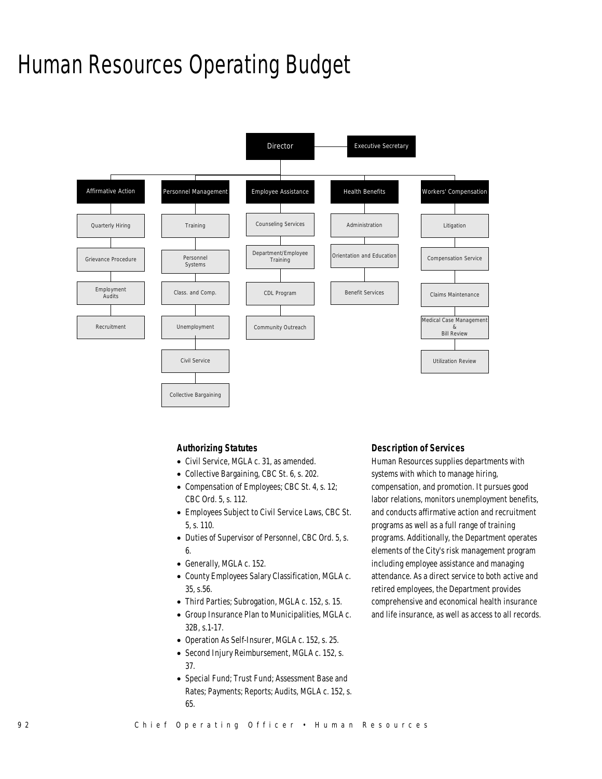# Human Resources Operating Budget



### *Authorizing Statutes*

- Civil Service, MGLA c. 31, as amended.
- Collective Bargaining, CBC St. 6, s. 202.
- Compensation of Employees; CBC St. 4, s. 12; CBC Ord. 5, s. 112.
- Employees Subject to Civil Service Laws, CBC St. 5, s. 110.
- Duties of Supervisor of Personnel, CBC Ord. 5, s. 6.
- Generally, MGLA c. 152.
- County Employees Salary Classification, MGLA c. 35, s.56.
- Third Parties; Subrogation, MGLA c. 152, s. 15.
- Group Insurance Plan to Municipalities, MGLA c. 32B, s.1-17.
- Operation As Self-Insurer, MGLA c. 152, s. 25.
- Second Injury Reimbursement, MGLA c. 152, s. 37.
- Special Fund; Trust Fund; Assessment Base and Rates; Payments; Reports; Audits, MGLA c. 152, s. 65.

#### *Description of Services*

Human Resources supplies departments with systems with which to manage hiring, compensation, and promotion. It pursues good labor relations, monitors unemployment benefits, and conducts affirmative action and recruitment programs as well as a full range of training programs. Additionally, the Department operates elements of the City's risk management program including employee assistance and managing attendance. As a direct service to both active and retired employees, the Department provides comprehensive and economical health insurance and life insurance, as well as access to all records.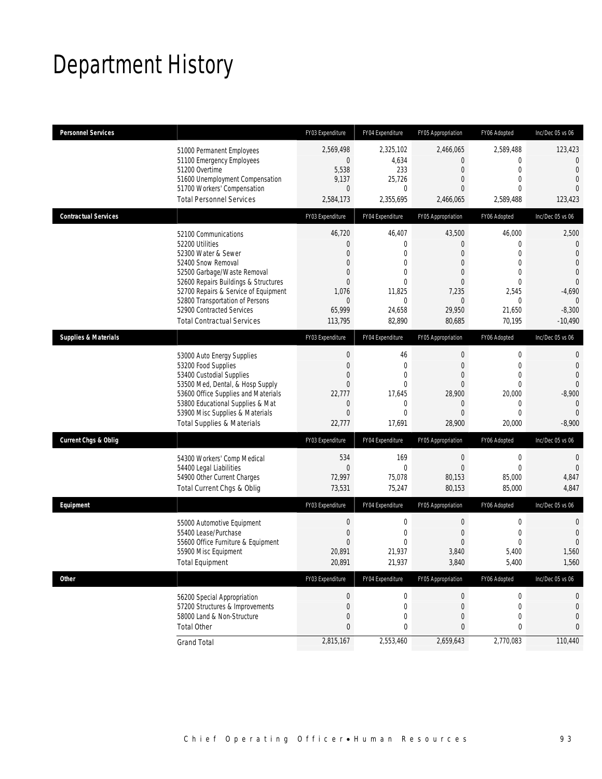# Department History

| <b>Personnel Services</b>       |                                                                                                                                                                                                                                                                                                          | FY03 Expenditure                                                                                                                  | FY04 Expenditure                                                                                       | FY05 Appropriation                                                                                                          | FY06 Adopted                                                                                                   | Inc/Dec 05 vs 06                                                                                                            |
|---------------------------------|----------------------------------------------------------------------------------------------------------------------------------------------------------------------------------------------------------------------------------------------------------------------------------------------------------|-----------------------------------------------------------------------------------------------------------------------------------|--------------------------------------------------------------------------------------------------------|-----------------------------------------------------------------------------------------------------------------------------|----------------------------------------------------------------------------------------------------------------|-----------------------------------------------------------------------------------------------------------------------------|
|                                 | 51000 Permanent Employees<br>51100 Emergency Employees<br>51200 Overtime<br>51600 Unemployment Compensation<br>51700 Workers' Compensation<br><b>Total Personnel Services</b>                                                                                                                            | 2,569,498<br>$\boldsymbol{0}$<br>5,538<br>9,137<br>$\mathbf{0}$<br>2,584,173                                                      | 2,325,102<br>4,634<br>233<br>25,726<br>$\mathbf{0}$<br>2,355,695                                       | 2,466,065<br>$\overline{0}$<br>$\overline{0}$<br>$\overline{0}$<br>$\Omega$<br>2,466,065                                    | 2,589,488<br>$\mathbf{0}$<br>$\mathbf 0$<br>$\theta$<br>$\Omega$<br>2,589,488                                  | 123,423<br>$\theta$<br>$\overline{0}$<br>$\theta$<br>$\Omega$<br>123,423                                                    |
| <b>Contractual Services</b>     |                                                                                                                                                                                                                                                                                                          | FY03 Expenditure                                                                                                                  | FY04 Expenditure                                                                                       | FY05 Appropriation                                                                                                          | FY06 Adopted                                                                                                   | Inc/Dec 05 vs 06                                                                                                            |
|                                 | 52100 Communications<br>52200 Utilities<br>52300 Water & Sewer<br>52400 Snow Removal<br>52500 Garbage/Waste Removal<br>52600 Repairs Buildings & Structures<br>52700 Repairs & Service of Equipment<br>52800 Transportation of Persons<br>52900 Contracted Services<br><b>Total Contractual Services</b> | 46,720<br>$\mathbf{0}$<br>$\Omega$<br>$\overline{0}$<br>$\mathbf 0$<br>$\mathbf{0}$<br>1,076<br>$\mathbf{0}$<br>65,999<br>113,795 | 46,407<br>0<br>$\Omega$<br>0<br>$\mathbf{0}$<br>$\theta$<br>11,825<br>$\mathbf{0}$<br>24,658<br>82,890 | 43,500<br>$\overline{0}$<br>$\Omega$<br>$\mathbf{0}$<br>$\overline{0}$<br>$\Omega$<br>7,235<br>$\Omega$<br>29,950<br>80,685 | 46,000<br>$\mathbf 0$<br>$\theta$<br>$\Omega$<br>$\theta$<br>$\theta$<br>2,545<br>$\theta$<br>21,650<br>70,195 | 2,500<br>$\mathbf 0$<br>$\Omega$<br>$\mathbf{0}$<br>$\theta$<br>$\mathbf{0}$<br>-4,690<br>$\Omega$<br>$-8,300$<br>$-10,490$ |
| <b>Supplies &amp; Materials</b> |                                                                                                                                                                                                                                                                                                          | FY03 Expenditure                                                                                                                  | FY04 Expenditure                                                                                       | FY05 Appropriation                                                                                                          | FY06 Adopted                                                                                                   | Inc/Dec 05 vs 06                                                                                                            |
|                                 | 53000 Auto Energy Supplies<br>53200 Food Supplies<br>53400 Custodial Supplies<br>53500 Med, Dental, & Hosp Supply<br>53600 Office Supplies and Materials<br>53800 Educational Supplies & Mat<br>53900 Misc Supplies & Materials<br><b>Total Supplies &amp; Materials</b>                                 | $\mathbf 0$<br>$\overline{0}$<br>$\overline{0}$<br>$\overline{0}$<br>22,777<br>0<br>$\overline{0}$<br>22,777                      | 46<br>$\mathbf{0}$<br>$\mathbf 0$<br>$\mathbf{0}$<br>17,645<br>$\mathbf{0}$<br>$\mathbf{0}$<br>17,691  | $\mathbf 0$<br>$\overline{0}$<br>$\overline{0}$<br>$\Omega$<br>28,900<br>0<br>$\mathbf{0}$<br>28,900                        | 0<br>$\overline{0}$<br>$\Omega$<br>$\Omega$<br>20,000<br>0<br>$\Omega$<br>20,000                               | 0<br>$\overline{0}$<br>$\mathbf{0}$<br>$\theta$<br>$-8,900$<br>$\mathbf 0$<br>$\Omega$<br>$-8,900$                          |
| <b>Current Chgs &amp; Oblig</b> |                                                                                                                                                                                                                                                                                                          | FY03 Expenditure                                                                                                                  | FY04 Expenditure                                                                                       | FY05 Appropriation                                                                                                          | FY06 Adopted                                                                                                   | Inc/Dec 05 vs 06                                                                                                            |
|                                 | 54300 Workers' Comp Medical<br>54400 Legal Liabilities<br>54900 Other Current Charges<br>Total Current Chgs & Oblig                                                                                                                                                                                      | 534<br>$\boldsymbol{0}$<br>72,997<br>73,531                                                                                       | 169<br>$\mathbf{0}$<br>75,078<br>75,247                                                                | $\boldsymbol{0}$<br>$\overline{0}$<br>80,153<br>80,153                                                                      | $\boldsymbol{0}$<br>$\overline{0}$<br>85,000<br>85,000                                                         | $\mathbf 0$<br>$\mathbf 0$<br>4,847<br>4,847                                                                                |
| Equipment                       |                                                                                                                                                                                                                                                                                                          | FY03 Expenditure                                                                                                                  | FY04 Expenditure                                                                                       | FY05 Appropriation                                                                                                          | FY06 Adopted                                                                                                   | Inc/Dec 05 vs 06                                                                                                            |
|                                 | 55000 Automotive Equipment<br>55400 Lease/Purchase<br>55600 Office Furniture & Equipment<br>55900 Misc Equipment<br><b>Total Equipment</b>                                                                                                                                                               | $\boldsymbol{0}$<br>$\mathbf 0$<br>$\Omega$<br>20,891<br>20,891                                                                   | 0<br>$\mathbf 0$<br>$\Omega$<br>21,937<br>21,937                                                       | $\boldsymbol{0}$<br>$\mathbf 0$<br>0<br>3,840<br>3,840                                                                      | $\mathbf 0$<br>$\mathbf 0$<br>$\Omega$<br>5,400<br>5,400                                                       | 0<br>$\mathbf 0$<br>$\overline{0}$<br>1,560<br>1,560                                                                        |
| <b>Other</b>                    |                                                                                                                                                                                                                                                                                                          | FY03 Expenditure                                                                                                                  | FY04 Expenditure                                                                                       | FY05 Appropriation                                                                                                          | FY06 Adopted                                                                                                   | Inc/Dec 05 vs 06                                                                                                            |
|                                 | 56200 Special Appropriation<br>57200 Structures & Improvements<br>58000 Land & Non-Structure<br><b>Total Other</b>                                                                                                                                                                                       | 0<br>$\boldsymbol{0}$<br>$\mathbf 0$<br>$\pmb{0}$                                                                                 | 0<br>0<br>0<br>$\pmb{0}$                                                                               | 0<br>$\mathbf 0$<br>$\mathbf 0$<br>0                                                                                        | $\boldsymbol{0}$<br>$\mathbf 0$<br>$\mathbf 0$<br>0                                                            | $\mathbf{0}$<br>$\mathbf 0$<br>$\mathbf 0$<br>0                                                                             |
|                                 | <b>Grand Total</b>                                                                                                                                                                                                                                                                                       | 2,815,167                                                                                                                         | 2,553,460                                                                                              | 2,659,643                                                                                                                   | 2,770,083                                                                                                      | 110,440                                                                                                                     |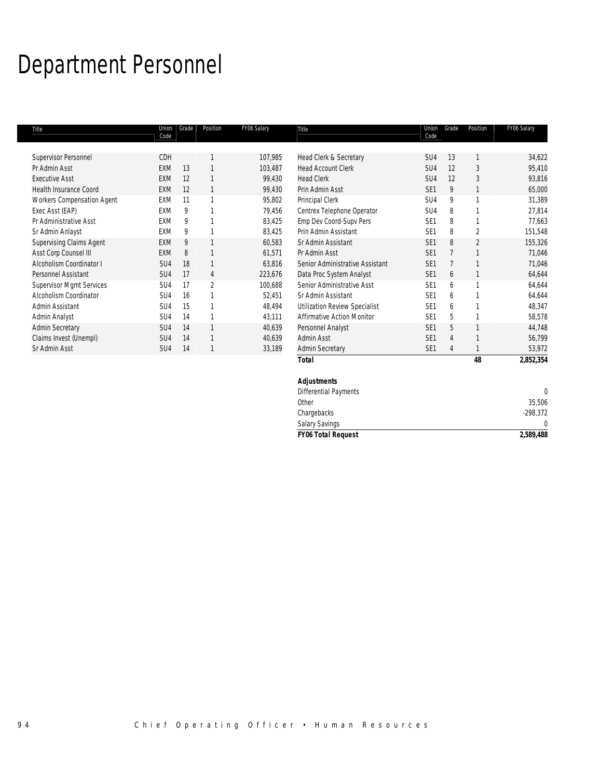# Department Personnel

|                                 | Union           | Grade | Position       | FY06 Salary |                                      | Union           | Grade          | Position       | FY06 Salary |
|---------------------------------|-----------------|-------|----------------|-------------|--------------------------------------|-----------------|----------------|----------------|-------------|
| Title                           | Code            |       |                |             | Title                                | Code            |                |                |             |
|                                 |                 |       |                |             |                                      |                 |                |                |             |
| Supervisor Personnel            | CDH             |       |                | 107,985     | Head Clerk & Secretary               | SU4             | 13             |                | 34,622      |
| Pr Admin Asst                   | <b>EXM</b>      | 13    |                | 103.487     | <b>Head Account Clerk</b>            | SU <sub>4</sub> | 12             | 3              | 95,410      |
| <b>Fxecutive Asst</b>           | <b>EXM</b>      | 12    |                | 99,430      | <b>Head Clerk</b>                    | SU4             | 12             | 3              | 93,816      |
| <b>Health Insurance Coord</b>   | <b>EXM</b>      | 12    | 1              | 99,430      | Prin Admin Asst                      | SE <sub>1</sub> | 9              | 1              | 65,000      |
| Workers Compensation Agent      | <b>EXM</b>      | 11    | 1              | 95,802      | Principal Clerk                      | SU4             | 9              | 1              | 31,389      |
| Exec Asst (EAP)                 | <b>EXM</b>      | 9     |                | 79.456      | Centrex Telephone Operator           | SU4             | 8              |                | 27,814      |
| Pr Administrative Asst          | <b>EXM</b>      | 9     |                | 83.425      | Emp Dev Coord-Supv Pers              | SE <sub>1</sub> | 8              | $\mathbf{1}$   | 77.663      |
| Sr Admin Anlayst                | <b>EXM</b>      | 9     |                | 83,425      | Prin Admin Assistant                 | SE <sub>1</sub> | 8              | $\overline{2}$ | 151,548     |
| <b>Supervising Claims Agent</b> | <b>EXM</b>      | 9     |                | 60,583      | Sr Admin Assistant                   | SE <sub>1</sub> | 8              | $\overline{2}$ | 155,326     |
| Asst Corp Counsel III           | <b>EXM</b>      | 8     |                | 61,571      | Pr Admin Asst                        | SE <sub>1</sub> | $\overline{7}$ |                | 71,046      |
| Alcoholism Coordinator I        | SU <sub>4</sub> | 18    |                | 63,816      | Senior Administrative Assistant      | SE <sub>1</sub> |                |                | 71,046      |
| Personnel Assistant             | SU <sub>4</sub> | 17    | 4              | 223,676     | Data Proc System Analyst             | SE <sub>1</sub> | 6              | 1              | 64,644      |
| <b>Supervisor Mgmt Services</b> | SU <sub>4</sub> | 17    | $\overline{2}$ | 100,688     | Senior Administrative Asst           | SE <sub>1</sub> | 6              |                | 64,644      |
| Alcoholism Coordinator          | SU4             | 16    | 1              | 52,451      | Sr Admin Assistant                   | SE <sub>1</sub> | 6              | 1              | 64,644      |
| Admin Assistant                 | SU4             | 15    | 1              | 48,494      | <b>Utilization Review Specialist</b> | SE <sub>1</sub> | 6              | $\mathbf{1}$   | 48,347      |
| Admin Analyst                   | SU <sub>4</sub> | 14    |                | 43,111      | <b>Affirmative Action Monitor</b>    | SE <sub>1</sub> | 5              | $\mathbf{1}$   | 58,578      |
| <b>Admin Secretary</b>          | SU <sub>4</sub> | 14    |                | 40,639      | Personnel Analyst                    | SE <sub>1</sub> | 5              |                | 44,748      |
| Claims Invest (Unempl)          | SU <sub>4</sub> | 14    | $\mathbf{1}$   | 40,639      | Admin Asst                           | SE <sub>1</sub> | $\overline{4}$ | $\mathbf{1}$   | 56,799      |
| Sr Admin Asst                   | SU4             | 14    |                | 33,189      | <b>Admin Secretary</b>               | SE <sub>1</sub> | 4              |                | 53,972      |
|                                 |                 |       |                |             | <b>Total</b>                         |                 |                | 48             | 2,852,354   |
|                                 |                 |       |                |             | <b>Adjustments</b>                   |                 |                |                |             |
|                                 |                 |       |                |             | <b>Differential Payments</b>         |                 |                |                | $\Omega$    |
|                                 |                 |       |                |             | Other                                |                 |                |                | 35,506      |
|                                 |                 |       |                |             |                                      |                 |                |                |             |

| <b>FY06 Total Request</b>    | 2,589,488  |
|------------------------------|------------|
| <b>Salary Savings</b>        |            |
| Chargebacks                  | $-298.372$ |
| Other                        | 35.506     |
| <b>Differential Payments</b> |            |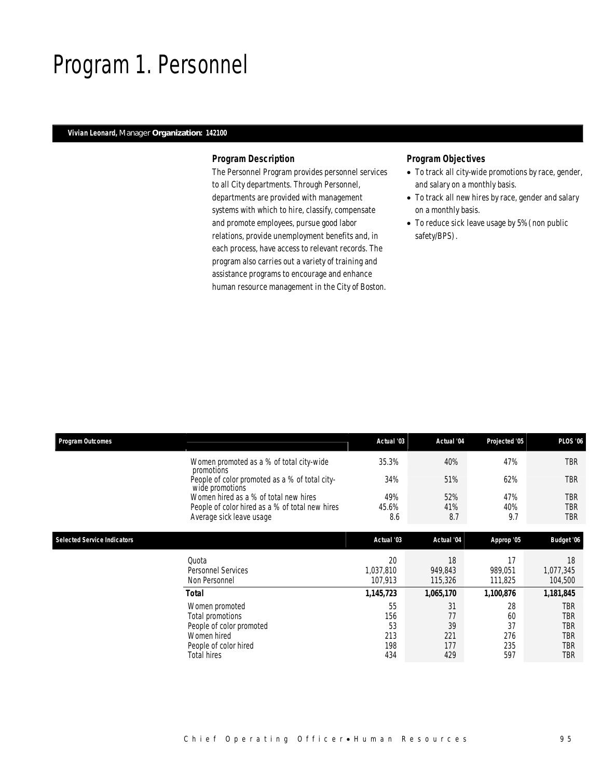## Program 1. Personnel

### *Vivian Leonard, Manager Organization: 142100*

#### *Program Description*

The Personnel Program provides personnel services to all City departments. Through Personnel, departments are provided with management systems with which to hire, classify, compensate and promote employees, pursue good labor relations, provide unemployment benefits and, in each process, have access to relevant records. The program also carries out a variety of training and assistance programs to encourage and enhance human resource management in the City of Boston.

### *Program Objectives*

- To track all city-wide promotions by race, gender, and salary on a monthly basis.
- To track all new hires by race, gender and salary on a monthly basis.
- To reduce sick leave usage by 5% (non public safety/BPS).

| <b>Program Outcomes</b>            |                                                                                                                      | Actual '03                 | Actual '04               | Projected '05            | <b>PLOS '06</b>                               |
|------------------------------------|----------------------------------------------------------------------------------------------------------------------|----------------------------|--------------------------|--------------------------|-----------------------------------------------|
|                                    | Women promoted as a % of total city-wide                                                                             | 35.3%                      | 40%                      | 47%                      | <b>TBR</b>                                    |
|                                    | promotions<br>People of color promoted as a % of total city-<br>wide promotions                                      | 34%                        | 51%                      | 62%                      | <b>TBR</b>                                    |
|                                    | Women hired as a % of total new hires<br>People of color hired as a % of total new hires<br>Average sick leave usage | 49%<br>45.6%<br>8.6        | 52%<br>41%<br>8.7        | 47%<br>40%<br>9.7        | <b>TBR</b><br><b>TBR</b><br><b>TBR</b>        |
| <b>Selected Service Indicators</b> |                                                                                                                      | Actual '03                 | Actual '04               | Approp '05               | Budget '06                                    |
|                                    | Quota<br>Personnel Services<br>Non Personnel                                                                         | 20<br>1,037,810<br>107,913 | 18<br>949,843<br>115,326 | 17<br>989,051<br>111,825 | 18<br>1,077,345<br>104,500                    |
|                                    | Total                                                                                                                | 1,145,723                  | 1,065,170                | 1,100,876                | 1,181,845                                     |
|                                    | Women promoted<br>Total promotions<br>People of color promoted<br>Women hired                                        | 55<br>156<br>53<br>213     | 31<br>77<br>39<br>221    | 28<br>60<br>37<br>276    | <b>TBR</b><br><b>TBR</b><br><b>TBR</b><br>TBR |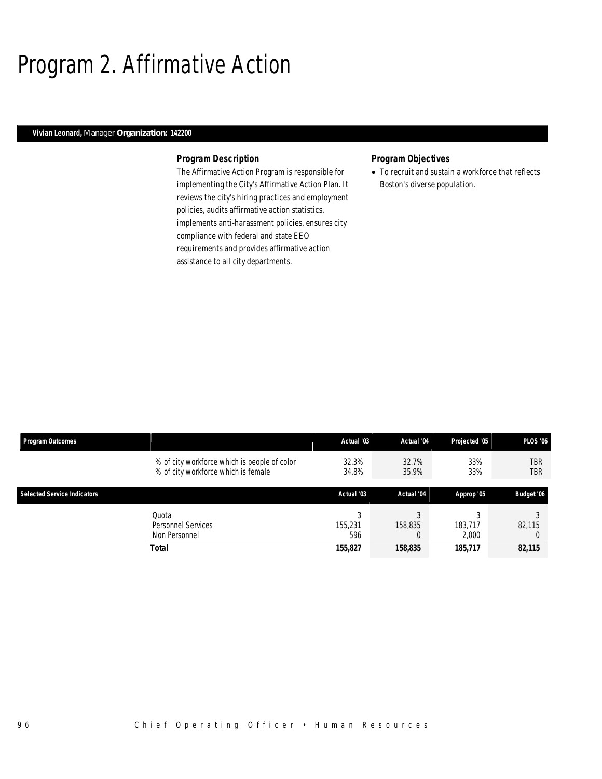# Program 2. Affirmative Action

### *Vivian Leonard, Manager Organization: 142200*

#### *Program Description*

The Affirmative Action Program is responsible for implementing the City's Affirmative Action Plan. It reviews the city's hiring practices and employment policies, audits affirmative action statistics, implements anti-harassment policies, ensures city compliance with federal and state EEO requirements and provides affirmative action assistance to all city departments.

#### *Program Objectives*

• To recruit and sustain a workforce that reflects Boston's diverse population.

| <b>Program Outcomes</b>            |                                                                                     | Actual '03     | Actual '04     | Projected '05    | <b>PLOS '06</b>   |
|------------------------------------|-------------------------------------------------------------------------------------|----------------|----------------|------------------|-------------------|
|                                    | % of city workforce which is people of color<br>% of city workforce which is female | 32.3%<br>34.8% | 32.7%<br>35.9% | 33%<br>33%       | TBR<br><b>TBR</b> |
| <b>Selected Service Indicators</b> |                                                                                     | Actual '03     | Actual '04     | Approp '05       | Budget '06        |
|                                    | Ouota<br>Personnel Services<br>Non Personnel                                        | 155.231<br>596 | 158,835        | 183.717<br>2,000 | 82,115            |
|                                    | Total                                                                               | 155,827        | 158,835        | 185,717          | 82,115            |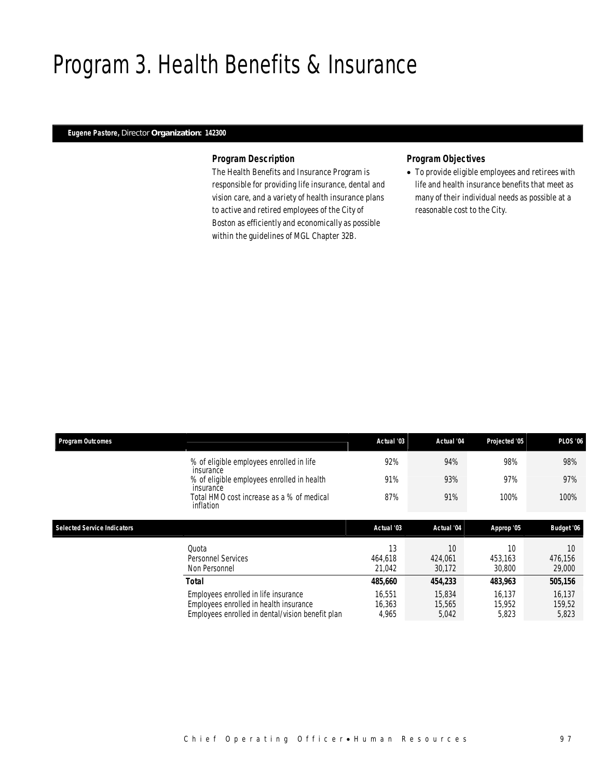# Program 3. Health Benefits & Insurance

## *Eugene Pastore, Director Organization: 142300*

#### *Program Description*

The Health Benefits and Insurance Program is responsible for providing life insurance, dental and vision care, and a variety of health insurance plans to active and retired employees of the City of Boston as efficiently and economically as possible within the guidelines of MGL Chapter 32B.

## *Program Objectives*

• To provide eligible employees and retirees with life and health insurance benefits that meet as many of their individual needs as possible at a reasonable cost to the City.

| <b>Program Outcomes</b>            |                                                                                                                                    | Actual '03                | Actual '04                | Projected '05             | <b>PLOS '06</b>           |
|------------------------------------|------------------------------------------------------------------------------------------------------------------------------------|---------------------------|---------------------------|---------------------------|---------------------------|
|                                    | % of eligible employees enrolled in life<br>insurance                                                                              | 92%                       | 94%                       | 98%                       | 98%                       |
|                                    | % of eligible employees enrolled in health<br>insurance                                                                            | 91%                       | 93%                       | 97%                       | 97%                       |
|                                    | Total HMO cost increase as a % of medical<br>inflation                                                                             | 87%                       | 91%                       | 100%                      | 100%                      |
| <b>Selected Service Indicators</b> |                                                                                                                                    | Actual '03                | Actual '04                | Approp '05                | Budget '06                |
|                                    | Quota<br>Personnel Services<br>Non Personnel                                                                                       | 13<br>464.618<br>21,042   | 10<br>424.061<br>30,172   | 10<br>453.163<br>30,800   | 10<br>476,156<br>29,000   |
|                                    | Total                                                                                                                              | 485,660                   | 454,233                   | 483.963                   | 505,156                   |
|                                    | Employees enrolled in life insurance<br>Employees enrolled in health insurance<br>Employees enrolled in dental/vision benefit plan | 16,551<br>16.363<br>4,965 | 15,834<br>15,565<br>5,042 | 16.137<br>15.952<br>5,823 | 16,137<br>159.52<br>5,823 |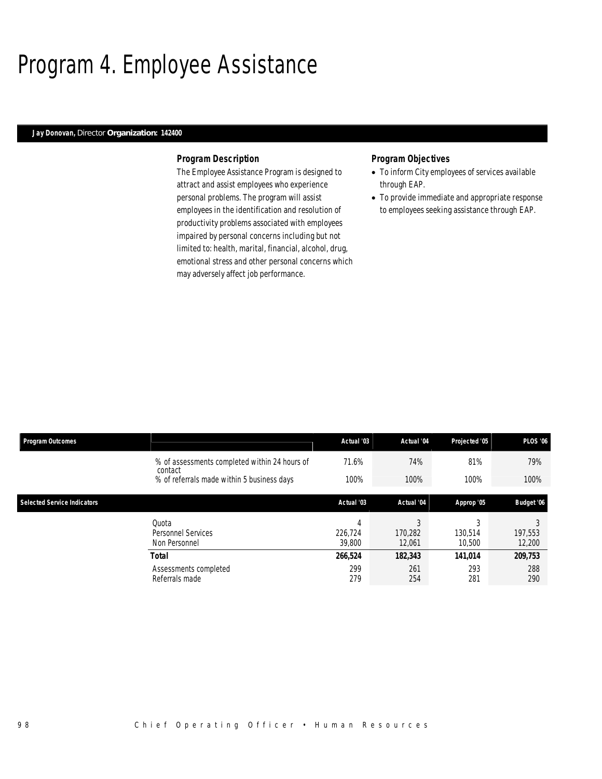# Program 4. Employee Assistance

#### *Jay Donovan, Director Organization: 142400*

#### *Program Description*

The Employee Assistance Program is designed to attract and assist employees who experience personal problems. The program will assist employees in the identification and resolution of productivity problems associated with employees impaired by personal concerns including but not limited to: health, marital, financial, alcohol, drug, emotional stress and other personal concerns which may adversely affect job performance.

#### *Program Objectives*

- To inform City employees of services available through EAP.
- To provide immediate and appropriate response to employees seeking assistance through EAP.

| <b>Program Outcomes</b>            |                                                       | Actual '03             | Actual '04             | Projected '05     | <b>PLOS '06</b>   |
|------------------------------------|-------------------------------------------------------|------------------------|------------------------|-------------------|-------------------|
|                                    | % of assessments completed within 24 hours of         | 71.6%                  | 74%                    | 81%               | 79%               |
|                                    | contact<br>% of referrals made within 5 business days | 100%                   | 100%                   | 100%              | 100%              |
| <b>Selected Service Indicators</b> |                                                       | Actual '03             | Actual '04             | Approp '05        | Budget '06        |
|                                    | Quota<br>Personnel Services<br>Non Personnel          | 4<br>226.724<br>39,800 | 3<br>170.282<br>12,061 | 130.514<br>10.500 | 197.553<br>12,200 |
|                                    | Total                                                 | 266,524                | 182,343                | 141,014           | 209,753           |
|                                    | Assessments completed<br>Referrals made               | 299<br>279             | 261<br>254             | 293<br>281        | 288<br>290        |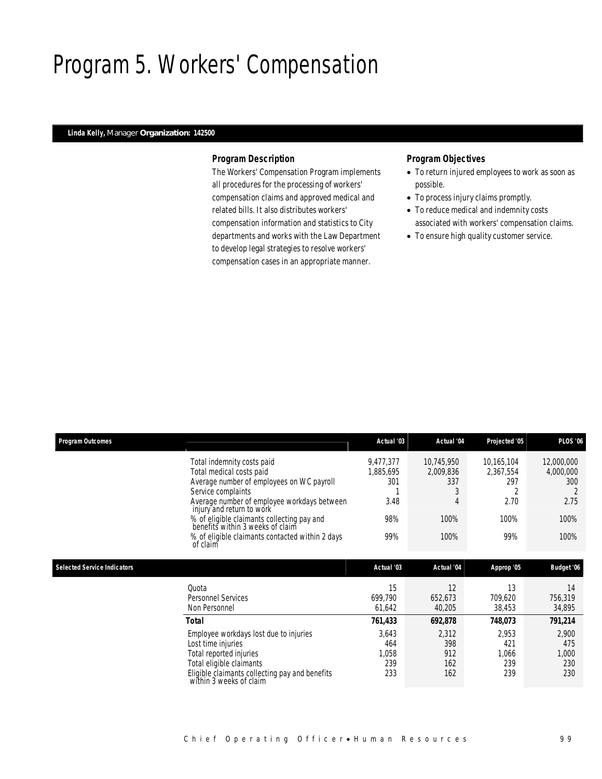# Program 5. Workers' Compensation

### *Linda Kelly, Manager Organization: 142500*

### *Program Description*

The Workers' Compensation Program implements all procedures for the processing of workers' compensation claims and approved medical and related bills. It also distributes workers' compensation information and statistics to City departments and works with the Law Department to develop legal strategies to resolve workers' compensation cases in an appropriate manner.

- To return injured employees to work as soon as possible.
- To process injury claims promptly.
- To reduce medical and indemnity costs associated with workers' compensation claims.
- To ensure high quality customer service.

| <b>Program Outcomes</b>            |                                                                                                                                                                                                  | Actual '03                          | Actual '04                          | Projected '05                       | <b>PLOS '06</b>                     |
|------------------------------------|--------------------------------------------------------------------------------------------------------------------------------------------------------------------------------------------------|-------------------------------------|-------------------------------------|-------------------------------------|-------------------------------------|
|                                    | Total indemnity costs paid<br>Total medical costs paid<br>Average number of employees on WC payroll<br>Service complaints                                                                        | 9,477,377<br>1,885,695<br>301       | 10,745,950<br>2,009,836<br>337<br>3 | 10,165,104<br>2,367,554<br>297<br>2 | 12,000,000<br>4,000,000<br>300<br>2 |
|                                    | Average number of employee workdays between<br>injury and return to work                                                                                                                         | 3.48                                |                                     | 2.70                                | 2.75                                |
|                                    | % of eligible claimants collecting pay and<br>benefits within 3 weeks of claim                                                                                                                   | 98%                                 | 100%                                | 100%                                | 100%                                |
|                                    | % of eligible claimants contacted within 2 days<br>of claim                                                                                                                                      | 99%                                 | 100%                                | 99%                                 | 100%                                |
| <b>Selected Service Indicators</b> |                                                                                                                                                                                                  | Actual '03                          | Actual '04                          | Approp '05                          | Budget '06                          |
|                                    | Quota<br>Personnel Services<br>Non Personnel                                                                                                                                                     | 15<br>699,790<br>61,642             | 12<br>652,673<br>40,205             | 13<br>709,620<br>38,453             | 14<br>756,319<br>34,895             |
|                                    | Total                                                                                                                                                                                            | 761,433                             | 692,878                             | 748,073                             | 791,214                             |
|                                    | Employee workdays lost due to injuries<br>Lost time injuries<br>Total reported injuries<br>Total eligible claimants<br>Eligible claimants collecting pay and benefits<br>within 3 weeks of claim | 3,643<br>464<br>1,058<br>239<br>233 | 2,312<br>398<br>912<br>162<br>162   | 2,953<br>421<br>1,066<br>239<br>239 | 2,900<br>475<br>1,000<br>230<br>230 |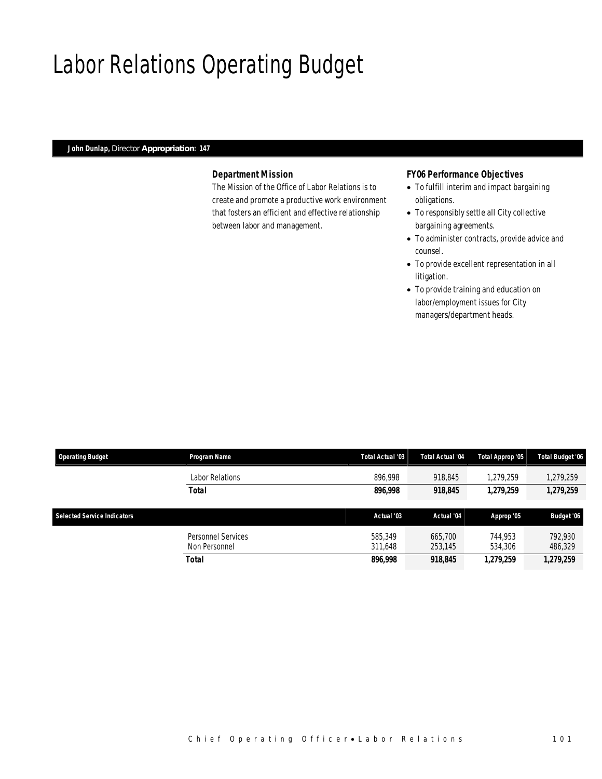# Labor Relations Operating Budget

### *John Dunlap, Director Appropriation: 147*

## *Department Mission*

The Mission of the Office of Labor Relations is to create and promote a productive work environment that fosters an efficient and effective relationship between labor and management.

### *FY06 Performance Objectives*

- To fulfill interim and impact bargaining obligations.
- To responsibly settle all City collective bargaining agreements.
- To administer contracts, provide advice and counsel.
- To provide excellent representation in all litigation.
- To provide training and education on labor/employment issues for City managers/department heads.

| <b>Operating Budget</b>            | Program Name       | Total Actual '03 | Total Actual '04 | Total Approp '05 | <b>Total Budget '06</b> |
|------------------------------------|--------------------|------------------|------------------|------------------|-------------------------|
|                                    | Labor Relations    | 896.998          | 918.845          | 1.279.259        | 1,279,259               |
|                                    | <b>Total</b>       | 896,998          | 918,845          | 1,279,259        | 1,279,259               |
|                                    |                    |                  |                  |                  |                         |
|                                    |                    |                  |                  |                  |                         |
| <b>Selected Service Indicators</b> |                    | Actual '03       | Actual '04       | Approp '05       | <b>Budget '06</b>       |
|                                    | Personnel Services | 585,349          | 665,700          | 744.953          | 792.930                 |
|                                    | Non Personnel      | 311.648          | 253.145          | 534,306          | 486,329                 |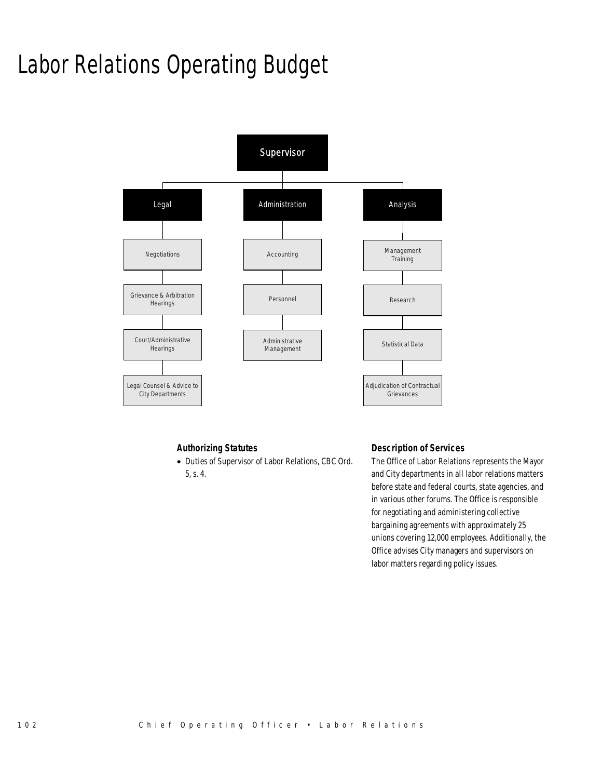# Labor Relations Operating Budget



## *Authorizing Statutes*

• Duties of Supervisor of Labor Relations, CBC Ord. 5, s. 4.

### *Description of Services*

The Office of Labor Relations represents the Mayor and City departments in all labor relations matters before state and federal courts, state agencies, and in various other forums. The Office is responsible for negotiating and administering collective bargaining agreements with approximately 25 unions covering 12,000 employees. Additionally, the Office advises City managers and supervisors on labor matters regarding policy issues.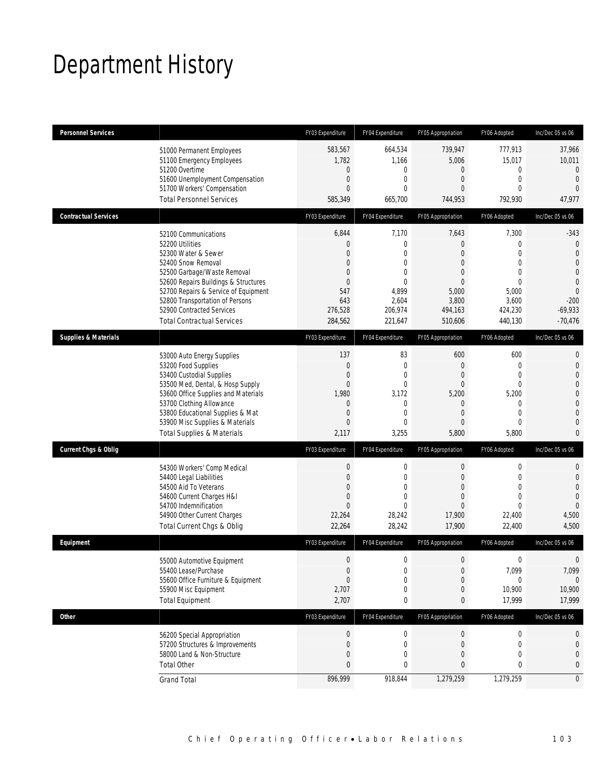# Department History

| <b>Personnel Services</b>       |                                                                 | FY03 Expenditure                 | FY04 Expenditure             | FY05 Appropriation               | FY06 Adopted                  | Inc/Dec 05 vs 06               |
|---------------------------------|-----------------------------------------------------------------|----------------------------------|------------------------------|----------------------------------|-------------------------------|--------------------------------|
|                                 | 51000 Permanent Employees                                       | 583,567                          | 664,534                      | 739.947                          | 777,913                       | 37,966                         |
|                                 | 51100 Emergency Employees                                       | 1,782                            | 1,166                        | 5,006                            | 15,017                        | 10,011                         |
|                                 | 51200 Overtime                                                  | $\overline{0}$                   | $\mathbf{0}$                 | $\overline{0}$                   | $\mathbf 0$                   | $\theta$                       |
|                                 | 51600 Unemployment Compensation                                 | $\mathbf 0$<br>$\overline{0}$    | $\mathbf 0$<br>$\mathbf{0}$  | $\overline{0}$<br>$\overline{0}$ | $\mathbf 0$<br>$\theta$       | $\mathbf{0}$<br>$\overline{0}$ |
|                                 | 51700 Workers' Compensation<br><b>Total Personnel Services</b>  | 585,349                          | 665,700                      | 744,953                          | 792,930                       | 47,977                         |
| <b>Contractual Services</b>     |                                                                 | FY03 Expenditure                 | FY04 Expenditure             | FY05 Appropriation               | FY06 Adopted                  | Inc/Dec 05 vs 06               |
|                                 |                                                                 |                                  |                              |                                  |                               |                                |
|                                 | 52100 Communications                                            | 6,844                            | 7,170                        | 7,643                            | 7,300                         | $-343$                         |
|                                 | 52200 Utilities                                                 | $\mathbf{0}$                     | 0                            | $\overline{0}$                   | $\overline{0}$                | $\overline{0}$                 |
|                                 | 52300 Water & Sewer<br>52400 Snow Removal                       | $\overline{0}$<br>$\overline{0}$ | $\mathbf{0}$<br>$\mathbf{0}$ | $\overline{0}$<br>$\overline{0}$ | $\overline{0}$<br>$\mathbf 0$ | $\theta$<br>$\mathbf{0}$       |
|                                 | 52500 Garbage/Waste Removal                                     | $\overline{0}$                   | $\mathbf{0}$                 | $\overline{0}$                   | $\Omega$                      | $\mathbf 0$                    |
|                                 | 52600 Repairs Buildings & Structures                            | $\overline{0}$                   | $\Omega$                     | $\Omega$                         | $\Omega$                      | $\Omega$                       |
|                                 | 52700 Repairs & Service of Equipment                            | 547                              | 4,899                        | 5,000                            | 5,000                         | $\mathbf{0}$                   |
|                                 | 52800 Transportation of Persons                                 | 643                              | 2,604                        | 3,800                            | 3,600                         | $-200$                         |
|                                 | 52900 Contracted Services                                       | 276,528                          | 206,974                      | 494,163                          | 424,230                       | $-69,933$                      |
|                                 | <b>Total Contractual Services</b>                               | 284,562                          | 221,647                      | 510,606                          | 440,130                       | $-70,476$                      |
| <b>Supplies &amp; Materials</b> |                                                                 | FY03 Expenditure                 | FY04 Expenditure             | FY05 Appropriation               | FY06 Adopted                  | Inc/Dec 05 vs 06               |
|                                 | 53000 Auto Energy Supplies                                      | 137                              | 83                           | 600                              | 600                           | 0                              |
|                                 | 53200 Food Supplies                                             | $\boldsymbol{0}$                 | $\mathbf{0}$                 | $\overline{0}$                   | $\mathbf{0}$                  | $\mathbf 0$                    |
|                                 | 53400 Custodial Supplies                                        | $\mathbf 0$                      | $\mathbf 0$                  | $\theta$                         | $\mathbf{0}$                  | $\mathbf 0$                    |
|                                 | 53500 Med, Dental, & Hosp Supply                                | $\mathbf 0$                      | $\mathbf{0}$                 | $\overline{0}$                   | $\mathbf 0$                   | $\boldsymbol{0}$               |
|                                 | 53600 Office Supplies and Materials<br>53700 Clothing Allowance | 1,980<br>$\mathbf{0}$            | 3,172<br>$\mathbf 0$         | 5,200<br>$\mathbf{0}$            | 5,200<br>$\Omega$             | $\theta$<br>$\mathbf{0}$       |
|                                 | 53800 Educational Supplies & Mat                                | $\overline{0}$                   | $\mathbf{0}$                 | $\mathbf{0}$                     | $\mathbf{0}$                  | $\mathbf 0$                    |
|                                 | 53900 Misc Supplies & Materials                                 | $\mathbf 0$                      | $\mathbf{0}$                 | $\overline{0}$                   | $\theta$                      | $\theta$                       |
|                                 | <b>Total Supplies &amp; Materials</b>                           | 2,117                            | 3,255                        | 5,800                            | 5,800                         | $\mathbf{0}$                   |
| <b>Current Chgs &amp; Oblig</b> |                                                                 | FY03 Expenditure                 | FY04 Expenditure             | FY05 Appropriation               | FY06 Adopted                  | Inc/Dec 05 vs 06               |
|                                 | 54300 Workers' Comp Medical                                     | $\boldsymbol{0}$                 | $\mathbf 0$                  | $\boldsymbol{0}$                 | $\boldsymbol{0}$              | $\mathbf 0$                    |
|                                 | 54400 Legal Liabilities                                         | $\overline{0}$                   | $\mathbf{0}$                 | $\mathbf{0}$                     | $\mathbf{0}$                  | $\boldsymbol{0}$               |
|                                 | 54500 Aid To Veterans                                           | $\mathbf{0}$                     | $\mathbf{0}$                 | $\overline{0}$                   | $\mathbf 0$                   | $\mathbf 0$                    |
|                                 | 54600 Current Charges H&I                                       | $\overline{0}$                   | $\mathbf{0}$                 | $\overline{0}$                   | $\overline{0}$                | $\mathbf 0$                    |
|                                 | 54700 Indemnification                                           | $\Omega$                         | $\Omega$                     | 0                                | $\Omega$                      | $\overline{0}$                 |
|                                 | 54900 Other Current Charges                                     | 22,264                           | 28,242                       | 17,900                           | 22,400                        | 4,500                          |
|                                 | Total Current Chgs & Oblig                                      | 22,264                           | 28,242                       | 17,900                           | 22,400                        | 4,500                          |
| Equipment                       |                                                                 | FY03 Expenditure                 | FY04 Expenditure             | FY05 Appropriation               | FY06 Adopted                  | Inc/Dec 05 vs 06               |
|                                 | 55000 Automotive Equipment                                      | $\mathbf{0}$                     | $\mathbf{0}$                 | $\mathbf{0}$                     | $\mathbf{0}$                  | $\mathbf{0}$                   |
|                                 | 55400 Lease/Purchase                                            | $\boldsymbol{0}$                 | $\mathbf 0$                  | $\mathbf 0$                      | 7,099                         | 7,099                          |
|                                 | 55600 Office Furniture & Equipment                              | $\overline{0}$                   | 0                            | $\mathbf 0$                      | $\Omega$                      | $\overline{0}$                 |
|                                 | 55900 Misc Equipment                                            | 2,707                            | 0                            | $\mathbf 0$                      | 10,900                        | 10,900                         |
|                                 | <b>Total Equipment</b>                                          | 2,707                            | 0                            | 0                                | 17,999                        | 17,999                         |
| Other                           |                                                                 | FY03 Expenditure                 | FY04 Expenditure             | FY05 Appropriation               | FY06 Adopted                  | Inc/Dec 05 vs 06               |
|                                 | 56200 Special Appropriation                                     | $\boldsymbol{0}$                 | $\boldsymbol{0}$             | $\boldsymbol{0}$                 | 0                             | 0                              |
|                                 | 57200 Structures & Improvements                                 | $\mathbf 0$                      | 0                            | $\theta$                         | $\mathbf 0$                   | $\theta$                       |
|                                 | 58000 Land & Non-Structure                                      | $\mathbf 0$                      | $\mathbf 0$                  | $\mathbf 0$                      | $\mathbf 0$                   | $\mathbf 0$                    |
|                                 | <b>Total Other</b>                                              | $\mathbf{0}$                     | 0                            | $\mathbf{0}$                     | 0                             | 0                              |
|                                 | <b>Grand Total</b>                                              | 896,999                          | 918,844                      | 1,279,259                        | 1,279,259                     | $\overline{0}$                 |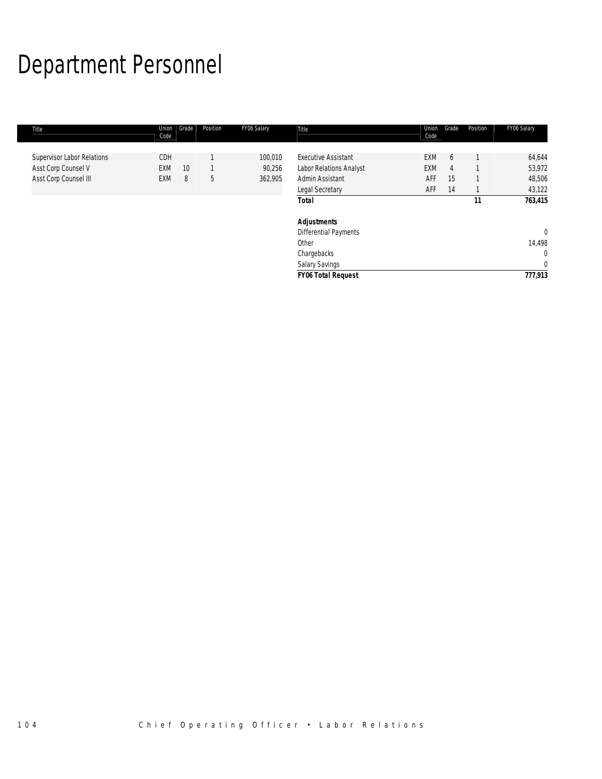# Department Personnel

| Title                             | Union<br>Code | Grade | Position | FY06 Salary | Title                      | Union<br>Code | Grade | Position | FY06 Salary |
|-----------------------------------|---------------|-------|----------|-------------|----------------------------|---------------|-------|----------|-------------|
| <b>Supervisor Labor Relations</b> | CDH           |       |          | 100,010     | <b>Executive Assistant</b> | <b>EXM</b>    | 6     |          | 64,644      |
| Asst Corp Counsel V               | EXM           | 10    |          | 90,256      | Labor Relations Analyst    | <b>EXM</b>    | 4     |          | 53,972      |
| Asst Corp Counsel III             | EXM           | 8     | 5        | 362,905     | Admin Assistant            | AFF           | 15    |          | 48,506      |
|                                   |               |       |          |             | Legal Secretary            | AFF           | 14    |          | 43,122      |
|                                   |               |       |          |             | <b>Total</b>               |               |       | 11       | 763,415     |
|                                   |               |       |          |             | <b>Adjustments</b>         |               |       |          |             |
|                                   |               |       |          |             | Differential Payments      |               |       |          | $\mathbf 0$ |
|                                   |               |       |          |             | Other                      |               |       |          | 14,498      |
|                                   |               |       |          |             | Chargebacks                |               |       |          | $\mathbf 0$ |
|                                   |               |       |          |             | Salary Savings             |               |       |          | $\mathbf 0$ |
|                                   |               |       |          |             | <b>FY06 Total Request</b>  |               |       |          | 777,913     |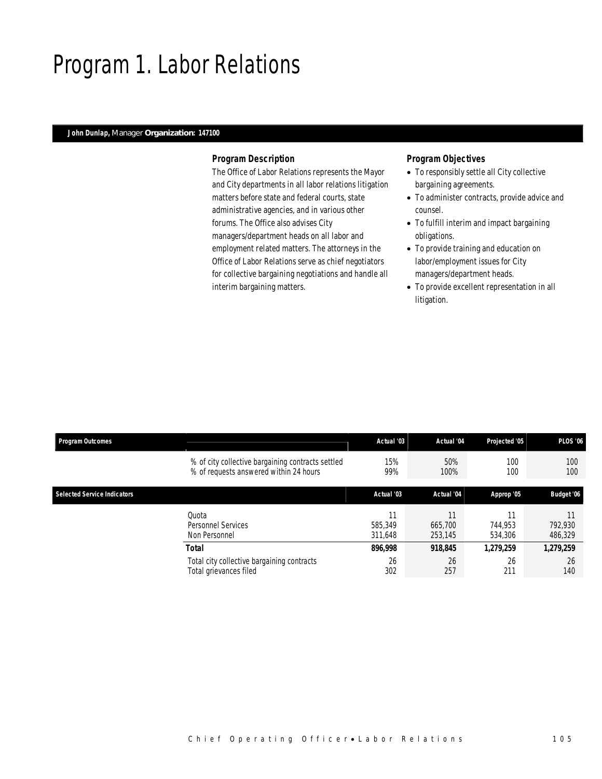# Program 1. Labor Relations

### *John Dunlap, Manager Organization: 147100*

### *Program Description*

The Office of Labor Relations represents the Mayor and City departments in all labor relations litigation matters before state and federal courts, state administrative agencies, and in various other forums. The Office also advises City managers/department heads on all labor and employment related matters. The attorneys in the Office of Labor Relations serve as chief negotiators for collective bargaining negotiations and handle all interim bargaining matters.

- To responsibly settle all City collective bargaining agreements.
- To administer contracts, provide advice and counsel.
- To fulfill interim and impact bargaining obligations.
- To provide training and education on labor/employment issues for City managers/department heads.
- To provide excellent representation in all litigation.

| <b>Program Outcomes</b>            |                                                                                             | Actual '03         | Actual '04               | Projected '05            | <b>PLOS '06</b>    |
|------------------------------------|---------------------------------------------------------------------------------------------|--------------------|--------------------------|--------------------------|--------------------|
|                                    | % of city collective bargaining contracts settled<br>% of requests answered within 24 hours | 15%<br>99%         | 50%<br>100%              | 100<br>100               | 100<br>100         |
| <b>Selected Service Indicators</b> |                                                                                             | Actual '03         | Actual '04               | Approp '05               | Budget '06         |
|                                    | Ouota<br>Personnel Services<br>Non Personnel                                                | 585,349<br>311.648 | 11<br>665,700<br>253.145 | 11<br>744.953<br>534,306 | 792,930<br>486,329 |
|                                    | <b>Total</b>                                                                                | 896,998            | 918,845                  | 1,279,259                | 1,279,259          |
|                                    | Total city collective bargaining contracts<br>Total grievances filed                        | 26<br>302          | 26<br>257                | 26<br>211                | 26<br>140          |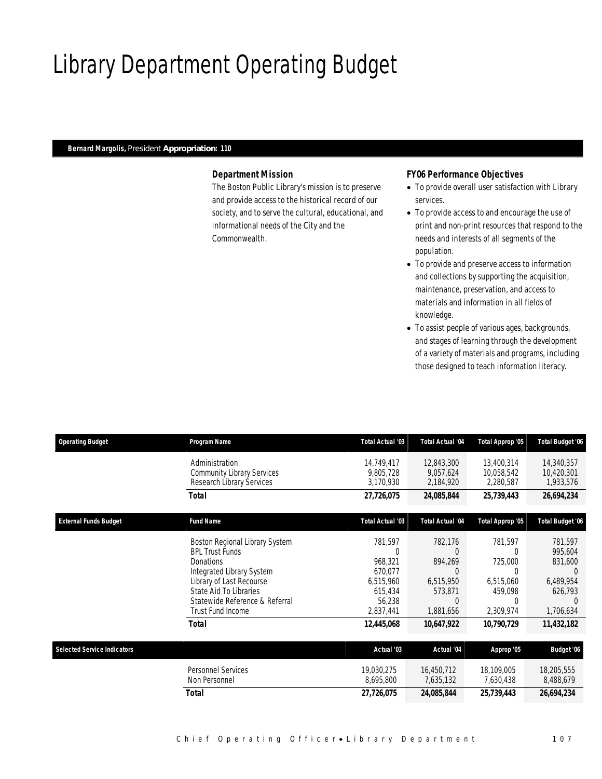# Library Department Operating Budget

### *Bernard Margolis, President Appropriation: 110*

### *Department Mission*

The Boston Public Library's mission is to preserve and provide access to the historical record of our society, and to serve the cultural, educational, and informational needs of the City and the Commonwealth.

### *FY06 Performance Objectives*

- To provide overall user satisfaction with Library services.
- To provide access to and encourage the use of print and non-print resources that respond to the needs and interests of all segments of the population.
- To provide and preserve access to information and collections by supporting the acquisition, maintenance, preservation, and access to materials and information in all fields of knowledge.
- To assist people of various ages, backgrounds, and stages of learning through the development of a variety of materials and programs, including those designed to teach information literacy.

| <b>Operating Budget</b>            | Program Name                                                                                                                                                                                                                           | <b>Total Actual '03</b>                                                                                | <b>Total Actual '04</b>                                               | Total Approp '05                                                                                   | Total Budget '06                                                                                         |
|------------------------------------|----------------------------------------------------------------------------------------------------------------------------------------------------------------------------------------------------------------------------------------|--------------------------------------------------------------------------------------------------------|-----------------------------------------------------------------------|----------------------------------------------------------------------------------------------------|----------------------------------------------------------------------------------------------------------|
|                                    | Administration<br><b>Community Library Services</b><br>Research Library Services                                                                                                                                                       | 14,749,417<br>9,805,728<br>3,170,930                                                                   | 12,843,300<br>9,057,624<br>2,184,920                                  | 13,400,314<br>10,058,542<br>2,280,587                                                              | 14,340,357<br>10,420,301<br>1,933,576                                                                    |
|                                    | Total                                                                                                                                                                                                                                  | 27,726,075                                                                                             | 24,085,844                                                            | 25,739,443                                                                                         | 26,694,234                                                                                               |
| <b>External Funds Budget</b>       | <b>Fund Name</b>                                                                                                                                                                                                                       | Total Actual '03                                                                                       | <b>Total Actual '04</b>                                               | Total Approp '05                                                                                   | <b>Total Budget '06</b>                                                                                  |
|                                    | Boston Regional Library System<br><b>BPL Trust Funds</b><br><b>Donations</b><br>Integrated Library System<br>Library of Last Recourse<br>State Aid To Libraries<br>Statewide Reference & Referral<br>Trust Fund Income<br><b>Total</b> | 781,597<br>$\theta$<br>968,321<br>670,077<br>6,515,960<br>615,434<br>56,238<br>2,837,441<br>12,445,068 | 782,176<br>894,269<br>6,515,950<br>573,871<br>1,881,656<br>10,647,922 | 781,597<br>0<br>725,000<br>$\Omega$<br>6,515,060<br>459,098<br>$\Omega$<br>2,309,974<br>10,790,729 | 781,597<br>995,604<br>831,600<br>$\Omega$<br>6,489,954<br>626,793<br>$\Omega$<br>1,706,634<br>11,432,182 |
| <b>Selected Service Indicators</b> |                                                                                                                                                                                                                                        | Actual '03                                                                                             | Actual '04                                                            | Approp '05                                                                                         | Budget '06                                                                                               |
|                                    | Personnel Services<br>Non Personnel                                                                                                                                                                                                    | 19,030,275<br>8,695,800                                                                                | 16,450,712<br>7,635,132                                               | 18,109,005<br>7,630,438                                                                            | 18,205,555<br>8,488,679                                                                                  |
|                                    | Total                                                                                                                                                                                                                                  | 27,726,075                                                                                             | 24,085,844                                                            | 25,739,443                                                                                         | 26,694,234                                                                                               |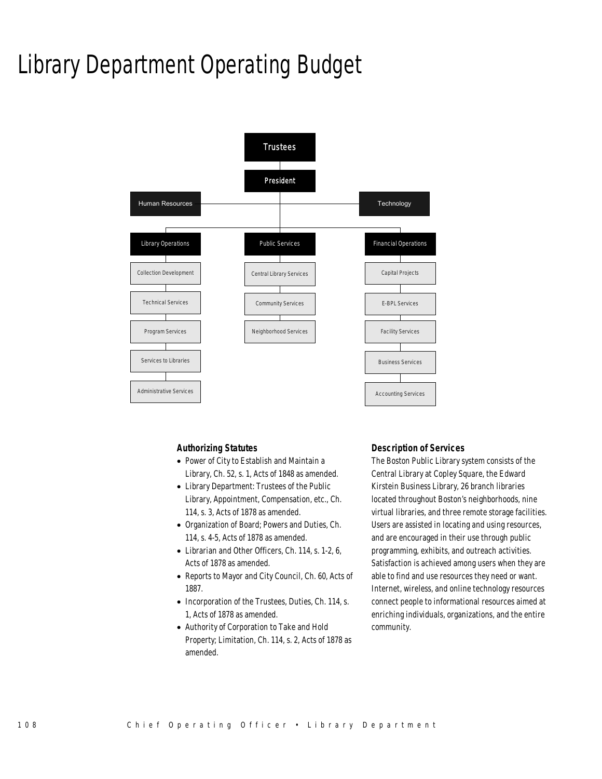# Library Department Operating Budget



### *Authorizing Statutes*

- Power of City to Establish and Maintain a Library, Ch. 52, s. 1, Acts of 1848 as amended.
- Library Department: Trustees of the Public Library, Appointment, Compensation, etc., Ch. 114, s. 3, Acts of 1878 as amended.
- Organization of Board; Powers and Duties, Ch. 114, s. 4-5, Acts of 1878 as amended.
- Librarian and Other Officers, Ch. 114, s. 1-2, 6, Acts of 1878 as amended.
- Reports to Mayor and City Council, Ch. 60, Acts of 1887.
- Incorporation of the Trustees, Duties, Ch. 114, s. 1, Acts of 1878 as amended.
- Authority of Corporation to Take and Hold Property; Limitation, Ch. 114, s. 2, Acts of 1878 as amended.

### *Description of Services*

The Boston Public Library system consists of the Central Library at Copley Square, the Edward Kirstein Business Library, 26 branch libraries located throughout Boston's neighborhoods, nine virtual libraries, and three remote storage facilities. Users are assisted in locating and using resources, and are encouraged in their use through public programming, exhibits, and outreach activities. Satisfaction is achieved among users when they are able to find and use resources they need or want. Internet, wireless, and online technology resources connect people to informational resources aimed at enriching individuals, organizations, and the entire community.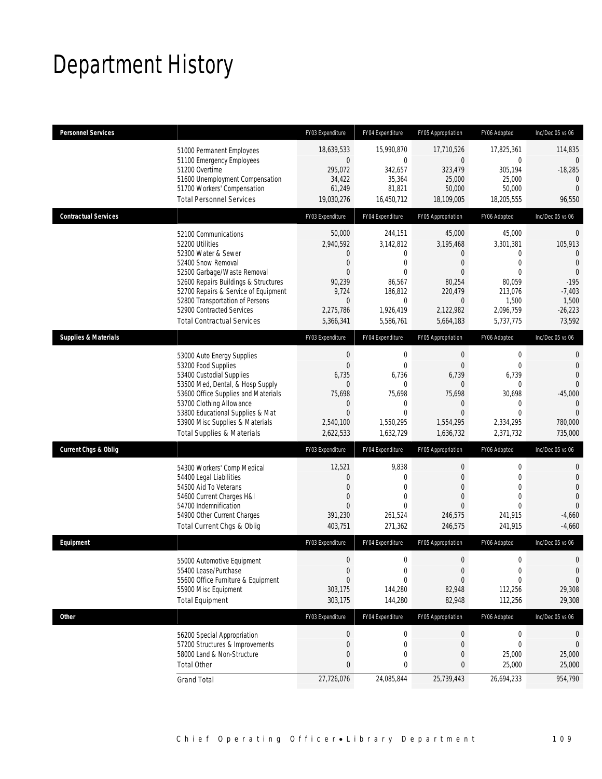# Department History

| <b>Personnel Services</b>       |                                                                                                                                                                                                                                                                                                          | FY03 Expenditure                                                                                            | FY04 Expenditure                                                                                                       | FY05 Appropriation                                                                                                                     | FY06 Adopted                                                                                                            | Inc/Dec 05 vs 06                                                                                                |
|---------------------------------|----------------------------------------------------------------------------------------------------------------------------------------------------------------------------------------------------------------------------------------------------------------------------------------------------------|-------------------------------------------------------------------------------------------------------------|------------------------------------------------------------------------------------------------------------------------|----------------------------------------------------------------------------------------------------------------------------------------|-------------------------------------------------------------------------------------------------------------------------|-----------------------------------------------------------------------------------------------------------------|
|                                 | 51000 Permanent Employees<br>51100 Emergency Employees<br>51200 Overtime<br>51600 Unemployment Compensation<br>51700 Workers' Compensation<br><b>Total Personnel Services</b>                                                                                                                            | 18,639,533<br>$\boldsymbol{0}$<br>295,072<br>34,422<br>61,249<br>19,030,276                                 | 15,990,870<br>$\mathbf{0}$<br>342,657<br>35,364<br>81,821<br>16,450,712                                                | 17,710,526<br>$\overline{0}$<br>323,479<br>25,000<br>50.000<br>18,109,005                                                              | 17,825,361<br>$\mathbf{0}$<br>305,194<br>25,000<br>50,000<br>18,205,555                                                 | 114,835<br>$\overline{0}$<br>$-18,285$<br>$\overline{0}$<br>$\overline{0}$<br>96,550                            |
| <b>Contractual Services</b>     |                                                                                                                                                                                                                                                                                                          | FY03 Expenditure                                                                                            | FY04 Expenditure                                                                                                       | FY05 Appropriation                                                                                                                     | FY06 Adopted                                                                                                            | Inc/Dec 05 vs 06                                                                                                |
|                                 | 52100 Communications<br>52200 Utilities<br>52300 Water & Sewer<br>52400 Snow Removal<br>52500 Garbage/Waste Removal<br>52600 Repairs Buildings & Structures<br>52700 Repairs & Service of Equipment<br>52800 Transportation of Persons<br>52900 Contracted Services<br><b>Total Contractual Services</b> | 50,000<br>2,940,592<br>0<br>0<br>$\Omega$<br>90,239<br>9,724<br>$\mathbf{0}$<br>2,275,786<br>5,366,341      | 244,151<br>3,142,812<br>$\mathbf 0$<br>$\mathbf 0$<br>$\mathbf{0}$<br>86,567<br>186,812<br>0<br>1,926,419<br>5,586,761 | 45,000<br>3,195,468<br>$\overline{0}$<br>$\overline{0}$<br>$\Omega$<br>80,254<br>220,479<br>$\boldsymbol{0}$<br>2,122,982<br>5,664,183 | 45,000<br>3,301,381<br>$\mathbf{0}$<br>$\mathbf{0}$<br>$\theta$<br>80,059<br>213,076<br>1,500<br>2,096,759<br>5,737,775 | $\overline{0}$<br>105,913<br>0<br>$\theta$<br>$\mathbf 0$<br>$-195$<br>$-7,403$<br>1,500<br>$-26,223$<br>73,592 |
| <b>Supplies &amp; Materials</b> |                                                                                                                                                                                                                                                                                                          | FY03 Expenditure                                                                                            | FY04 Expenditure                                                                                                       | FY05 Appropriation                                                                                                                     | FY06 Adopted                                                                                                            | Inc/Dec 05 vs 06                                                                                                |
|                                 | 53000 Auto Energy Supplies<br>53200 Food Supplies<br>53400 Custodial Supplies<br>53500 Med, Dental, & Hosp Supply<br>53600 Office Supplies and Materials<br>53700 Clothing Allowance<br>53800 Educational Supplies & Mat<br>53900 Misc Supplies & Materials<br><b>Total Supplies &amp; Materials</b>     | $\mathbf 0$<br>$\overline{0}$<br>6,735<br>0<br>75,698<br>$\mathbf{0}$<br>$\Omega$<br>2,540,100<br>2,622,533 | $\mathbf 0$<br>$\mathbf{0}$<br>6,736<br>$\mathbf 0$<br>75,698<br>$\mathbf 0$<br>$\theta$<br>1,550,295<br>1,632,729     | $\boldsymbol{0}$<br>$\overline{0}$<br>6,739<br>$\Omega$<br>75,698<br>$\overline{0}$<br>$\Omega$<br>1,554,295<br>1,636,732              | $\mathbf 0$<br>$\theta$<br>6,739<br>$\mathbf 0$<br>30,698<br>$\mathbf 0$<br>$\Omega$<br>2,334,295<br>2,371,732          | 0<br>0<br>$\Omega$<br>$\overline{0}$<br>$-45,000$<br>$\theta$<br>$\Omega$<br>780,000<br>735,000                 |
| <b>Current Chgs &amp; Oblig</b> |                                                                                                                                                                                                                                                                                                          | FY03 Expenditure                                                                                            | FY04 Expenditure                                                                                                       | FY05 Appropriation                                                                                                                     | FY06 Adopted                                                                                                            | Inc/Dec 05 vs 06                                                                                                |
|                                 | 54300 Workers' Comp Medical<br>54400 Legal Liabilities<br>54500 Aid To Veterans<br>54600 Current Charges H&I<br>54700 Indemnification<br>54900 Other Current Charges<br>Total Current Chgs & Oblig                                                                                                       | 12,521<br>$\Omega$<br>$\mathbf{0}$<br>0<br>$\Omega$<br>391,230<br>403,751                                   | 9,838<br>$\Omega$<br>$\mathbf 0$<br>$\mathbf 0$<br>$\Omega$<br>261,524<br>271,362                                      | $\boldsymbol{0}$<br>$\overline{0}$<br>$\overline{0}$<br>$\Omega$<br>$\Omega$<br>246,575<br>246,575                                     | $\mathbf 0$<br>$\mathbf{0}$<br>$\overline{0}$<br>$\mathbf 0$<br>$\Omega$<br>241,915<br>241,915                          | 0<br>0<br>0<br>$\mathbf 0$<br>$\Omega$<br>-4,660<br>$-4,660$                                                    |
| Equipment                       |                                                                                                                                                                                                                                                                                                          | FY03 Expenditure                                                                                            | FY04 Expenditure                                                                                                       | FY05 Appropriation                                                                                                                     | FY06 Adopted                                                                                                            | Inc/Dec 05 vs 06                                                                                                |
|                                 | 55000 Automotive Equipment<br>55400 Lease/Purchase<br>55600 Office Furniture & Equipment<br>55900 Misc Equipment<br><b>Total Equipment</b>                                                                                                                                                               | $\boldsymbol{0}$<br>$\boldsymbol{0}$<br>$\overline{0}$<br>303,175<br>303,175                                | $\boldsymbol{0}$<br>$\mathbf 0$<br>$\mathbf{0}$<br>144,280<br>144,280                                                  | $\overline{0}$<br>$\boldsymbol{0}$<br>$\overline{0}$<br>82,948<br>82,948                                                               | 0<br>$\boldsymbol{0}$<br>$\Omega$<br>112,256<br>112,256                                                                 | 0<br>0<br>$\mathbf 0$<br>29,308<br>29,308                                                                       |
| <b>Other</b>                    |                                                                                                                                                                                                                                                                                                          | FY03 Expenditure                                                                                            | FY04 Expenditure                                                                                                       | FY05 Appropriation                                                                                                                     | FY06 Adopted                                                                                                            | Inc/Dec 05 vs 06                                                                                                |
|                                 | 56200 Special Appropriation<br>57200 Structures & Improvements<br>58000 Land & Non-Structure<br><b>Total Other</b>                                                                                                                                                                                       | $\boldsymbol{0}$<br>0<br>0<br>0                                                                             | $\boldsymbol{0}$<br>0<br>$\mathbf{0}$<br>0                                                                             | $\boldsymbol{0}$<br>$\mathbf 0$<br>0<br>0                                                                                              | $\pmb{0}$<br>$\overline{0}$<br>25,000<br>25,000                                                                         | 0<br>0<br>25,000<br>25,000                                                                                      |
|                                 | <b>Grand Total</b>                                                                                                                                                                                                                                                                                       | 27,726,076                                                                                                  | 24,085,844                                                                                                             | 25,739,443                                                                                                                             | 26,694,233                                                                                                              | 954,790                                                                                                         |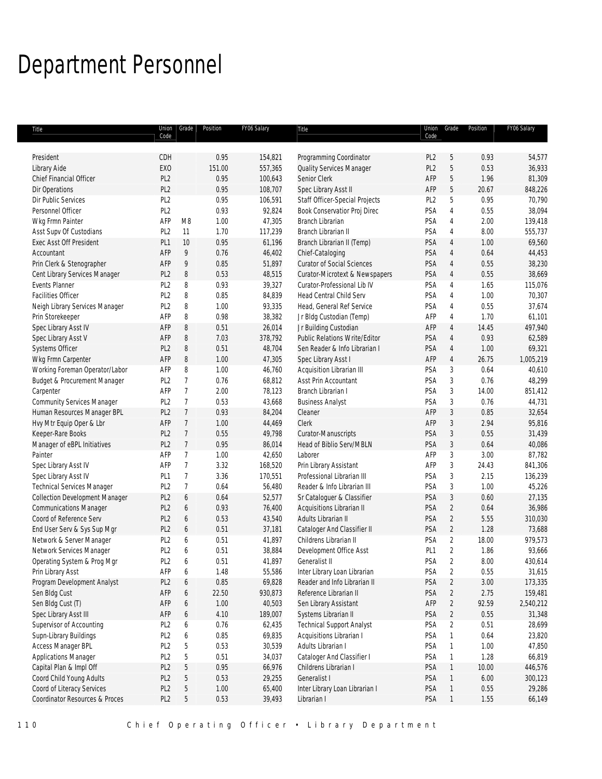# Department Personnel

| Title                                 | Union           | Grade            | Position | FY06 Salary | Title                             | Union           | Grade          | Position | FY06 Salary |
|---------------------------------------|-----------------|------------------|----------|-------------|-----------------------------------|-----------------|----------------|----------|-------------|
|                                       | Code            |                  |          |             |                                   | Code            |                |          |             |
|                                       |                 |                  |          |             |                                   |                 |                |          |             |
| President                             | CDH             |                  | 0.95     | 154,821     | Programming Coordinator           | PL <sub>2</sub> | 5              | 0.93     | 54,577      |
| Library Aide                          | EXO             |                  | 151.00   | 557,365     | <b>Quality Services Manager</b>   | PL <sub>2</sub> | 5              | 0.53     | 36,933      |
| <b>Chief Financial Officer</b>        | PL <sub>2</sub> |                  | 0.95     | 100,643     | Senior Clerk                      | AFP             | 5              | 1.96     | 81,309      |
| Dir Operations                        | PL <sub>2</sub> |                  | 0.95     | 108,707     | Spec Library Asst II              | AFP             | 5              | 20.67    | 848,226     |
| Dir Public Services                   | PL <sub>2</sub> |                  | 0.95     | 106,591     | Staff Officer-Special Projects    | PL <sub>2</sub> | 5              | 0.95     | 70,790      |
| Personnel Officer                     | PL <sub>2</sub> |                  | 0.93     | 92,824      | Book Conservatior Proj Direc      | PSA             | $\overline{4}$ | 0.55     | 38,094      |
| Wkg Frmn Painter                      | AFP             | M <sub>8</sub>   | 1.00     | 47,305      | Branch Librarian                  | PSA             | $\overline{4}$ | 2.00     | 139,418     |
| Asst Supv Of Custodians               | PL <sub>2</sub> | 11               | 1.70     | 117,239     | Branch Librarian II               | PSA             | $\overline{4}$ | 8.00     | 555,737     |
| Exec Asst Off President               | PL <sub>1</sub> | 10               | 0.95     | 61,196      | Branch Librarian II (Temp)        | <b>PSA</b>      | $\overline{4}$ | 1.00     | 69,560      |
| Accountant                            | AFP             | 9                | 0.76     | 46,402      | Chief-Cataloging                  | PSA             | $\overline{4}$ | 0.64     | 44,453      |
| Prin Clerk & Stenographer             | AFP             | 9                | 0.85     | 51,897      | <b>Curator of Social Sciences</b> | PSA             | $\overline{4}$ | 0.55     | 38,230      |
| Cent Library Services Manager         | PL <sub>2</sub> | 8                | 0.53     | 48,515      | Curator-Microtext & Newspapers    | PSA             | $\overline{4}$ | 0.55     | 38,669      |
| Events Planner                        | PL <sub>2</sub> | 8                | 0.93     | 39,327      | Curator-Professional Lib IV       | PSA             | $\overline{4}$ | 1.65     | 115,076     |
| <b>Facilities Officer</b>             | PL <sub>2</sub> | 8                | 0.85     | 84,839      | <b>Head Central Child Serv</b>    | PSA             | $\overline{4}$ | 1.00     | 70,307      |
| Neigh Library Services Manager        | PL <sub>2</sub> | 8                | 1.00     | 93,335      | Head, General Ref Service         | PSA             | $\overline{4}$ | 0.55     | 37,674      |
| Prin Storekeeper                      | AFP             | 8                | 0.98     | 38,382      | Jr Bldg Custodian (Temp)          | AFP             | $\overline{4}$ | 1.70     | 61,101      |
| Spec Library Asst IV                  | AFP             | 8                | 0.51     | 26,014      | Jr Building Custodian             | AFP             | $\overline{4}$ | 14.45    | 497,940     |
| Spec Library Asst V                   | AFP             | 8                | 7.03     | 378,792     | Public Relations Write/Editor     | <b>PSA</b>      | $\overline{4}$ | 0.93     | 62,589      |
| <b>Systems Officer</b>                | PL <sub>2</sub> | 8                | 0.51     | 48,704      | Sen Reader & Info Librarian I     | <b>PSA</b>      | 4              | 1.00     | 69,321      |
| Wkg Frmn Carpenter                    | AFP             | 8                | 1.00     | 47,305      | Spec Library Asst I               | AFP             | 4              | 26.75    | 1,005,219   |
| Working Foreman Operator/Labor        | AFP             | 8                | 1.00     | 46,760      | Acquisition Librarian III         | PSA             | 3              | 0.64     | 40,610      |
| Budget & Procurement Manager          | PL <sub>2</sub> | $\overline{7}$   | 0.76     | 68,812      | Asst Prin Accountant              | PSA             | 3              | 0.76     | 48,299      |
| Carpenter                             | AFP             | $\overline{7}$   | 2.00     | 78,123      | Branch Librarian I                | PSA             | 3              | 14.00    | 851,412     |
| <b>Community Services Manager</b>     | PL <sub>2</sub> | $\overline{7}$   | 0.53     | 43,668      | <b>Business Analyst</b>           | PSA             | 3              | 0.76     | 44,731      |
| Human Resources Manager BPL           | PL <sub>2</sub> | $\overline{7}$   | 0.93     | 84,204      | Cleaner                           | AFP             | 3              | 0.85     | 32,654      |
| Hvy Mtr Equip Oper & Lbr              | AFP             | $\overline{7}$   | 1.00     | 44,469      | Clerk                             | AFP             | 3              | 2.94     | 95,816      |
| Keeper-Rare Books                     | PL <sub>2</sub> | $\boldsymbol{7}$ | 0.55     | 49,798      | Curator-Manuscripts               | <b>PSA</b>      | $\sqrt{3}$     | 0.55     | 31,439      |
| Manager of eBPL Initiatives           | PL <sub>2</sub> | $\overline{7}$   | 0.95     | 86,014      | Head of Biblio Serv/MBLN          | <b>PSA</b>      | 3              | 0.64     | 40,086      |
| Painter                               | AFP             | 7                | 1.00     | 42,650      | Laborer                           | AFP             | 3              | 3.00     | 87,782      |
| Spec Library Asst IV                  | AFP             | 7                | 3.32     | 168,520     | Prin Library Assistant            | AFP             | 3              | 24.43    | 841,306     |
| Spec Library Asst IV                  | PL <sub>1</sub> | $\overline{7}$   | 3.36     | 170,551     | Professional Librarian III        | PSA             | 3              | 2.15     | 136,239     |
| <b>Technical Services Manager</b>     | PL <sub>2</sub> | $\overline{7}$   | 0.64     | 56,480      | Reader & Info Librarian III       | PSA             | 3              | 1.00     | 45,226      |
| <b>Collection Development Manager</b> | PL <sub>2</sub> | 6                | 0.64     | 52,577      | Sr Cataloguer & Classifier        | PSA             | 3              | 0.60     | 27,135      |
| <b>Communications Manager</b>         | PL <sub>2</sub> | 6                | 0.93     | 76,400      | Acquisitions Librarian II         | <b>PSA</b>      | $\overline{2}$ | 0.64     | 36,986      |
| Coord of Reference Serv               | PL <sub>2</sub> | 6                | 0.53     | 43,540      | Adults Librarian II               | PSA             | $\overline{2}$ | 5.55     | 310,030     |
| End User Serv & Sys Sup Mgr           | PL <sub>2</sub> | 6                | 0.51     | 37,181      | Cataloger And Classifier II       | PSA             | $\overline{2}$ | 1.28     | 73,688      |
| Network & Server Manager              | PL <sub>2</sub> | 6                | 0.51     | 41,897      | Childrens Librarian II            | PSA             | $\overline{2}$ | 18.00    | 979,573     |
| Network Services Manager              | PL <sub>2</sub> | 6                | 0.51     | 38,884      | Development Office Asst           | PL <sub>1</sub> | $\overline{2}$ | 1.86     | 93,666      |
|                                       | PL <sub>2</sub> | 6                | 0.51     | 41,897      | Generalist II                     | PSA             | 2              | 8.00     | 430,614     |
| Operating System & Prog Mgr           |                 |                  |          |             |                                   |                 |                |          |             |
| Prin Library Asst                     | AFP             | 6                | 1.48     | 55,586      | Inter Library Loan Librarian      | PSA             | $\overline{2}$ | 0.55     | 31,615      |
| Program Development Analyst           | PL <sub>2</sub> | 6                | 0.85     | 69,828      | Reader and Info Librarian II      | PSA             | $\overline{2}$ | 3.00     | 173,335     |
| Sen Bldg Cust                         | AFP             | 6                | 22.50    | 930,873     | Reference Librarian II            | PSA             | $\overline{2}$ | 2.75     | 159,481     |
| Sen Bldg Cust (T)                     | AFP             | 6                | 1.00     | 40,503      | Sen Library Assistant             | AFP             | $\overline{2}$ | 92.59    | 2,540,212   |
| Spec Library Asst III                 | AFP             | 6                | 4.10     | 189,007     | Systems Librarian II              | PSA             | $\overline{c}$ | 0.55     | 31,348      |
| Supervisor of Accounting              | PL <sub>2</sub> | 6                | 0.76     | 62,435      | <b>Technical Support Analyst</b>  | PSA             | 2              | 0.51     | 28,699      |
| Supn-Library Buildings                | PL <sub>2</sub> | 6                | 0.85     | 69,835      | Acquisitions Librarian I          | PSA             | $\mathbf{1}$   | 0.64     | 23,820      |
| Access Manager BPL                    | PL <sub>2</sub> | 5                | 0.53     | 30,539      | Adults Librarian I                | PSA             | $\mathbf{1}$   | 1.00     | 47,850      |
| <b>Applications Manager</b>           | PL <sub>2</sub> | 5                | 0.51     | 34,037      | Cataloger And Classifier I        | PSA             | $\mathbf{1}$   | 1.28     | 66,819      |
| Capital Plan & Impl Off               | PL <sub>2</sub> | 5                | 0.95     | 66,976      | Childrens Librarian I             | PSA             | $\mathbf{1}$   | 10.00    | 446,576     |
| Coord Child Young Adults              | PL <sub>2</sub> | 5                | 0.53     | 29,255      | Generalist I                      | PSA             | 1              | 6.00     | 300,123     |
| Coord of Literacy Services            | PL <sub>2</sub> | 5                | 1.00     | 65,400      | Inter Library Loan Librarian I    | <b>PSA</b>      | $\mathbf{1}$   | 0.55     | 29,286      |
| Coordinator Resources & Proces        | PL <sub>2</sub> | 5                | 0.53     | 39,493      | Librarian I                       | PSA             | $\mathbf{1}$   | 1.55     | 66,149      |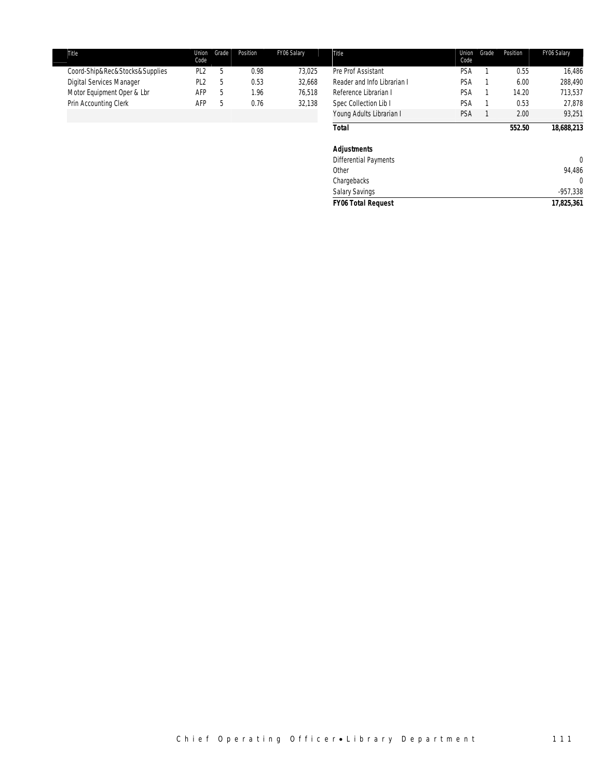| <b>Title</b>                   | Union<br>Code   | Grade | Position | <b>FY06 Salary</b> | Title                       | Union<br>Code | Grade | Position | FY06 Salary |
|--------------------------------|-----------------|-------|----------|--------------------|-----------------------------|---------------|-------|----------|-------------|
| Coord-Ship&Rec&Stocks&Supplies | PI <sub>2</sub> |       | 0.98     | 73.025             | Pre Prof Assistant          | PSA           |       | 0.55     | 16.486      |
| Digital Services Manager       | PL <sub>2</sub> |       | 0.53     | 32.668             | Reader and Info Librarian I | PSA           |       | 6.00     | 288,490     |
| Motor Equipment Oper & Lbr     | AFP             |       | 1.96     | 76.518             | Reference Librarian I       | PSA           |       | 14.20    | 713.537     |
| Prin Accounting Clerk          | AFP             |       | 0.76     | 32.138             | Spec Collection Lib I       | PSA           |       | 0.53     | 27.878      |
|                                |                 |       |          |                    | Young Adults Librarian I    | <b>PSA</b>    |       | 2.00     | 93.251      |

| Total                     | 18,688,213<br>552.50 |
|---------------------------|----------------------|
| <b>Adjustments</b>        |                      |
| Differential Payments     | $\mathbf 0$          |
| Other                     | 94,486               |
| Chargebacks               | $\overline{0}$       |
| Salary Savings            | $-957,338$           |
| <b>FY06 Total Request</b> | 17,825,361           |
|                           |                      |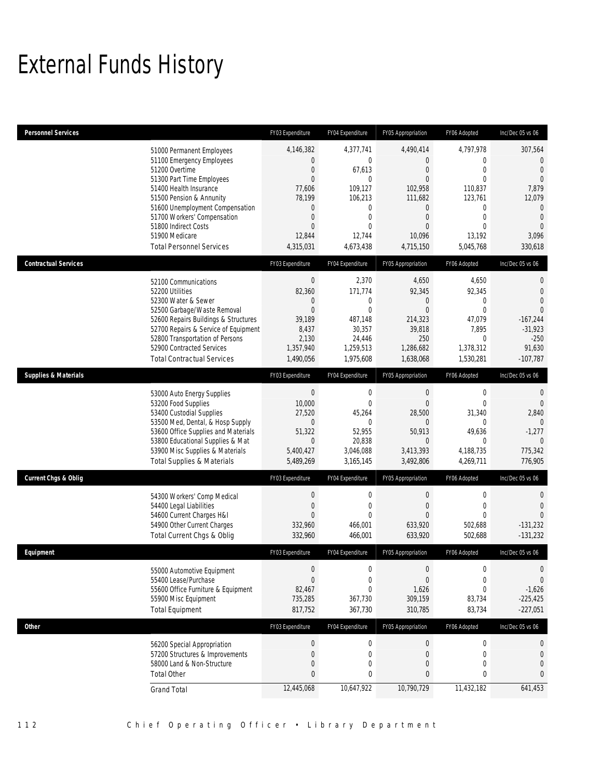# External Funds History

| <b>Personnel Services</b>       |                                                                                                                                                                                                                                                                                                            | FY03 Expenditure                                                                                                                                         | FY04 Expenditure                                                                                                              | FY05 Appropriation                                                                                                                         | FY06 Adopted                                                                                                               | Inc/Dec 05 vs 06                                                                                                                   |
|---------------------------------|------------------------------------------------------------------------------------------------------------------------------------------------------------------------------------------------------------------------------------------------------------------------------------------------------------|----------------------------------------------------------------------------------------------------------------------------------------------------------|-------------------------------------------------------------------------------------------------------------------------------|--------------------------------------------------------------------------------------------------------------------------------------------|----------------------------------------------------------------------------------------------------------------------------|------------------------------------------------------------------------------------------------------------------------------------|
|                                 | 51000 Permanent Employees<br>51100 Emergency Employees<br>51200 Overtime<br>51300 Part Time Employees<br>51400 Health Insurance<br>51500 Pension & Annunity<br>51600 Unemployment Compensation<br>51700 Workers' Compensation<br>51800 Indirect Costs<br>51900 Medicare<br><b>Total Personnel Services</b> | 4,146,382<br>$\overline{0}$<br>$\mathbf{0}$<br>$\overline{0}$<br>77,606<br>78,199<br>$\mathbf{0}$<br>$\mathbf{0}$<br>$\mathbf{0}$<br>12,844<br>4,315,031 | 4.377.741<br>$\mathbf{0}$<br>67,613<br>$\mathbf{0}$<br>109,127<br>106,213<br>0<br>$\theta$<br>$\theta$<br>12,744<br>4,673,438 | 4,490,414<br>$\overline{0}$<br>$\Omega$<br>$\Omega$<br>102,958<br>111,682<br>$\overline{0}$<br>$\Omega$<br>$\Omega$<br>10,096<br>4,715,150 | 4,797,978<br>0<br>$\theta$<br>$\theta$<br>110,837<br>123,761<br>$\mathbf 0$<br>$\theta$<br>$\theta$<br>13,192<br>5,045,768 | 307,564<br>$\mathbf{0}$<br>$\mathbf{0}$<br>$\Omega$<br>7,879<br>12,079<br>$\mathbf{0}$<br>$\Omega$<br>$\Omega$<br>3,096<br>330.618 |
| <b>Contractual Services</b>     |                                                                                                                                                                                                                                                                                                            | FY03 Expenditure                                                                                                                                         | FY04 Expenditure                                                                                                              | FY05 Appropriation                                                                                                                         | FY06 Adopted                                                                                                               | Inc/Dec 05 vs 06                                                                                                                   |
|                                 | 52100 Communications<br>52200 Utilities<br>52300 Water & Sewer<br>52500 Garbage/Waste Removal<br>52600 Repairs Buildings & Structures<br>52700 Repairs & Service of Equipment<br>52800 Transportation of Persons<br>52900 Contracted Services<br><b>Total Contractual Services</b>                         | $\mathbf 0$<br>82,360<br>$\theta$<br>$\mathbf{0}$<br>39,189<br>8,437<br>2,130<br>1,357,940<br>1,490,056                                                  | 2,370<br>171,774<br>0<br>$\theta$<br>487,148<br>30,357<br>24,446<br>1,259,513<br>1,975,608                                    | 4,650<br>92,345<br>$\overline{0}$<br>$\Omega$<br>214,323<br>39,818<br>250<br>1,286,682<br>1,638,068                                        | 4,650<br>92,345<br>0<br>$\mathbf 0$<br>47,079<br>7,895<br>$\mathbf 0$<br>1.378.312<br>1,530,281                            | 0<br>$\overline{0}$<br>$\overline{0}$<br>$\Omega$<br>$-167,244$<br>$-31,923$<br>$-250$<br>91,630<br>$-107,787$                     |
| <b>Supplies &amp; Materials</b> |                                                                                                                                                                                                                                                                                                            | FY03 Expenditure                                                                                                                                         | FY04 Expenditure                                                                                                              | FY05 Appropriation                                                                                                                         | FY06 Adopted                                                                                                               | Inc/Dec 05 vs 06                                                                                                                   |
|                                 | 53000 Auto Energy Supplies<br>53200 Food Supplies<br>53400 Custodial Supplies<br>53500 Med, Dental, & Hosp Supply<br>53600 Office Supplies and Materials<br>53800 Educational Supplies & Mat<br>53900 Misc Supplies & Materials<br><b>Total Supplies &amp; Materials</b>                                   | $\mathbf 0$<br>10,000<br>27,520<br>$\overline{0}$<br>51,322<br>$\mathbf{0}$<br>5,400,427<br>5,489,269                                                    | $\mathbf 0$<br>$\theta$<br>45,264<br>$\Omega$<br>52,955<br>20,838<br>3,046,088<br>3,165,145                                   | $\boldsymbol{0}$<br>$\Omega$<br>28,500<br>$\overline{0}$<br>50,913<br>$\Omega$<br>3,413,393<br>3,492,806                                   | $\boldsymbol{0}$<br>$\theta$<br>31,340<br>$\mathbf 0$<br>49,636<br>$\Omega$<br>4,188,735<br>4,269,711                      | $\mathbf 0$<br>$\Omega$<br>2,840<br>$\Omega$<br>$-1,277$<br>$\Omega$<br>775,342<br>776,905                                         |
| <b>Current Chgs &amp; Oblig</b> |                                                                                                                                                                                                                                                                                                            | FY03 Expenditure                                                                                                                                         | FY04 Expenditure                                                                                                              | FY05 Appropriation                                                                                                                         | FY06 Adopted                                                                                                               | Inc/Dec 05 vs 06                                                                                                                   |
|                                 | 54300 Workers' Comp Medical<br>54400 Legal Liabilities<br>54600 Current Charges H&I<br>54900 Other Current Charges<br>Total Current Chgs & Oblig                                                                                                                                                           | $\mathbf 0$<br>$\overline{0}$<br>$\mathbf{0}$<br>332,960<br>332,960                                                                                      | $\mathbf{0}$<br>$\mathbf{0}$<br>$\theta$<br>466,001<br>466,001                                                                | $\boldsymbol{0}$<br>$\mathbf{0}$<br>$\mathbf{0}$<br>633,920<br>633,920                                                                     | $\mathbf 0$<br>$\mathbf 0$<br>$\theta$<br>502,688<br>502,688                                                               | $\mathbf 0$<br>$\overline{0}$<br>$\Omega$<br>$-131,232$<br>$-131,232$                                                              |
| Equipment                       |                                                                                                                                                                                                                                                                                                            | FY03 Expenditure                                                                                                                                         | FY04 Expenditure                                                                                                              | FY05 Appropriation                                                                                                                         | FY06 Adopted                                                                                                               | Inc/Dec 05 vs 06                                                                                                                   |
|                                 | 55000 Automotive Equipment<br>55400 Lease/Purchase<br>55600 Office Furniture & Equipment<br>55900 Misc Equipment<br><b>Total Equipment</b>                                                                                                                                                                 | $\boldsymbol{0}$<br>$\Omega$<br>82,467<br>735,285<br>817,752                                                                                             | $\boldsymbol{0}$<br>$\mathbf{0}$<br>$\mathbf{0}$<br>367,730<br>367,730                                                        | $\boldsymbol{0}$<br>$\Omega$<br>1,626<br>309,159<br>310,785                                                                                | $\boldsymbol{0}$<br>$\mathbf 0$<br>0<br>83,734<br>83,734                                                                   | $\mathbf 0$<br>$\overline{0}$<br>$-1,626$<br>$-225,425$<br>$-227,051$                                                              |
| <b>Other</b>                    |                                                                                                                                                                                                                                                                                                            | FY03 Expenditure                                                                                                                                         | FY04 Expenditure                                                                                                              | FY05 Appropriation                                                                                                                         | FY06 Adopted                                                                                                               | Inc/Dec 05 vs 06                                                                                                                   |
|                                 | 56200 Special Appropriation<br>57200 Structures & Improvements<br>58000 Land & Non-Structure<br><b>Total Other</b><br><b>Grand Total</b>                                                                                                                                                                   | $\boldsymbol{0}$<br>$\mathbf 0$<br>$\mathbf 0$<br>$\mathbf{0}$<br>12,445,068                                                                             | 0<br>$\mathbf 0$<br>0<br>0<br>10,647,922                                                                                      | $\overline{0}$<br>$\mathbf 0$<br>$\boldsymbol{0}$<br>$\mathbf{0}$<br>10,790,729                                                            | 0<br>$\boldsymbol{0}$<br>$\boldsymbol{0}$<br>0<br>11,432,182                                                               | 0<br>$\mathbf 0$<br>$\overline{0}$<br>$\mathbf{0}$<br>641,453                                                                      |
|                                 |                                                                                                                                                                                                                                                                                                            |                                                                                                                                                          |                                                                                                                               |                                                                                                                                            |                                                                                                                            |                                                                                                                                    |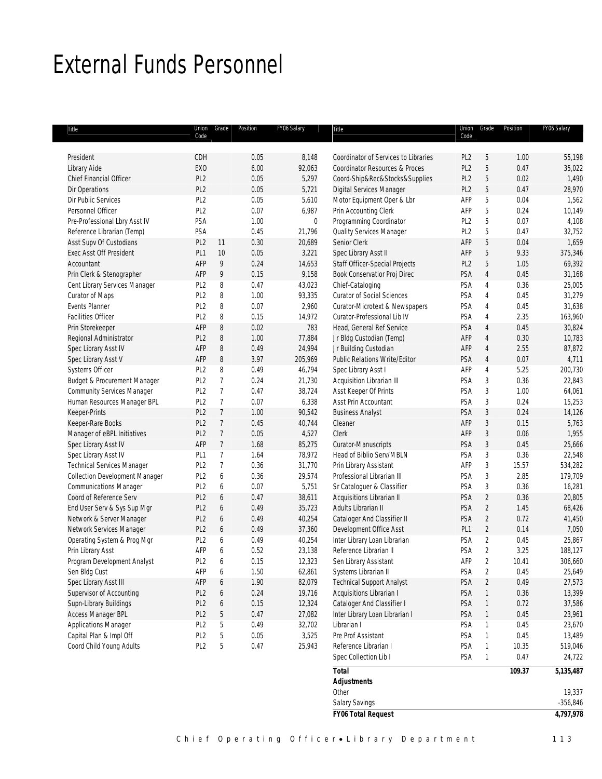# External Funds Personnel

| President<br>Library Aide<br><b>Chief Financial Officer</b><br>Dir Operations<br>Dir Public Services<br>Personnel Officer<br>Pre-Professional Lbry Asst IV<br>Reference Librarian (Temp)<br>Asst Supv Of Custodians<br><b>Exec Asst Off President</b><br>Accountant<br>Prin Clerk & Stenographer<br>Cent Library Services Manager<br>Curator of Maps | Code<br>CDH<br><b>EXO</b><br>PL <sub>2</sub><br>PL <sub>2</sub><br>PL <sub>2</sub><br>PL <sub>2</sub><br>PSA<br>PSA<br>PL <sub>2</sub><br>PL <sub>1</sub><br>AFP<br>AFP<br>PL <sub>2</sub><br>PL <sub>2</sub> | 11<br>10<br>9<br>9 | 0.05<br>6.00<br>0.05<br>0.05<br>0.05<br>0.07<br>1.00<br>0.45<br>0.30<br>0.05<br>0.24 | 8,148<br>92,063<br>5,297<br>5,721<br>5,610<br>6,987<br>$\boldsymbol{0}$<br>21,796<br>20,689<br>3,221 | Coordinator of Services to Libraries<br>Coordinator Resources & Proces<br>Coord-Ship&Rec&Stocks&Supplies<br>Digital Services Manager<br>Motor Equipment Oper & Lbr<br>Prin Accounting Clerk<br>Programming Coordinator<br>Quality Services Manager<br>Senior Clerk | Code<br>PL <sub>2</sub><br>PL <sub>2</sub><br>PL <sub>2</sub><br>PL <sub>2</sub><br>AFP<br>AFP<br>PL <sub>2</sub><br>PL <sub>2</sub> | 5<br>$\overline{5}$<br>$\overline{5}$<br>$\mathbf 5$<br>5<br>5<br>5<br>5 | 1.00<br>0.47<br>0.02<br>0.47<br>0.04<br>0.24<br>0.07<br>0.47 | 55,198<br>35,022<br>1,490<br>28,970<br>1,562<br>10,149<br>4,108<br>32,752 |
|------------------------------------------------------------------------------------------------------------------------------------------------------------------------------------------------------------------------------------------------------------------------------------------------------------------------------------------------------|---------------------------------------------------------------------------------------------------------------------------------------------------------------------------------------------------------------|--------------------|--------------------------------------------------------------------------------------|------------------------------------------------------------------------------------------------------|--------------------------------------------------------------------------------------------------------------------------------------------------------------------------------------------------------------------------------------------------------------------|--------------------------------------------------------------------------------------------------------------------------------------|--------------------------------------------------------------------------|--------------------------------------------------------------|---------------------------------------------------------------------------|
|                                                                                                                                                                                                                                                                                                                                                      |                                                                                                                                                                                                               |                    |                                                                                      |                                                                                                      |                                                                                                                                                                                                                                                                    |                                                                                                                                      |                                                                          |                                                              |                                                                           |
|                                                                                                                                                                                                                                                                                                                                                      |                                                                                                                                                                                                               |                    |                                                                                      |                                                                                                      |                                                                                                                                                                                                                                                                    |                                                                                                                                      |                                                                          |                                                              |                                                                           |
|                                                                                                                                                                                                                                                                                                                                                      |                                                                                                                                                                                                               |                    |                                                                                      |                                                                                                      |                                                                                                                                                                                                                                                                    |                                                                                                                                      |                                                                          |                                                              |                                                                           |
|                                                                                                                                                                                                                                                                                                                                                      |                                                                                                                                                                                                               |                    |                                                                                      |                                                                                                      |                                                                                                                                                                                                                                                                    |                                                                                                                                      |                                                                          |                                                              |                                                                           |
|                                                                                                                                                                                                                                                                                                                                                      |                                                                                                                                                                                                               |                    |                                                                                      |                                                                                                      |                                                                                                                                                                                                                                                                    |                                                                                                                                      |                                                                          |                                                              |                                                                           |
|                                                                                                                                                                                                                                                                                                                                                      |                                                                                                                                                                                                               |                    |                                                                                      |                                                                                                      |                                                                                                                                                                                                                                                                    |                                                                                                                                      |                                                                          |                                                              |                                                                           |
|                                                                                                                                                                                                                                                                                                                                                      |                                                                                                                                                                                                               |                    |                                                                                      |                                                                                                      |                                                                                                                                                                                                                                                                    |                                                                                                                                      |                                                                          |                                                              |                                                                           |
|                                                                                                                                                                                                                                                                                                                                                      |                                                                                                                                                                                                               |                    |                                                                                      |                                                                                                      |                                                                                                                                                                                                                                                                    |                                                                                                                                      |                                                                          |                                                              |                                                                           |
|                                                                                                                                                                                                                                                                                                                                                      |                                                                                                                                                                                                               |                    |                                                                                      |                                                                                                      |                                                                                                                                                                                                                                                                    |                                                                                                                                      |                                                                          |                                                              |                                                                           |
|                                                                                                                                                                                                                                                                                                                                                      |                                                                                                                                                                                                               |                    |                                                                                      |                                                                                                      |                                                                                                                                                                                                                                                                    | AFP                                                                                                                                  | 5                                                                        | 0.04                                                         | 1,659                                                                     |
|                                                                                                                                                                                                                                                                                                                                                      |                                                                                                                                                                                                               |                    |                                                                                      |                                                                                                      | Spec Library Asst II                                                                                                                                                                                                                                               | AFP                                                                                                                                  | 5                                                                        | 9.33                                                         | 375,346                                                                   |
|                                                                                                                                                                                                                                                                                                                                                      |                                                                                                                                                                                                               |                    |                                                                                      | 14,653                                                                                               | Staff Officer-Special Projects                                                                                                                                                                                                                                     | PL <sub>2</sub>                                                                                                                      | 5                                                                        | 1.05                                                         | 69,392                                                                    |
|                                                                                                                                                                                                                                                                                                                                                      |                                                                                                                                                                                                               |                    | 0.15                                                                                 | 9,158                                                                                                | Book Conservatior Proj Direc                                                                                                                                                                                                                                       | PSA                                                                                                                                  | $\overline{4}$                                                           | 0.45                                                         | 31,168                                                                    |
|                                                                                                                                                                                                                                                                                                                                                      |                                                                                                                                                                                                               | 8                  | 0.47                                                                                 | 43,023                                                                                               | Chief-Cataloging                                                                                                                                                                                                                                                   | PSA                                                                                                                                  | $\overline{4}$                                                           | 0.36                                                         | 25,005                                                                    |
|                                                                                                                                                                                                                                                                                                                                                      |                                                                                                                                                                                                               | 8                  | 1.00                                                                                 | 93,335                                                                                               | <b>Curator of Social Sciences</b>                                                                                                                                                                                                                                  | PSA                                                                                                                                  | $\overline{4}$                                                           | 0.45                                                         | 31,279                                                                    |
| <b>Events Planner</b>                                                                                                                                                                                                                                                                                                                                | PL <sub>2</sub>                                                                                                                                                                                               | 8                  | 0.07                                                                                 | 2,960                                                                                                | Curator-Microtext & Newspapers                                                                                                                                                                                                                                     | PSA                                                                                                                                  | $\overline{4}$                                                           | 0.45                                                         | 31,638                                                                    |
| <b>Facilities Officer</b>                                                                                                                                                                                                                                                                                                                            | PL <sub>2</sub>                                                                                                                                                                                               | 8                  | 0.15                                                                                 | 14,972                                                                                               | Curator-Professional Lib IV                                                                                                                                                                                                                                        | PSA                                                                                                                                  | $\overline{4}$                                                           | 2.35                                                         | 163,960                                                                   |
| Prin Storekeeper                                                                                                                                                                                                                                                                                                                                     | AFP                                                                                                                                                                                                           | 8                  | 0.02                                                                                 | 783                                                                                                  | Head, General Ref Service                                                                                                                                                                                                                                          | PSA                                                                                                                                  | $\overline{4}$                                                           | 0.45                                                         | 30,824                                                                    |
| Regional Administrator                                                                                                                                                                                                                                                                                                                               | PL <sub>2</sub>                                                                                                                                                                                               | 8                  | 1.00                                                                                 | 77,884                                                                                               | Jr Bldg Custodian (Temp)                                                                                                                                                                                                                                           | AFP                                                                                                                                  | $\overline{4}$                                                           | 0.30                                                         | 10,783                                                                    |
| Spec Library Asst IV                                                                                                                                                                                                                                                                                                                                 | AFP                                                                                                                                                                                                           | 8                  | 0.49                                                                                 | 24,994                                                                                               | Jr Building Custodian                                                                                                                                                                                                                                              | AFP                                                                                                                                  | $\overline{4}$                                                           | 2.55                                                         | 87,872                                                                    |
| Spec Library Asst V                                                                                                                                                                                                                                                                                                                                  | AFP                                                                                                                                                                                                           | 8                  | 3.97                                                                                 | 205,969                                                                                              | Public Relations Write/Editor                                                                                                                                                                                                                                      | PSA                                                                                                                                  | $\overline{4}$                                                           | 0.07                                                         | 4,711                                                                     |
| <b>Systems Officer</b>                                                                                                                                                                                                                                                                                                                               | PL <sub>2</sub>                                                                                                                                                                                               | 8                  | 0.49                                                                                 | 46,794                                                                                               | Spec Library Asst I                                                                                                                                                                                                                                                | AFP                                                                                                                                  | 4                                                                        | 5.25                                                         | 200,730                                                                   |
| Budget & Procurement Manager                                                                                                                                                                                                                                                                                                                         | PL <sub>2</sub>                                                                                                                                                                                               | $\overline{7}$     | 0.24                                                                                 | 21,730                                                                                               | Acquisition Librarian III                                                                                                                                                                                                                                          | PSA                                                                                                                                  | $\mathfrak{Z}$                                                           | 0.36                                                         | 22,843                                                                    |
| <b>Community Services Manager</b>                                                                                                                                                                                                                                                                                                                    | PL <sub>2</sub>                                                                                                                                                                                               | $\overline{7}$     | 0.47                                                                                 | 38,724                                                                                               | Asst Keeper Of Prints                                                                                                                                                                                                                                              | PSA                                                                                                                                  | $\overline{3}$                                                           | 1.00                                                         | 64,061                                                                    |
| Human Resources Manager BPL                                                                                                                                                                                                                                                                                                                          | PL <sub>2</sub>                                                                                                                                                                                               | 7                  | 0.07                                                                                 | 6,338                                                                                                | Asst Prin Accountant                                                                                                                                                                                                                                               | PSA                                                                                                                                  | $\mathfrak{Z}$                                                           | 0.24                                                         | 15,253                                                                    |
| Keeper-Prints                                                                                                                                                                                                                                                                                                                                        | PL <sub>2</sub>                                                                                                                                                                                               | $\overline{7}$     | 1.00                                                                                 | 90,542                                                                                               | <b>Business Analyst</b>                                                                                                                                                                                                                                            | PSA                                                                                                                                  | $\sqrt{3}$                                                               | 0.24                                                         | 14,126                                                                    |
| Keeper-Rare Books                                                                                                                                                                                                                                                                                                                                    | PL <sub>2</sub>                                                                                                                                                                                               | 7                  | 0.45                                                                                 | 40,744                                                                                               | Cleaner                                                                                                                                                                                                                                                            | AFP                                                                                                                                  | $\mathfrak{Z}$                                                           | 0.15                                                         | 5,763                                                                     |
| Manager of eBPL Initiatives                                                                                                                                                                                                                                                                                                                          | PL <sub>2</sub>                                                                                                                                                                                               | $\overline{7}$     | 0.05                                                                                 | 4,527                                                                                                | Clerk                                                                                                                                                                                                                                                              | AFP                                                                                                                                  | $\sqrt{3}$                                                               | 0.06                                                         | 1,955                                                                     |
| Spec Library Asst IV                                                                                                                                                                                                                                                                                                                                 | AFP                                                                                                                                                                                                           | $\overline{7}$     | 1.68                                                                                 | 85,275                                                                                               | Curator-Manuscripts                                                                                                                                                                                                                                                | PSA                                                                                                                                  | $\sqrt{3}$                                                               | 0.45                                                         | 25,666                                                                    |
| Spec Library Asst IV                                                                                                                                                                                                                                                                                                                                 | PL <sub>1</sub>                                                                                                                                                                                               | 7                  | 1.64                                                                                 | 78,972                                                                                               | Head of Biblio Serv/MBLN                                                                                                                                                                                                                                           | PSA                                                                                                                                  | 3                                                                        | 0.36                                                         | 22,548                                                                    |
| <b>Technical Services Manager</b>                                                                                                                                                                                                                                                                                                                    | PL <sub>2</sub>                                                                                                                                                                                               | 7                  | 0.36                                                                                 | 31,770                                                                                               | Prin Library Assistant                                                                                                                                                                                                                                             | AFP                                                                                                                                  | $\mathfrak{Z}$                                                           | 15.57                                                        | 534,282                                                                   |
| <b>Collection Development Manager</b>                                                                                                                                                                                                                                                                                                                | PL <sub>2</sub>                                                                                                                                                                                               | 6                  | 0.36                                                                                 | 29,574                                                                                               | Professional Librarian III                                                                                                                                                                                                                                         | PSA                                                                                                                                  | $\mathfrak{Z}$                                                           | 2.85                                                         | 179,709                                                                   |
| <b>Communications Manager</b>                                                                                                                                                                                                                                                                                                                        | PL <sub>2</sub>                                                                                                                                                                                               | 6                  | 0.07                                                                                 | 5,751                                                                                                | Sr Cataloguer & Classifier                                                                                                                                                                                                                                         | PSA                                                                                                                                  | $\mathfrak{Z}$                                                           | 0.36                                                         | 16,281                                                                    |
| Coord of Reference Serv                                                                                                                                                                                                                                                                                                                              | PL <sub>2</sub>                                                                                                                                                                                               | 6                  | 0.47                                                                                 | 38,611                                                                                               | Acquisitions Librarian II                                                                                                                                                                                                                                          | PSA                                                                                                                                  | $\overline{2}$                                                           | 0.36                                                         | 20,805                                                                    |
| End User Serv & Sys Sup Mgr                                                                                                                                                                                                                                                                                                                          | PL <sub>2</sub>                                                                                                                                                                                               | 6                  | 0.49                                                                                 | 35,723                                                                                               | Adults Librarian II                                                                                                                                                                                                                                                | PSA                                                                                                                                  | $\overline{2}$                                                           | 1.45                                                         | 68,426                                                                    |
| Network & Server Manager                                                                                                                                                                                                                                                                                                                             | PL <sub>2</sub>                                                                                                                                                                                               | 6                  | 0.49                                                                                 | 40,254                                                                                               | Cataloger And Classifier II                                                                                                                                                                                                                                        | PSA                                                                                                                                  | $\overline{2}$                                                           | 0.72                                                         | 41,450                                                                    |
| Network Services Manager                                                                                                                                                                                                                                                                                                                             | PL <sub>2</sub>                                                                                                                                                                                               | 6                  | 0.49                                                                                 | 37,360                                                                                               | Development Office Asst                                                                                                                                                                                                                                            | PL <sub>1</sub>                                                                                                                      | $\overline{2}$                                                           | 0.14                                                         | 7,050                                                                     |
| Operating System & Prog Mgr                                                                                                                                                                                                                                                                                                                          | PL <sub>2</sub>                                                                                                                                                                                               | 6                  | 0.49                                                                                 | 40,254                                                                                               | Inter Library Loan Librarian                                                                                                                                                                                                                                       | PSA                                                                                                                                  | $\overline{2}$                                                           | 0.45                                                         | 25,867                                                                    |
| Prin Library Asst                                                                                                                                                                                                                                                                                                                                    | AFP                                                                                                                                                                                                           | 6                  | 0.52                                                                                 | 23,138                                                                                               | Reference Librarian II                                                                                                                                                                                                                                             | PSA                                                                                                                                  | $\overline{2}$                                                           | 3.25                                                         | 188,127                                                                   |
| Program Development Analyst                                                                                                                                                                                                                                                                                                                          | PL <sub>2</sub>                                                                                                                                                                                               | 6                  | 0.15                                                                                 | 12,323                                                                                               | Sen Library Assistant                                                                                                                                                                                                                                              | AFP                                                                                                                                  | $\sqrt{2}$                                                               | 10.41                                                        | 306,660                                                                   |
| Sen Bldg Cust                                                                                                                                                                                                                                                                                                                                        | AFP                                                                                                                                                                                                           | 6                  | 1.50                                                                                 | 62,861                                                                                               | Systems Librarian II                                                                                                                                                                                                                                               | PSA                                                                                                                                  | 2                                                                        | 0.45                                                         | 25,649                                                                    |
| Spec Library Asst III                                                                                                                                                                                                                                                                                                                                | AFP                                                                                                                                                                                                           | 6                  | 1.90                                                                                 | 82,079                                                                                               | <b>Technical Support Analyst</b>                                                                                                                                                                                                                                   | PSA                                                                                                                                  | $\overline{2}$                                                           | 0.49                                                         | 27,573                                                                    |
| Supervisor of Accounting                                                                                                                                                                                                                                                                                                                             | PL <sub>2</sub>                                                                                                                                                                                               | 6                  | 0.24                                                                                 | 19,716                                                                                               | Acquisitions Librarian I                                                                                                                                                                                                                                           | <b>PSA</b>                                                                                                                           | $\mathbf{1}$                                                             | 0.36                                                         | 13,399                                                                    |
| Supn-Library Buildings                                                                                                                                                                                                                                                                                                                               | PL <sub>2</sub>                                                                                                                                                                                               | 6                  | 0.15                                                                                 | 12,324                                                                                               | Cataloger And Classifier I                                                                                                                                                                                                                                         | PSA                                                                                                                                  | $\mathbf{1}$                                                             | 0.72                                                         | 37,586                                                                    |
| Access Manager BPL                                                                                                                                                                                                                                                                                                                                   | PL <sub>2</sub>                                                                                                                                                                                               | 5                  | 0.47                                                                                 | 27,082                                                                                               | Inter Library Loan Librarian I                                                                                                                                                                                                                                     | PSA                                                                                                                                  | $\mathbf{1}$                                                             | 0.45                                                         | 23,961                                                                    |
| Applications Manager                                                                                                                                                                                                                                                                                                                                 | PL <sub>2</sub>                                                                                                                                                                                               | 5                  | 0.49                                                                                 | 32,702                                                                                               | Librarian I                                                                                                                                                                                                                                                        | PSA                                                                                                                                  | $\mathbf{1}$                                                             | 0.45                                                         | 23,670                                                                    |
| Capital Plan & Impl Off                                                                                                                                                                                                                                                                                                                              | PL <sub>2</sub>                                                                                                                                                                                               | 5                  | 0.05                                                                                 | 3,525                                                                                                | Pre Prof Assistant                                                                                                                                                                                                                                                 | PSA                                                                                                                                  | $\mathbf{1}$                                                             | 0.45                                                         | 13,489                                                                    |
| Coord Child Young Adults                                                                                                                                                                                                                                                                                                                             | PL <sub>2</sub>                                                                                                                                                                                               | $\mathbf 5$        | 0.47                                                                                 | 25,943                                                                                               | Reference Librarian I                                                                                                                                                                                                                                              | PSA                                                                                                                                  | $\mathbf{1}$                                                             | 10.35                                                        | 519,046                                                                   |
|                                                                                                                                                                                                                                                                                                                                                      |                                                                                                                                                                                                               |                    |                                                                                      |                                                                                                      | Spec Collection Lib I                                                                                                                                                                                                                                              | PSA                                                                                                                                  | $\mathbf{1}$                                                             | 0.47                                                         | 24,722                                                                    |
|                                                                                                                                                                                                                                                                                                                                                      |                                                                                                                                                                                                               |                    |                                                                                      |                                                                                                      | <b>Total</b>                                                                                                                                                                                                                                                       |                                                                                                                                      |                                                                          | 109.37                                                       | 5,135,487                                                                 |
|                                                                                                                                                                                                                                                                                                                                                      |                                                                                                                                                                                                               |                    |                                                                                      |                                                                                                      | <b>Adjustments</b>                                                                                                                                                                                                                                                 |                                                                                                                                      |                                                                          |                                                              |                                                                           |
|                                                                                                                                                                                                                                                                                                                                                      |                                                                                                                                                                                                               |                    |                                                                                      |                                                                                                      | Other                                                                                                                                                                                                                                                              |                                                                                                                                      |                                                                          |                                                              | 19,337                                                                    |

|  | Chief Operating Officer•Library Department | 1 1 3 |
|--|--------------------------------------------|-------|

Salary Savings -356,846

*FY06 Total Request 4,797,978*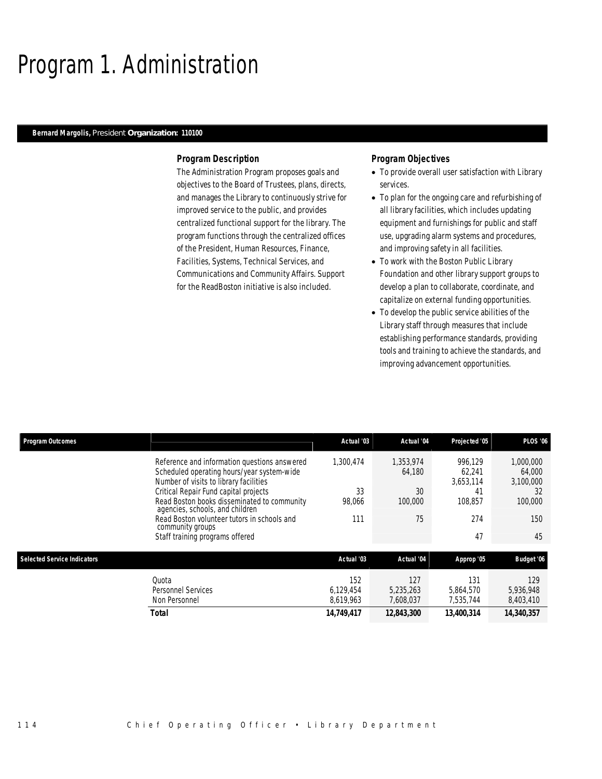# Program 1. Administration

### *Bernard Margolis, President Organization: 110100*

### *Program Description*

The Administration Program proposes goals and objectives to the Board of Trustees, plans, directs, and manages the Library to continuously strive for improved service to the public, and provides centralized functional support for the library. The program functions through the centralized offices of the President, Human Resources, Finance, Facilities, Systems, Technical Services, and Communications and Community Affairs. Support for the ReadBoston initiative is also included.

- To provide overall user satisfaction with Library services.
- To plan for the ongoing care and refurbishing of all library facilities, which includes updating equipment and furnishings for public and staff use, upgrading alarm systems and procedures, and improving safety in all facilities.
- To work with the Boston Public Library Foundation and other library support groups to develop a plan to collaborate, coordinate, and capitalize on external funding opportunities.
- To develop the public service abilities of the Library staff through measures that include establishing performance standards, providing tools and training to achieve the standards, and improving advancement opportunities.

| <b>Program Outcomes</b>            |                                                                                      | Actual '03 | Actual '04 | Projected '05       | <b>PLOS '06</b>     |
|------------------------------------|--------------------------------------------------------------------------------------|------------|------------|---------------------|---------------------|
|                                    | Reference and information questions answered                                         | 1.300.474  | 1,353,974  | 996.129             | 1,000,000           |
|                                    | Scheduled operating hours/year system-wide<br>Number of visits to library facilities |            | 64,180     | 62,241<br>3,653,114 | 64,000<br>3,100,000 |
|                                    | Critical Repair Fund capital projects                                                | 33         | 30         | 41                  | 32                  |
|                                    | Read Boston books disseminated to community<br>agencies, schools, and children       | 98,066     | 100,000    | 108.857             | 100,000             |
|                                    | Read Boston volunteer tutors in schools and<br>community groups                      | 111        | 75         | 274                 | 150                 |
|                                    | Staff training programs offered                                                      |            |            | 47                  | 45                  |
| <b>Selected Service Indicators</b> |                                                                                      | Actual '03 | Actual '04 | Approp '05          | Budget '06          |
|                                    | Ouota                                                                                | 152        | 127        | 131                 | 129                 |
|                                    | Personnel Services                                                                   | 6,129,454  | 5,235,263  | 5.864.570           | 5,936,948           |
|                                    | Non Personnel                                                                        | 8,619,963  | 7,608,037  | 7,535,744           | 8,403,410           |
|                                    | <b>Total</b>                                                                         | 14,749,417 | 12,843,300 | 13,400,314          | 14,340,357          |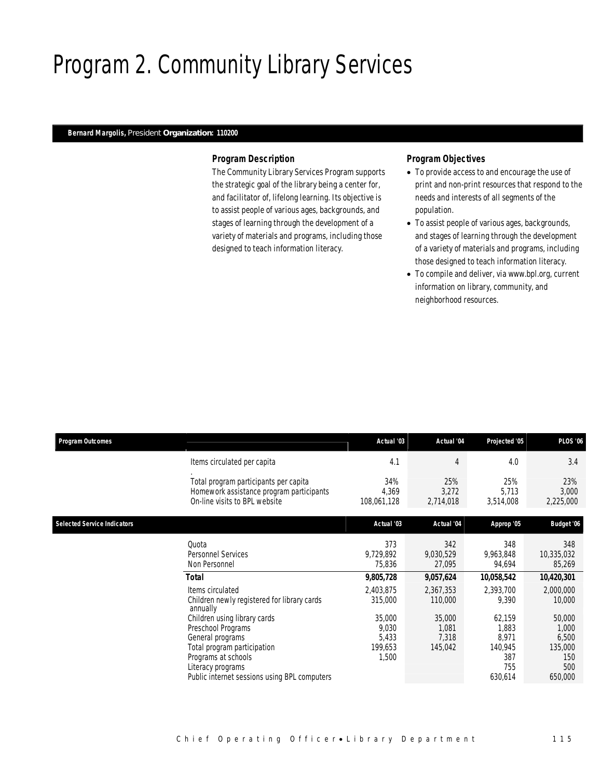# Program 2. Community Library Services

### *Bernard Margolis, President Organization: 110200*

### *Program Description*

The Community Library Services Program supports the strategic goal of the library being a center for, and facilitator of, lifelong learning. Its objective is to assist people of various ages, backgrounds, and stages of learning through the development of a variety of materials and programs, including those designed to teach information literacy.

- To provide access to and encourage the use of print and non-print resources that respond to the needs and interests of all segments of the population.
- To assist people of various ages, backgrounds, and stages of learning through the development of a variety of materials and programs, including those designed to teach information literacy.
- To compile and deliver, via www.bpl.org, current information on library, community, and neighborhood resources.

| <b>Program Outcomes</b>            |                                                                                                                                                                                                                                                                                           | Actual '03                                                                        | Actual '04                                                               | Projected '05                                                                                    | <b>PLOS '06</b>                                                                                   |
|------------------------------------|-------------------------------------------------------------------------------------------------------------------------------------------------------------------------------------------------------------------------------------------------------------------------------------------|-----------------------------------------------------------------------------------|--------------------------------------------------------------------------|--------------------------------------------------------------------------------------------------|---------------------------------------------------------------------------------------------------|
|                                    | Items circulated per capita                                                                                                                                                                                                                                                               | 4.1                                                                               | 4                                                                        | 4.0                                                                                              | 3.4                                                                                               |
|                                    | Total program participants per capita<br>Homework assistance program participants<br>On-line visits to BPL website                                                                                                                                                                        | 34%<br>4,369<br>108,061,128                                                       | 25%<br>3,272<br>2,714,018                                                | 25%<br>5,713<br>3,514,008                                                                        | 23%<br>3,000<br>2,225,000                                                                         |
| <b>Selected Service Indicators</b> |                                                                                                                                                                                                                                                                                           | Actual '03                                                                        | Actual '04                                                               | Approp '05                                                                                       | Budget '06                                                                                        |
|                                    | Quota<br>Personnel Services<br>Non Personnel                                                                                                                                                                                                                                              | 373<br>9,729,892<br>75,836                                                        | 342<br>9,030,529<br>27,095                                               | 348<br>9,963,848<br>94,694                                                                       | 348<br>10,335,032<br>85,269                                                                       |
|                                    | Total<br>Items circulated<br>Children newly registered for library cards<br>annually<br>Children using library cards<br>Preschool Programs<br>General programs<br>Total program participation<br>Programs at schools<br>Literacy programs<br>Public internet sessions using BPL computers | 9,805,728<br>2,403,875<br>315,000<br>35,000<br>9,030<br>5,433<br>199,653<br>1,500 | 9,057,624<br>2,367,353<br>110,000<br>35,000<br>1,081<br>7,318<br>145,042 | 10,058,542<br>2,393,700<br>9,390<br>62,159<br>1,883<br>8,971<br>140,945<br>387<br>755<br>630,614 | 10,420,301<br>2,000,000<br>10,000<br>50,000<br>1,000<br>6,500<br>135,000<br>150<br>500<br>650,000 |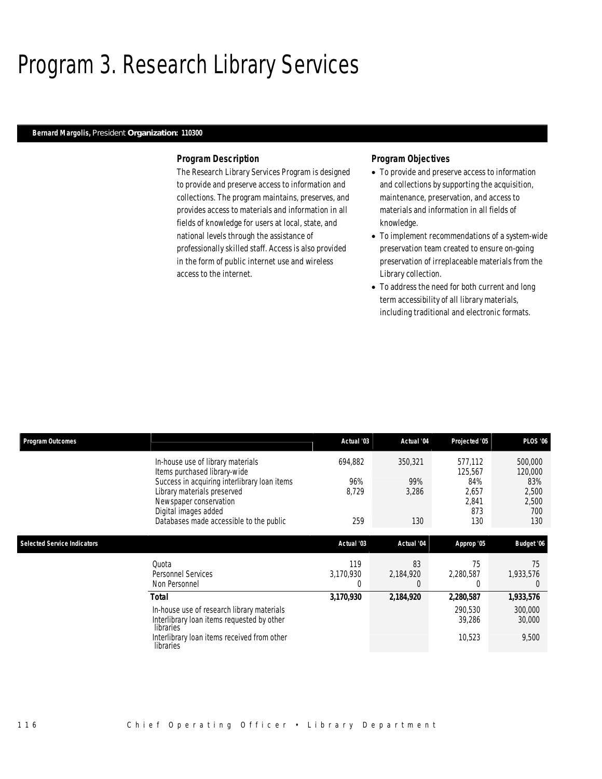# Program 3. Research Library Services

### *Bernard Margolis, President Organization: 110300*

### *Program Description*

The Research Library Services Program is designed to provide and preserve access to information and collections. The program maintains, preserves, and provides access to materials and information in all fields of knowledge for users at local, state, and national levels through the assistance of professionally skilled staff. Access is also provided in the form of public internet use and wireless access to the internet.

- To provide and preserve access to information and collections by supporting the acquisition, maintenance, preservation, and access to materials and information in all fields of knowledge.
- To implement recommendations of a system-wide preservation team created to ensure on-going preservation of irreplaceable materials from the Library collection.
- To address the need for both current and long term accessibility of all library materials, including traditional and electronic formats.

| <b>Program Outcomes</b>            |                                                                                                       | Actual '03            | Actual '04           | Projected '05               | <b>PLOS '06</b>             |
|------------------------------------|-------------------------------------------------------------------------------------------------------|-----------------------|----------------------|-----------------------------|-----------------------------|
|                                    | In-house use of library materials<br>Items purchased library-wide                                     | 694,882               | 350,321              | 577,112<br>125,567          | 500,000<br>120,000          |
|                                    | Success in acquiring interlibrary loan items<br>Library materials preserved<br>Newspaper conservation | 96%<br>8,729          | 99%<br>3,286         | 84%<br>2,657<br>2,841       | 83%<br>2,500<br>2,500       |
|                                    | Digital images added<br>Databases made accessible to the public                                       | 259                   | 130                  | 873<br>130                  | 700<br>130                  |
| <b>Selected Service Indicators</b> |                                                                                                       | Actual '03            | Actual '04           | Approp '05                  | Budget '06                  |
|                                    | Quota<br><b>Personnel Services</b><br>Non Personnel                                                   | 119<br>3,170,930<br>0 | 83<br>2,184,920<br>0 | 75<br>2,280,587<br>$\Omega$ | 75<br>1,933,576<br>$\theta$ |
|                                    | <b>Total</b>                                                                                          | 3,170,930             | 2,184,920            | 2,280,587                   | 1,933,576                   |
|                                    | In-house use of research library materials<br>Interlibrary loan items requested by other<br>libraries |                       |                      | 290,530<br>39,286           | 300,000<br>30,000           |
|                                    | Interlibrary loan items received from other<br>libraries                                              |                       |                      | 10,523                      | 9,500                       |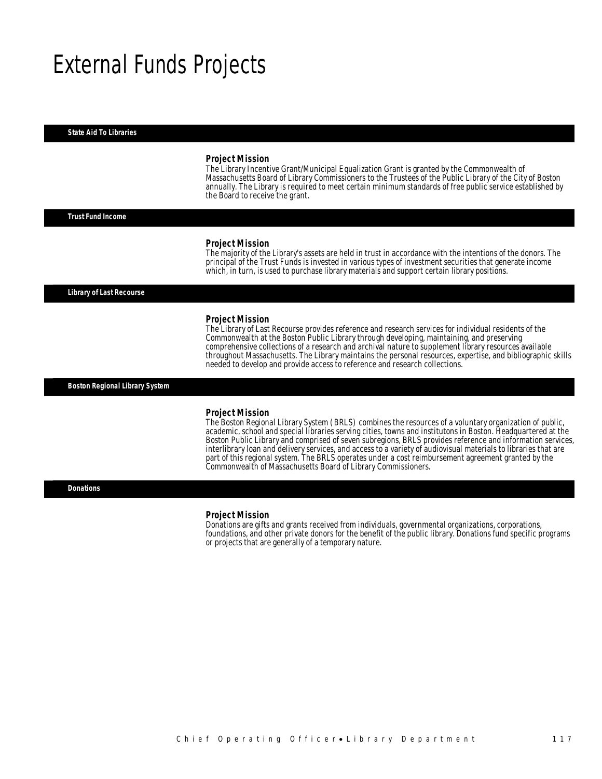# External Funds Projects

#### *State Aid To Libraries*

#### *Project Mission*

The Library Incentive Grant/Municipal Equalization Grant is granted by the Commonwealth of Massachusetts Board of Library Commissioners to the Trustees of the Public Library of the City of Boston annually. The Library is required to meet certain minimum standards of free public service established by the Board to receive the grant.

*Trust Fund Income* 

#### *Project Mission*

The majority of the Library's assets are held in trust in accordance with the intentions of the donors. The principal of the Trust Funds is invested in various types of investment securities that generate income which, in turn, is used to purchase library materials and support certain library positions.

*Library of Last Recourse* 

#### *Project Mission*

The Library of Last Recourse provides reference and research services for individual residents of the Commonwealth at the Boston Public Library through developing, maintaining, and preserving comprehensive collections of a research and archival nature to supplement library resources available throughout Massachusetts. The Library maintains the personal resources, expertise, and bibliographic skills needed to develop and provide access to reference and research collections.

*Boston Regional Library System* 

#### *Project Mission*

The Boston Regional Library System (BRLS) combines the resources of a voluntary organization of public, academic, school and special libraries serving cities, towns and institutons in Boston. Headquartered at the Boston Public Library and comprised of seven subregions, BRLS provides reference and information services, interlibrary loan and delivery services, and access to a variety of audiovisual materials to libraries that are part of this regional system. The BRLS operates under a cost reimbursement agreement granted by the Commonwealth of Massachusetts Board of Library Commissioners.

*Donations* 

#### *Project Mission*

Donations are gifts and grants received from individuals, governmental organizations, corporations, foundations, and other private donors for the benefit of the public library. Donations fund specific programs or projects that are generally of a temporary nature.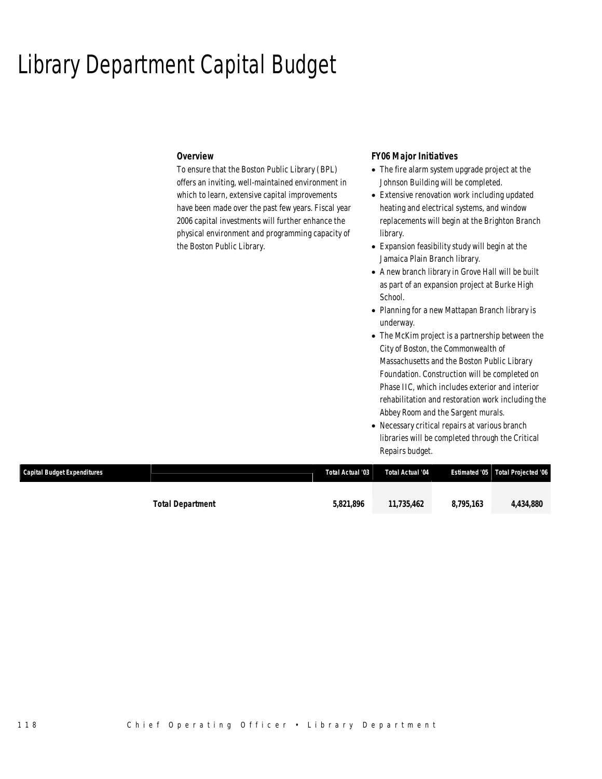# Library Department Capital Budget

## *Overview*

To ensure that the Boston Public Library (BPL) offers an inviting, well-maintained environment in which to learn, extensive capital improvements have been made over the past few years. Fiscal year 2006 capital investments will further enhance the physical environment and programming capacity of the Boston Public Library.

## *FY06 Major Initiatives*

- The fire alarm system upgrade project at the Johnson Building will be completed.
- Extensive renovation work including updated heating and electrical systems, and window replacements will begin at the Brighton Branch library.
- Expansion feasibility study will begin at the Jamaica Plain Branch library.
- A new branch library in Grove Hall will be built as part of an expansion project at Burke High School.
- Planning for a new Mattapan Branch library is underway.
- The McKim project is a partnership between the City of Boston, the Commonwealth of Massachusetts and the Boston Public Library Foundation. Construction will be completed on Phase IIC, which includes exterior and interior rehabilitation and restoration work including the Abbey Room and the Sargent murals.
- Necessary critical repairs at various branch libraries will be completed through the Critical Repairs budget.

| <b>Capital Budget Expenditures</b> |                         | Total Actual '03 | Total Actual '04 |           | Estimated '05 Total Projected '06 |
|------------------------------------|-------------------------|------------------|------------------|-----------|-----------------------------------|
|                                    | <b>Total Department</b> | 5,821,896        | 11,735,462       | 8.795.163 | 4,434,880                         |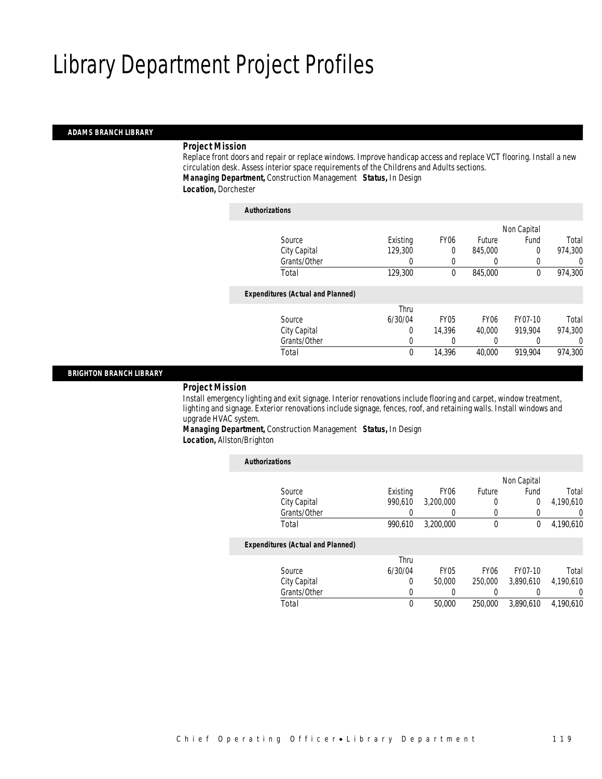#### *ADAMS BRANCH LIBRARY*

### *Project Mission*

Replace front doors and repair or replace windows. Improve handicap access and replace VCT flooring. Install a new circulation desk. Assess interior space requirements of the Childrens and Adults sections. *Managing Department,* Construction Management *Status,* In Design

*Location,* Dorchester

| <b>Authorizations</b>                    |              |             |                  |             |         |
|------------------------------------------|--------------|-------------|------------------|-------------|---------|
|                                          |              |             |                  | Non Capital |         |
| Source                                   | Existing     | <b>FY06</b> | Future           | Fund        | Total   |
| City Capital                             | 129,300      | 0           | 845,000          | 0           | 974,300 |
| Grants/Other                             | $\Omega$     | 0           | $\left($         |             | 0       |
| Total                                    | 129,300      | $\theta$    | 845,000          | $\mathbf 0$ | 974,300 |
| <b>Expenditures (Actual and Planned)</b> |              |             |                  |             |         |
|                                          | Thru         |             |                  |             |         |
| Source                                   | 6/30/04      | <b>FY05</b> | FY <sub>06</sub> | FY07-10     | Total   |
| City Capital                             | 0            | 14.396      | 40.000           | 919.904     | 974,300 |
| Grants/Other                             | 0            | 0           | 0                |             | 0       |
| Total                                    | $\mathbf{0}$ | 14,396      | 40,000           | 919.904     | 974,300 |
|                                          |              |             |                  |             |         |

### *BRIGHTON BRANCH LIBRARY*

### *Project Mission*

Install emergency lighting and exit signage. Interior renovations include flooring and carpet, window treatment, lighting and signage. Exterior renovations include signage, fences, roof, and retaining walls. Install windows and upgrade HVAC system.

*Managing Department,* Construction Management *Status,* In Design *Location,* Allston/Brighton

| <b>Authorizations</b>                    |          |                  |             |             |           |
|------------------------------------------|----------|------------------|-------------|-------------|-----------|
|                                          |          |                  |             | Non Capital |           |
| Source                                   | Existing | FY <sub>06</sub> | Future      | Fund        | Total     |
| City Capital                             | 990.610  | 3.200.000        | 0           | 0           | 4.190.610 |
| Grants/Other                             | 0        | 0                | 0           | 0           | 0         |
| Total                                    | 990.610  | 3,200,000        | 0           | 0           | 4,190,610 |
| <b>Expenditures (Actual and Planned)</b> |          |                  |             |             |           |
|                                          | Thru     |                  |             |             |           |
| Source                                   | 6/30/04  | <b>FY05</b>      | <b>FY06</b> | FY07-10     | Total     |
| City Capital                             | 0        | 50,000           | 250,000     | 3.890.610   | 4,190,610 |
| Grants/Other                             | 0        |                  | 0           |             | 0         |
| Total                                    | 0        | 50,000           | 250,000     | 3.890.610   | 4.190.610 |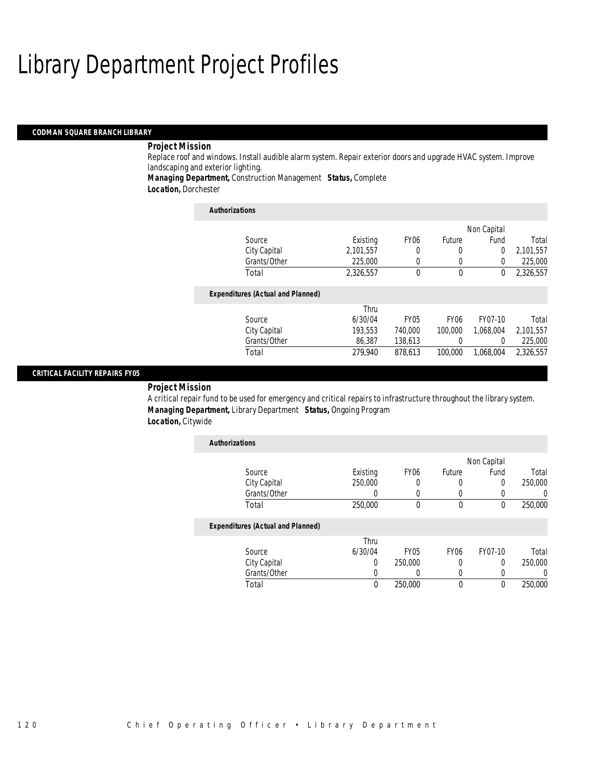#### *CODMAN SQUARE BRANCH LIBRARY*

### *Project Mission*

Replace roof and windows. Install audible alarm system. Repair exterior doors and upgrade HVAC system. Improve landscaping and exterior lighting.

*Managing Department,* Construction Management *Status,* Complete

*Location,* Dorchester

| <b>Authorizations</b>                    |           |                  |             |             |           |
|------------------------------------------|-----------|------------------|-------------|-------------|-----------|
|                                          |           |                  |             | Non Capital |           |
| Source                                   | Existing  | FY <sub>06</sub> | Future      | Fund        | Total     |
| City Capital                             | 2,101,557 | 0                | 0           | 0           | 2,101,557 |
| Grants/Other                             | 225,000   | $\overline{0}$   | 0           | 0           | 225,000   |
| Total                                    | 2,326,557 | $\theta$         | $\theta$    | 0           | 2,326,557 |
| <b>Expenditures (Actual and Planned)</b> |           |                  |             |             |           |
|                                          | Thru      |                  |             |             |           |
| Source                                   | 6/30/04   | <b>FY05</b>      | <b>FY06</b> | FY07-10     | Total     |
| City Capital                             | 193.553   | 740,000          | 100,000     | 1.068.004   | 2,101,557 |
| Grants/Other                             | 86.387    | 138,613          | 0           | 0           | 225,000   |
| Total                                    | 279.940   | 878.613          | 100,000     | 1.068.004   | 2,326,557 |

### *CRITICAL FACILITY REPAIRS FY05*

### *Project Mission*

A critical repair fund to be used for emergency and critical repairs to infrastructure throughout the library system. *Managing Department,* Library Department *Status,* Ongoing Program *Location,* Citywide

| <b>Authorizations</b>                    |          |                  |             |             |          |
|------------------------------------------|----------|------------------|-------------|-------------|----------|
|                                          |          |                  |             | Non Capital |          |
| Source                                   | Existing | FY <sub>06</sub> | Future      | Fund        | Total    |
| City Capital                             | 250,000  | 0                | 0           | 0           | 250,000  |
| Grants/Other                             | O        | 0                | 0           |             | 0        |
| Total                                    | 250,000  | 0                | 0           | $\theta$    | 250,000  |
| <b>Expenditures (Actual and Planned)</b> |          |                  |             |             |          |
|                                          | Thru     |                  |             |             |          |
| Source                                   | 6/30/04  | <b>FY05</b>      | <b>FY06</b> | FY07-10     | Total    |
| City Capital                             | 0        | 250,000          | 0           | 0           | 250,000  |
| Grants/Other                             | 0        | 0                | 0           |             | $\left($ |
| Total                                    | 0        | 250,000          | 0           | $\theta$    | 250,000  |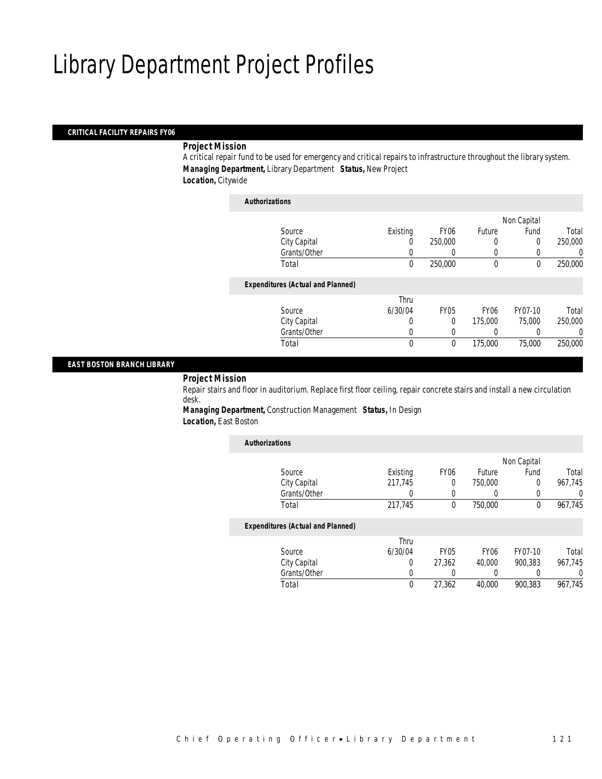### *CRITICAL FACILITY REPAIRS FY06*

### *Project Mission*

A critical repair fund to be used for emergency and critical repairs to infrastructure throughout the library system. *Managing Department,* Library Department *Status,* New Project *Location,* Citywide

| <i>cation,</i> citywide |
|-------------------------|
|                         |

| <b>Authorizations</b>                    |          |                  |                  |             |         |
|------------------------------------------|----------|------------------|------------------|-------------|---------|
|                                          |          |                  |                  | Non Capital |         |
| Source                                   | Existing | FY <sub>06</sub> | Future           | Fund        | Total   |
| City Capital                             | $\left($ | 250,000          | 0                | 0           | 250,000 |
| Grants/Other                             | 0        | 0                | 0                | 0           | 0       |
| Total                                    | 0        | 250,000          | $\mathbf 0$      | 0           | 250,000 |
| <b>Expenditures (Actual and Planned)</b> |          |                  |                  |             |         |
|                                          | Thru     |                  |                  |             |         |
| Source                                   | 6/30/04  | <b>FY05</b>      | FY <sub>06</sub> | FY07-10     | Total   |
| City Capital                             | 0        | 0                | 175,000          | 75,000      | 250,000 |
| Grants/Other                             | 0        | 0                | 0                | 0           | 0       |
| Total                                    | 0        | 0                | 175,000          | 75,000      | 250,000 |

### *EAST BOSTON BRANCH LIBRARY*

### *Project Mission*

Repair stairs and floor in auditorium. Replace first floor ceiling, repair concrete stairs and install a new circulation desk.

*Managing Department,* Construction Management *Status,* In Design *Location,* East Boston

| <b>Authorizations</b>                    |          |                  |                  |             |         |
|------------------------------------------|----------|------------------|------------------|-------------|---------|
|                                          |          |                  |                  | Non Capital |         |
| Source                                   | Existing | FY <sub>06</sub> | Future           | Fund        | Total   |
| City Capital                             | 217,745  | 0                | 750,000          | $\theta$    | 967,745 |
| Grants/Other                             | 0        | 0                | 0                | 0           | 0       |
| Total                                    | 217,745  | 0                | 750,000          | $\theta$    | 967,745 |
| <b>Expenditures (Actual and Planned)</b> |          |                  |                  |             |         |
|                                          | Thru     |                  |                  |             |         |
| Source                                   | 6/30/04  | <b>FY05</b>      | FY <sub>06</sub> | FY07-10     | Total   |
| City Capital                             | 0        | 27.362           | 40,000           | 900.383     | 967.745 |
| Grants/Other                             | 0        |                  | 0                |             | 0       |
| Total                                    | 0        | 27,362           | 40.000           | 900.383     | 967.745 |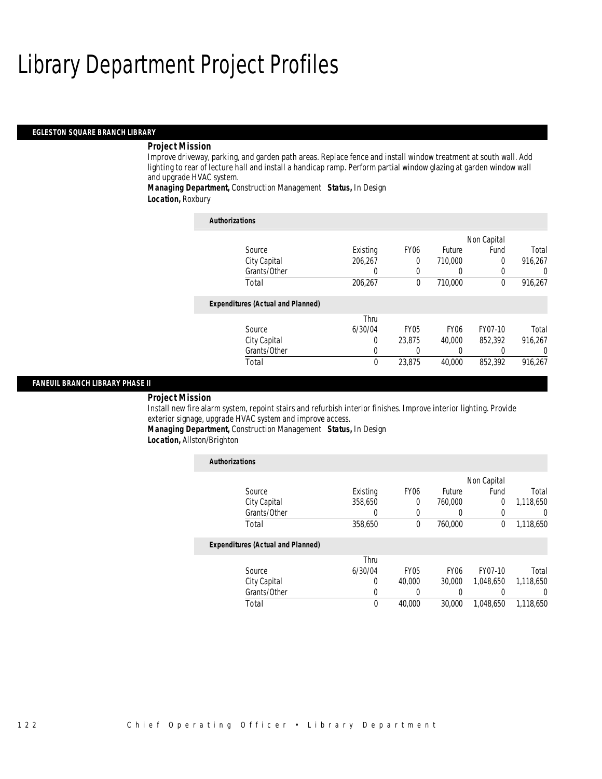#### *EGLESTON SQUARE BRANCH LIBRARY*

### *Project Mission*

Improve driveway, parking, and garden path areas. Replace fence and install window treatment at south wall. Add lighting to rear of lecture hall and install a handicap ramp. Perform partial window glazing at garden window wall and upgrade HVAC system.

*Managing Department,* Construction Management *Status,* In Design *Location,* Roxbury

| <b>Authorizations</b>                    |          |                  |                  |             |         |
|------------------------------------------|----------|------------------|------------------|-------------|---------|
|                                          |          |                  |                  | Non Capital |         |
| Source                                   | Existing | FY <sub>06</sub> | Future           | Fund        | Total   |
| City Capital                             | 206.267  | $\Omega$         | 710.000          | 0           | 916.267 |
| Grants/Other                             |          | $\left($         | $\left( \right)$ | 0           |         |
| Total                                    | 206,267  | $\theta$         | 710,000          | 0           | 916,267 |
| <b>Expenditures (Actual and Planned)</b> |          |                  |                  |             |         |
|                                          | Thru     |                  |                  |             |         |
| Source                                   | 6/30/04  | FY <sub>05</sub> | FY <sub>06</sub> | FY07-10     | Total   |
| City Capital                             | 0        | 23.875           | 40,000           | 852.392     | 916,267 |
| Grants/Other                             |          |                  | 0                | 0           |         |
| Total                                    | $\theta$ | 23,875           | 40,000           | 852,392     | 916,267 |

### *FANEUIL BRANCH LIBRARY PHASE II*

*Project Mission* 

Install new fire alarm system, repoint stairs and refurbish interior finishes. Improve interior lighting. Provide exterior signage, upgrade HVAC system and improve access.

*Managing Department,* Construction Management *Status,* In Design

*Location,* Allston/Brighton

| <b>Authorizations</b>                    |          |                  |                  |             |           |
|------------------------------------------|----------|------------------|------------------|-------------|-----------|
|                                          |          |                  |                  | Non Capital |           |
| Source                                   | Existing | FY <sub>06</sub> | <b>Future</b>    | Fund        | Total     |
| City Capital                             | 358.650  | 0                | 760.000          | 0           | 1.118.650 |
| Grants/Other                             | 0        | 0                | 0                |             | $\Omega$  |
| Total                                    | 358,650  | 0                | 760,000          | 0           | 1,118,650 |
| <b>Expenditures (Actual and Planned)</b> |          |                  |                  |             |           |
|                                          | Thru     |                  |                  |             |           |
| Source                                   | 6/30/04  | <b>FY05</b>      | FY <sub>06</sub> | FY07-10     | Total     |
| City Capital                             | 0        | 40,000           | 30,000           | 1.048.650   | 1.118.650 |
| Grants/Other                             | 0        | 0                | 0                |             | $\Omega$  |
| Total                                    | 0        | 40,000           | 30,000           | 1.048.650   | 1.118.650 |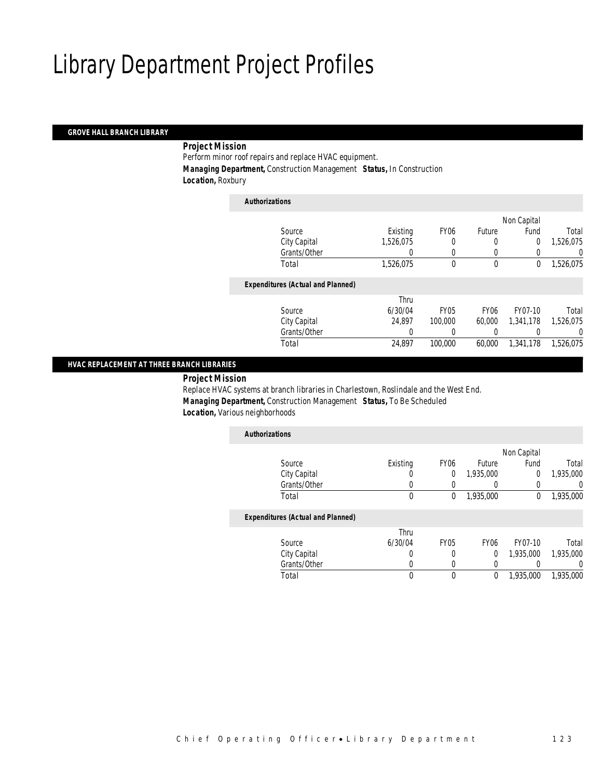### *GROVE HALL BRANCH LIBRARY*

### *Project Mission*

Perform minor roof repairs and replace HVAC equipment. *Managing Department,* Construction Management *Status,* In Construction *Location,* Roxbury

| <b>Authorizations</b>                    |           |                |                  |             |           |
|------------------------------------------|-----------|----------------|------------------|-------------|-----------|
|                                          |           |                |                  | Non Capital |           |
| Source                                   | Existing  | <b>FY06</b>    | Future           | Fund        | Total     |
| City Capital                             | 1,526,075 | $\Omega$       | 0                | 0           | 1,526,075 |
| Grants/Other                             | 0         | $\overline{0}$ | 0                | 0           | 0         |
| Total                                    | 1,526,075 | $\theta$       | $\theta$         | 0           | 1,526,075 |
| <b>Expenditures (Actual and Planned)</b> |           |                |                  |             |           |
|                                          | Thru      |                |                  |             |           |
| Source                                   | 6/30/04   | FY05           | FY <sub>06</sub> | FY07-10     | Total     |
| City Capital                             | 24,897    | 100,000        | 60,000           | 1.341.178   | 1,526,075 |
| Grants/Other                             | 0         |                |                  | 0           | 0         |
| Total                                    | 24,897    | 100,000        | 60,000           | 1,341,178   | 1,526,075 |
|                                          |           |                |                  |             |           |

### *HVAC REPLACEMENT AT THREE BRANCH LIBRARIES*

*Project Mission* 

Replace HVAC systems at branch libraries in Charlestown, Roslindale and the West End. *Managing Department,* Construction Management *Status,* To Be Scheduled *Location,* Various neighborhoods

| <b>Authorizations</b> |                                          |          |                  |                  |             |                  |
|-----------------------|------------------------------------------|----------|------------------|------------------|-------------|------------------|
|                       |                                          |          |                  |                  | Non Capital |                  |
|                       | Source                                   | Existing | FY <sub>06</sub> | Future           | Fund        | Total            |
|                       | City Capital                             |          | $\overline{0}$   | 1,935,000        | 0           | 1,935,000        |
|                       | Grants/Other                             | O        |                  |                  | 0           | $\left( \right)$ |
|                       | Total                                    | $\theta$ | 0                | 1,935,000        | 0           | 1,935,000        |
|                       |                                          |          |                  |                  |             |                  |
|                       | <b>Expenditures (Actual and Planned)</b> |          |                  |                  |             |                  |
|                       |                                          | Thru     |                  |                  |             |                  |
|                       | Source                                   | 6/30/04  | FY <sub>05</sub> | FY <sub>06</sub> | FY07-10     | Total            |
|                       | City Capital                             | 0        | 0                | 0                | 1,935,000   | 1,935,000        |
|                       | Grants/Other                             |          |                  | 0                |             | $\left( \right)$ |
|                       | Total                                    | 0        |                  | 0                | 1.935.000   | 1.935.000        |

Total 0 0 0 1,935,000 1,935,000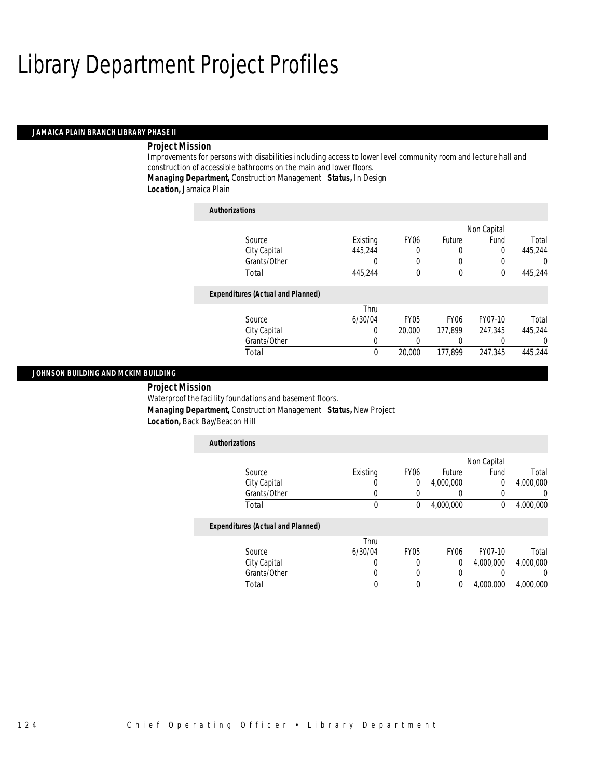### *JAMAICA PLAIN BRANCH LIBRARY PHASE II*

### *Project Mission*

Improvements for persons with disabilities including access to lower level community room and lecture hall and construction of accessible bathrooms on the main and lower floors.

*Managing Department,* Construction Management *Status,* In Design

*Location,* Jamaica Plain

| <b>Authorizations</b>                    |          |                  |             |             |         |
|------------------------------------------|----------|------------------|-------------|-------------|---------|
|                                          |          |                  |             | Non Capital |         |
| Source                                   | Existing | FY <sub>06</sub> | Future      | Fund        | Total   |
| City Capital                             | 445.244  | 0                | 0           | 0           | 445.244 |
| Grants/Other                             | $\left($ | 0                | 0           | 0           |         |
| Total                                    | 445.244  | $\theta$         | $\theta$    | $\theta$    | 445.244 |
| <b>Expenditures (Actual and Planned)</b> |          |                  |             |             |         |
|                                          | Thru     |                  |             |             |         |
| Source                                   | 6/30/04  | FY <sub>05</sub> | <b>FY06</b> | FY07-10     | Total   |
| City Capital                             | 0        | 20,000           | 177.899     | 247.345     | 445.244 |
| Grants/Other                             | 0        | 0                | 0           |             |         |
| Total                                    | $\theta$ | 20,000           | 177.899     | 247.345     | 445.244 |

### *JOHNSON BUILDING AND MCKIM BUILDING*

 *Project Mission* Waterproof the facility foundations and basement floors. *Managing Department,* Construction Management *Status,* New Project *Location,* Back Bay/Beacon Hill

| <b>Authorizations</b>                    |          |                  |               |             |           |
|------------------------------------------|----------|------------------|---------------|-------------|-----------|
|                                          |          |                  |               | Non Capital |           |
| Source                                   | Existing | FY <sub>06</sub> | <b>Future</b> | Fund        | Total     |
| City Capital                             |          | $\overline{0}$   | 4,000,000     | $\mathbf 0$ | 4,000,000 |
| Grants/Other                             |          | 0                | 0             | 0           |           |
| Total                                    | $\theta$ | 0                | 4,000,000     | 0           | 4,000,000 |
| <b>Expenditures (Actual and Planned)</b> |          |                  |               |             |           |
|                                          | Thru     |                  |               |             |           |
| Source                                   | 6/30/04  | <b>FY05</b>      | <b>FY06</b>   | FY07-10     | Total     |
| City Capital                             |          | 0                | 0             | 4.000.000   | 4.000.000 |
| Grants/Other                             |          | 0                | 0             |             |           |
| Total                                    | 0        | 0                | 0             | 4.000.000   | 4.000.000 |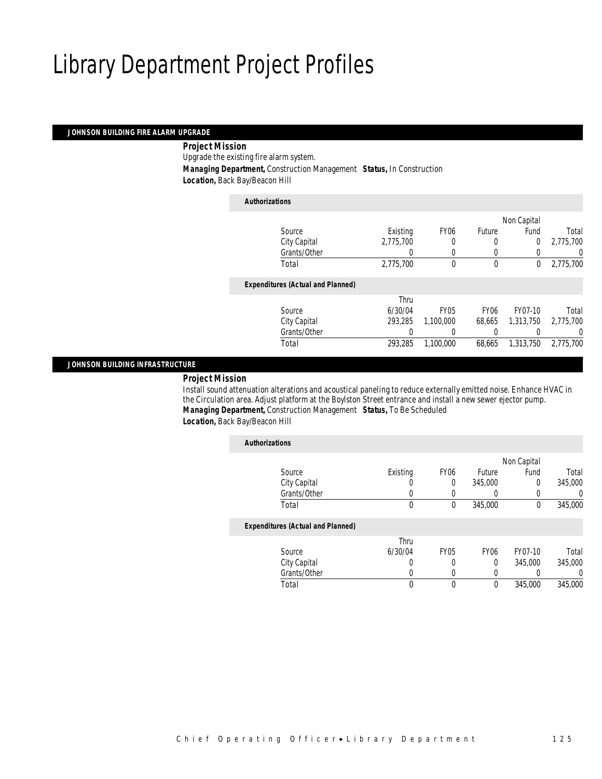### *JOHNSON BUILDING FIRE ALARM UPGRADE*

## *Project Mission*

Upgrade the existing fire alarm system. *Managing Department,* Construction Management *Status,* In Construction

*Location,* Back Bay/Beacon Hill

| <b>Authorizations</b>                    |           |             |                  |             |           |
|------------------------------------------|-----------|-------------|------------------|-------------|-----------|
|                                          |           |             |                  | Non Capital |           |
| Source                                   | Existing  | <b>FY06</b> | Future           | Fund        | Total     |
| City Capital                             | 2,775,700 | 0           | 0                | 0           | 2,775,700 |
| Grants/Other                             |           |             | 0                |             | 0         |
| Total                                    | 2,775,700 | 0           | $\mathbf 0$      | 0           | 2,775,700 |
| <b>Expenditures (Actual and Planned)</b> |           |             |                  |             |           |
|                                          | Thru      |             |                  |             |           |
| Source                                   | 6/30/04   | <b>FY05</b> | FY <sub>06</sub> | FY07-10     | Total     |
| City Capital                             | 293.285   | 1.100.000   | 68.665           | 1,313,750   | 2.775.700 |
| Grants/Other                             |           | 0           |                  |             | 0         |
| Total                                    | 293.285   | 1,100,000   | 68.665           | 1,313,750   | 2.775.700 |
|                                          |           |             |                  |             |           |

### *JOHNSON BUILDING INFRASTRUCTURE*

## *Project Mission*

Install sound attenuation alterations and acoustical paneling to reduce externally emitted noise. Enhance HVAC in the Circulation area. Adjust platform at the Boylston Street entrance and install a new sewer ejector pump. *Managing Department,* Construction Management *Status,* To Be Scheduled *Location,* Back Bay/Beacon Hill

| <b>Authorizations</b>                    |          |                  |                  |             |         |
|------------------------------------------|----------|------------------|------------------|-------------|---------|
|                                          |          |                  |                  | Non Capital |         |
| Source                                   | Existing | FY <sub>06</sub> | Future           | Fund        | Total   |
| City Capital                             | 0        | 0                | 345,000          | 0           | 345,000 |
| Grants/Other                             | 0        |                  |                  |             | 0       |
| Total                                    | 0        | 0                | 345,000          | $\mathbf 0$ | 345,000 |
| <b>Expenditures (Actual and Planned)</b> |          |                  |                  |             |         |
|                                          | Thru     |                  |                  |             |         |
| Source                                   | 6/30/04  | <b>FY05</b>      | FY <sub>06</sub> | FY07-10     | Total   |
| City Capital                             | 0        | 0                | 0                | 345,000     | 345,000 |
| Grants/Other                             | 0        | 0                | 0                |             | 0       |
| Total                                    | 0        | 0                | 0                | 345,000     | 345,000 |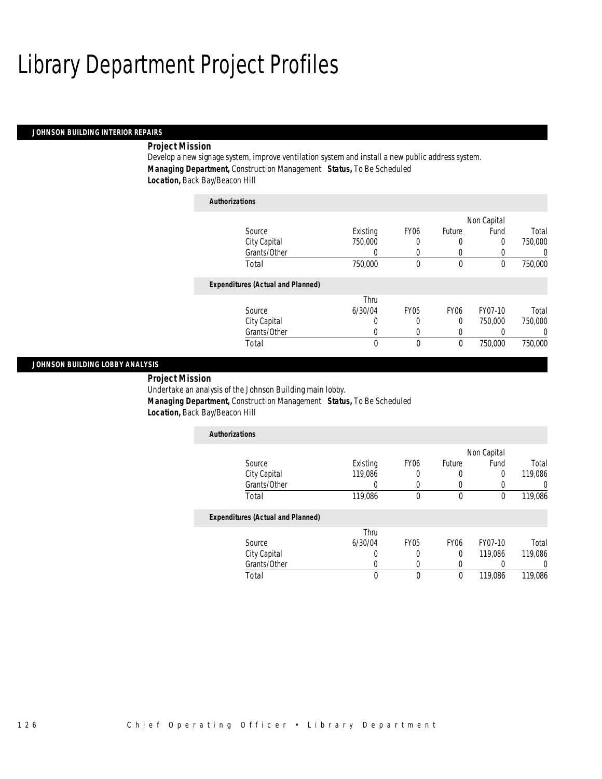#### *JOHNSON BUILDING INTERIOR REPAIRS*

### *Project Mission*

Develop a new signage system, improve ventilation system and install a new public address system. *Managing Department,* Construction Management *Status,* To Be Scheduled *Location,* Back Bay/Beacon Hill

| AUUDULLAUVUS                             |          |                  |                  |             |          |
|------------------------------------------|----------|------------------|------------------|-------------|----------|
|                                          |          |                  |                  | Non Capital |          |
| Source                                   | Existing | FY <sub>06</sub> | Future           | Fund        | Total    |
| City Capital                             | 750,000  | 0                | 0                | 0           | 750,000  |
| Grants/Other                             | 0        | 0                | 0                | 0           | 0        |
| Total                                    | 750,000  | 0                | 0                | $\bf{0}$    | 750,000  |
| <b>Expenditures (Actual and Planned)</b> |          |                  |                  |             |          |
|                                          | Thru     |                  |                  |             |          |
| Source                                   | 6/30/04  | FY <sub>05</sub> | FY <sub>06</sub> | FY07-10     | Total    |
| City Capital                             | 0        | 0                | 0                | 750,000     | 750,000  |
| Grants/Other                             | 0        | 0                | 0                |             | $\Omega$ |
| Total                                    | 0        | 0                | 0                | 750,000     | 750,000  |

### *JOHNSON BUILDING LOBBY ANALYSIS*

*Project Mission* 

Undertake an analysis of the Johnson Building main lobby.

*Authorizations*

*Managing Department,* Construction Management *Status,* To Be Scheduled

*Location,* Back Bay/Beacon Hill

| Existing | FY <sub>06</sub> | Future | Fund | Total       |
|----------|------------------|--------|------|-------------|
| 119,086  | 0                |        |      | 119,086     |
|          |                  |        |      |             |
| 119,086  |                  | 0      |      | 119,086     |
|          |                  |        |      | Non Capital |

### *Expenditures (Actual and Planned)*

|              | Thru    |      |                  |         |         |
|--------------|---------|------|------------------|---------|---------|
| Source       | 6/30/04 | FY05 | FY <sub>06</sub> | FY07-10 | Total   |
| City Capital |         |      |                  | 119.086 | 119,086 |
| Grants/Other |         |      |                  |         |         |
| Total        |         |      |                  | 119,086 | 119,086 |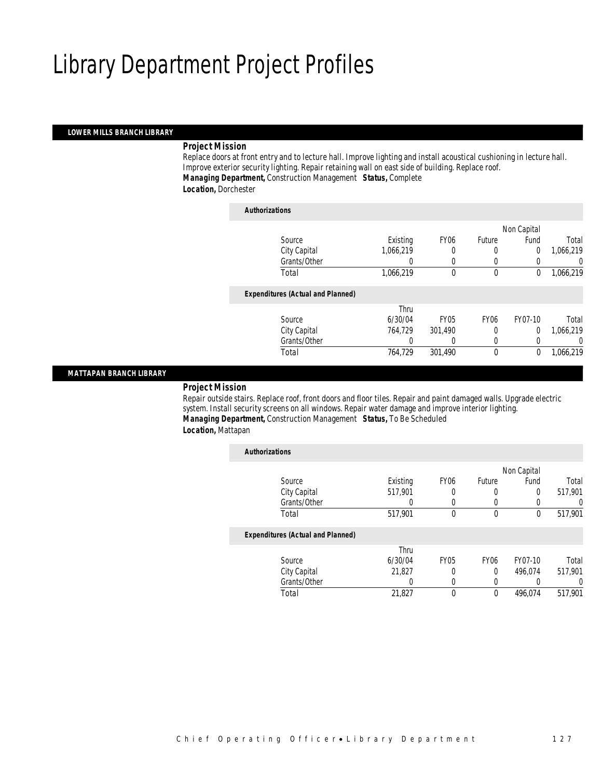#### *LOWER MILLS BRANCH LIBRARY*

### *Project Mission*

Replace doors at front entry and to lecture hall. Improve lighting and install acoustical cushioning in lecture hall. Improve exterior security lighting. Repair retaining wall on east side of building. Replace roof. *Managing Department,* Construction Management *Status,* Complete

*Location,* Dorchester

| <b>Authorizations</b> |                                          |           |             |                  |             |           |
|-----------------------|------------------------------------------|-----------|-------------|------------------|-------------|-----------|
|                       |                                          |           |             |                  | Non Capital |           |
|                       | Source                                   | Existing  | <b>FY06</b> | Future           | Fund        | Total     |
|                       | City Capital                             | 1.066.219 | 0           | 0                | $\theta$    | 1,066,219 |
|                       | Grants/Other                             | 0         | 0           | 0                |             | 0         |
|                       | Total                                    | 1.066.219 | 0           | $\mathbf 0$      | 0           | 1,066,219 |
|                       | <b>Expenditures (Actual and Planned)</b> |           |             |                  |             |           |
|                       |                                          | Thru      |             |                  |             |           |
|                       | Source                                   | 6/30/04   | <b>FY05</b> | FY <sub>06</sub> | FY07-10     | Total     |
|                       | City Capital                             | 764,729   | 301,490     | 0                | $\Omega$    | 1,066,219 |
|                       | Grants/Other                             | 0         | 0           | 0                |             | 0         |
|                       | Total                                    | 764.729   | 301.490     | $\theta$         | $\theta$    | 1.066.219 |

### *MATTAPAN BRANCH LIBRARY*

### *Project Mission*

Repair outside stairs. Replace roof, front doors and floor tiles. Repair and paint damaged walls. Upgrade electric system. Install security screens on all windows. Repair water damage and improve interior lighting. *Managing Department,* Construction Management *Status,* To Be Scheduled *Location,* Mattapan

| <b>Authorizations</b>                    |          |                  |                  |             |         |
|------------------------------------------|----------|------------------|------------------|-------------|---------|
|                                          |          |                  |                  | Non Capital |         |
| Source                                   | Existing | FY <sub>06</sub> | Future           | Fund        | Total   |
| City Capital                             | 517.901  | 0                | 0                | $\Omega$    | 517,901 |
| Grants/Other                             | 0        | 0                | 0                |             | 0       |
| Total                                    | 517.901  | $\theta$         | $\theta$         | $\theta$    | 517,901 |
| <b>Expenditures (Actual and Planned)</b> |          |                  |                  |             |         |
|                                          | Thru     |                  |                  |             |         |
| Source                                   | 6/30/04  | FY <sub>05</sub> | FY <sub>06</sub> | FY07-10     | Total   |
| City Capital                             | 21,827   | 0                | $\theta$         | 496.074     | 517,901 |
| Grants/Other                             | 0        | 0                | $\left($         |             | 0       |
| Total                                    | 21,827   | 0                | 0                | 496.074     | 517,901 |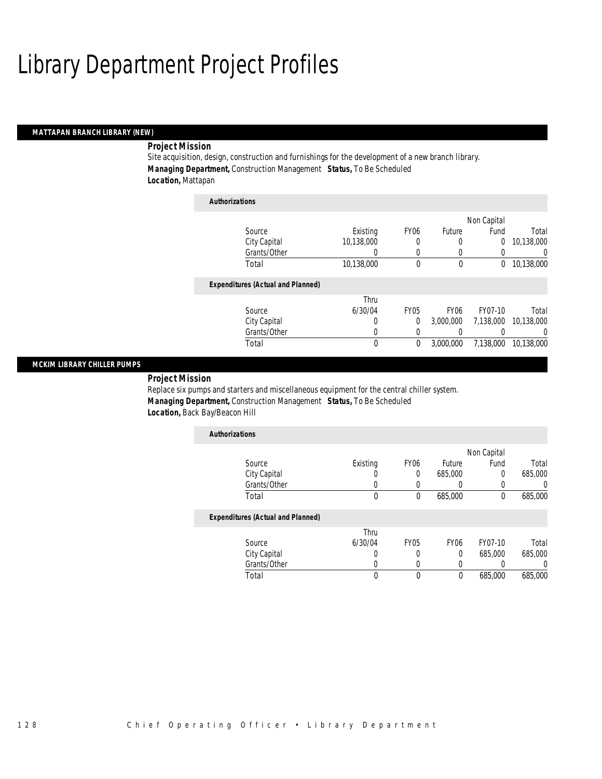### *MATTAPAN BRANCH LIBRARY (NEW)*

### *Project Mission*

*Authorizations*

Site acquisition, design, construction and furnishings for the development of a new branch library. *Managing Department,* Construction Management *Status,* To Be Scheduled *Location,* Mattapan

| Authorizations                           |            |                  |                  |             |            |
|------------------------------------------|------------|------------------|------------------|-------------|------------|
|                                          |            |                  |                  | Non Capital |            |
| Source                                   | Existing   | FY <sub>06</sub> | Future           | Fund        | Total      |
| City Capital                             | 10.138.000 | 0                | 0                | 0           | 10,138,000 |
| Grants/Other                             | 0          | 0                | 0                | 0           | 0          |
| Total                                    | 10,138,000 | 0                | 0                | 0           | 10,138,000 |
| <b>Expenditures (Actual and Planned)</b> |            |                  |                  |             |            |
|                                          | Thru       |                  |                  |             |            |
| Source                                   | 6/30/04    | <b>FY05</b>      | FY <sub>06</sub> | FY07-10     | Total      |
| City Capital                             | 0          | 0                | 3.000.000        | 7.138.000   | 10.138.000 |
| Grants/Other                             | 0          | 0                | 0                |             | 0          |
| Total                                    | 0          | 0                | 3,000,000        | 7,138,000   | 10,138,000 |
|                                          |            |                  |                  |             |            |

### *MCKIM LIBRARY CHILLER PUMPS*

*Project Mission* 

Replace six pumps and starters and miscellaneous equipment for the central chiller system. *Managing Department,* Construction Management *Status,* To Be Scheduled *Location,* Back Bay/Beacon Hill

| <b>Authorizations</b> |          |                  |         |             |         |
|-----------------------|----------|------------------|---------|-------------|---------|
|                       |          |                  |         | Non Capital |         |
| Source                | Existing | FY <sub>06</sub> | Future  | Fund        | Total   |
| City Capital          |          |                  | 685,000 |             | 685,000 |
| Grants/Other          |          |                  |         |             |         |
| Total                 |          |                  | 685,000 |             | 685,000 |

### *Expenditures (Actual and Planned)*

|              | Thru    |      |                  |         |         |
|--------------|---------|------|------------------|---------|---------|
| Source       | 6/30/04 | FY05 | FY <sub>06</sub> | FY07-10 | Total   |
| City Capital |         |      |                  | 685,000 | 685,000 |
| Grants/Other |         |      |                  |         |         |
| Total        |         |      |                  | 685,000 | 685,000 |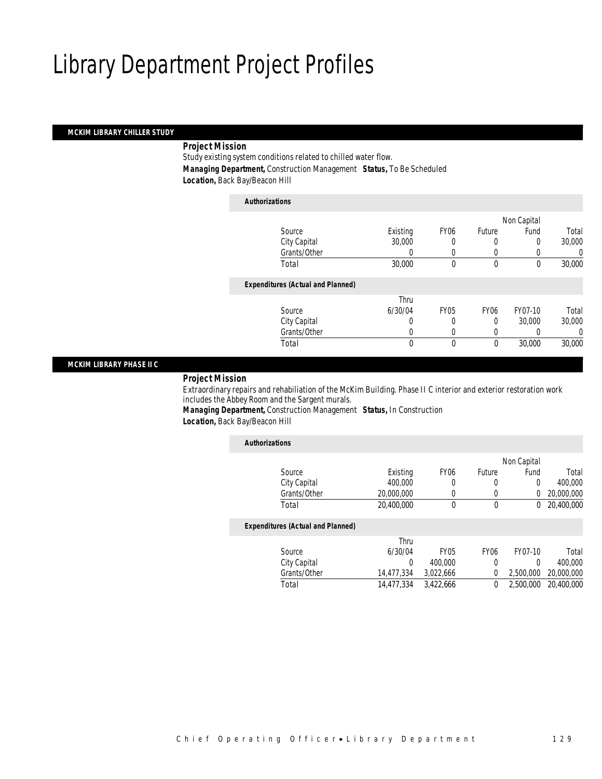### *MCKIM LIBRARY CHILLER STUDY*

### *Project Mission*

Study existing system conditions related to chilled water flow. *Managing Department,* Construction Management *Status,* To Be Scheduled *Location,* Back Bay/Beacon Hill

| <b>Authorizations</b>                    |          |                  |                  |             |        |
|------------------------------------------|----------|------------------|------------------|-------------|--------|
|                                          |          |                  |                  | Non Capital |        |
| Source                                   | Existing | FY <sub>06</sub> | Future           | Fund        | Total  |
| City Capital                             | 30,000   | 0                | 0                | 0           | 30,000 |
| Grants/Other                             | $\left($ | $\Omega$         | 0                | $\left($    |        |
| Total                                    | 30,000   | 0                | 0                | 0           | 30,000 |
| <b>Expenditures (Actual and Planned)</b> |          |                  |                  |             |        |
|                                          | Thru     |                  |                  |             |        |
| Source                                   | 6/30/04  | <b>FY05</b>      | FY <sub>06</sub> | FY07-10     | Total  |
| City Capital                             | 0        | 0                | 0                | 30,000      | 30,000 |
| Grants/Other                             | 0        | 0                | 0                | 0           |        |
| Total                                    | 0        | $\theta$         | 0                | 30,000      | 30,000 |
|                                          |          |                  |                  |             |        |

### *MCKIM LIBRARY PHASE II C*

### *Project Mission*

Extraordinary repairs and rehabiliation of the McKim Building. Phase II C interior and exterior restoration work includes the Abbey Room and the Sargent murals.

*Managing Department,* Construction Management *Status,* In Construction *Location,* Back Bay/Beacon Hill

| <b>Authorizations</b> |                                          |            |                  |             |             |            |
|-----------------------|------------------------------------------|------------|------------------|-------------|-------------|------------|
|                       |                                          |            |                  |             | Non Capital |            |
|                       | Source                                   | Existing   | FY <sub>06</sub> | Future      | Fund        | Total      |
|                       | City Capital                             | 400,000    | 0                | 0           | 0           | 400.000    |
|                       | Grants/Other                             | 20,000,000 |                  | 0           | 0           | 20,000,000 |
|                       | Total                                    | 20,400,000 | 0                | 0           | 0           | 20,400,000 |
|                       | <b>Expenditures (Actual and Planned)</b> |            |                  |             |             |            |
|                       |                                          | Thru       |                  |             |             |            |
|                       | Source                                   | 6/30/04    | <b>FY05</b>      | <b>FY06</b> | FY07-10     | Total      |
|                       | City Capital                             | $\Omega$   | 400,000          | 0           | 0           | 400,000    |
|                       | Grants/Other                             | 14,477,334 | 3.022.666        | 0           | 2,500,000   | 20,000,000 |
|                       | Total                                    | 14,477,334 | 3.422.666        | 0           | 2.500.000   | 20,400,000 |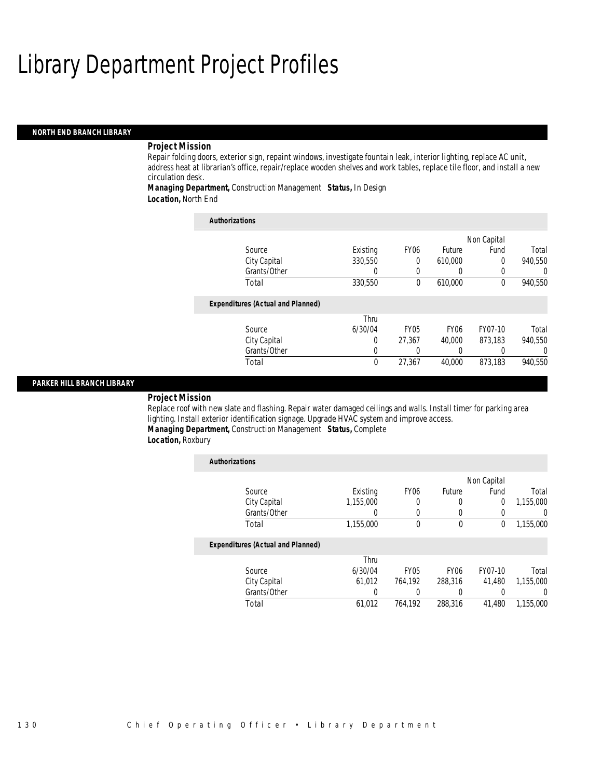#### *NORTH END BRANCH LIBRARY*

### *Project Mission*

Repair folding doors, exterior sign, repaint windows, investigate fountain leak, interior lighting, replace AC unit, address heat at librarian's office, repair/replace wooden shelves and work tables, replace tile floor, and install a new circulation desk.

### *Managing Department,* Construction Management *Status,* In Design *Location,* North End

| <b>Authorizations</b>                    |          |             |                  |             |         |
|------------------------------------------|----------|-------------|------------------|-------------|---------|
|                                          |          |             |                  | Non Capital |         |
| Source                                   | Existing | <b>FY06</b> | Future           | Fund        | Total   |
| City Capital                             | 330.550  | 0           | 610.000          | 0           | 940.550 |
| Grants/Other                             |          | 0           | 0                | 0           | 0       |
| Total                                    | 330.550  | 0           | 610.000          | $\mathbf 0$ | 940,550 |
| <b>Expenditures (Actual and Planned)</b> |          |             |                  |             |         |
|                                          | Thru     |             |                  |             |         |
| Source                                   | 6/30/04  | <b>FY05</b> | FY <sub>06</sub> | FY07-10     | Total   |
| City Capital                             | 0        | 27.367      | 40,000           | 873.183     | 940.550 |
| Grants/Other                             |          | 0           | 0                | 0           | 0       |
| Total                                    | $\theta$ | 27,367      | 40,000           | 873.183     | 940.550 |

### *PARKER HILL BRANCH LIBRARY*

*Project Mission* 

Replace roof with new slate and flashing. Repair water damaged ceilings and walls. Install timer for parking area lighting. Install exterior identification signage. Upgrade HVAC system and improve access. *Managing Department,* Construction Management *Status,* Complete

| <b>Authorizations</b>                    |           |                  |                  |             |           |
|------------------------------------------|-----------|------------------|------------------|-------------|-----------|
|                                          |           |                  |                  | Non Capital |           |
| Source                                   | Existing  | FY <sub>06</sub> | Future           | Fund        | Total     |
| City Capital                             | 1.155.000 | 0                | 0                | 0           | 1,155,000 |
| Grants/Other                             | 0         | 0                | 0                |             | $\Omega$  |
| Total                                    | 1,155,000 | 0                | 0                | 0           | 1,155,000 |
| <b>Expenditures (Actual and Planned)</b> |           |                  |                  |             |           |
|                                          | Thru      |                  |                  |             |           |
| Source                                   | 6/30/04   | <b>FY05</b>      | FY <sub>06</sub> | FY07-10     | Total     |
| City Capital                             | 61,012    | 764.192          | 288,316          | 41.480      | 1.155.000 |
| Grants/Other                             | 0         | 0                | 0                |             | $\Omega$  |
| Total                                    | 61,012    | 764.192          | 288,316          | 41.480      | 1.155.000 |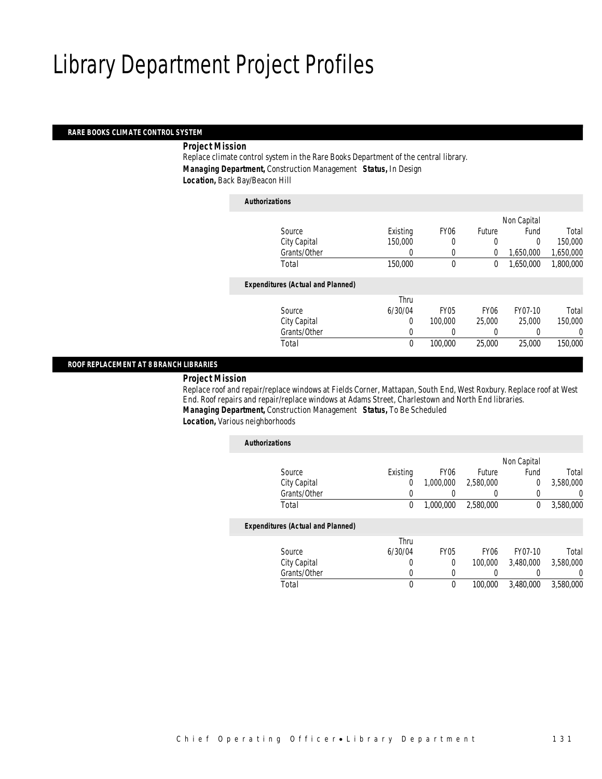### *RARE BOOKS CLIMATE CONTROL SYSTEM*

*Project Mission* 

Replace climate control system in the Rare Books Department of the central library. *Managing Department,* Construction Management *Status,* In Design *Location,* Back Bay/Beacon Hill

*Authorizations*

|                                          |          |             |                  | Non Capital |           |
|------------------------------------------|----------|-------------|------------------|-------------|-----------|
| Source                                   | Existing | <b>FY06</b> | Future           | Fund        | Total     |
| City Capital                             | 150,000  | 0           | 0                |             | 150,000   |
| Grants/Other                             | 0        | 0           | $\overline{0}$   | 1,650,000   | 1,650,000 |
| Total                                    | 150,000  | 0           | 0                | 1,650,000   | 1,800,000 |
|                                          |          |             |                  |             |           |
| <b>Expenditures (Actual and Planned)</b> |          |             |                  |             |           |
|                                          | Thru     |             |                  |             |           |
| Source                                   | 6/30/04  | <b>FY05</b> | FY <sub>06</sub> | FY07-10     | Total     |
| City Capital                             | $\Omega$ | 100,000     | 25,000           | 25,000      | 150,000   |
| Grants/Other                             | 0        |             |                  |             | 0         |
| Total                                    | 0        | 100,000     | 25,000           | 25,000      | 150,000   |
|                                          |          |             |                  |             |           |

*ROOF REPLACEMENT AT 8 BRANCH LIBRARIES* 

*Project Mission* 

Replace roof and repair/replace windows at Fields Corner, Mattapan, South End, West Roxbury. Replace roof at West End. Roof repairs and repair/replace windows at Adams Street, Charlestown and North End libraries. *Managing Department,* Construction Management *Status,* To Be Scheduled

*Location,* Various neighborhoods

| <b>Authorizations</b> |                                          |          |                  |             |             |           |
|-----------------------|------------------------------------------|----------|------------------|-------------|-------------|-----------|
|                       |                                          |          |                  |             | Non Capital |           |
|                       | Source                                   | Existing | FY <sub>06</sub> | Future      | Fund        | Total     |
|                       | City Capital                             | 0        | 1.000.000        | 2,580,000   | 0           | 3,580,000 |
|                       | Grants/Other                             | 0        |                  | 0           | 0           | 0         |
|                       | Total                                    | 0        | 1.000.000        | 2,580,000   | 0           | 3.580.000 |
|                       | <b>Expenditures (Actual and Planned)</b> |          |                  |             |             |           |
|                       |                                          | Thru     |                  |             |             |           |
|                       | Source                                   | 6/30/04  | <b>FY05</b>      | <b>FY06</b> | FY07-10     | Total     |
|                       | City Capital                             | 0        | 0                | 100,000     | 3.480.000   | 3.580.000 |
|                       | Grants/Other                             | 0        | 0                | 0           |             | 0         |
|                       | Total                                    | 0        | 0                | 100,000     | 3,480,000   | 3.580.000 |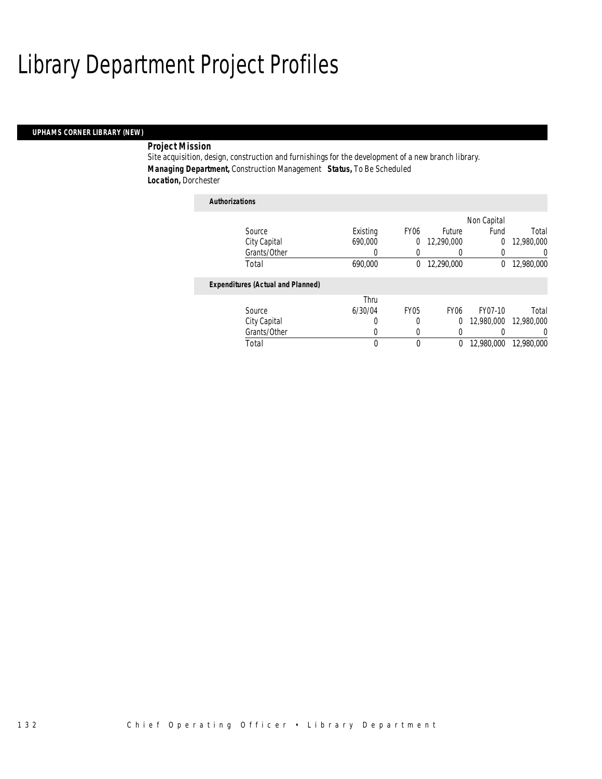### *UPHAMS CORNER LIBRARY (NEW)*

### *Project Mission*

Site acquisition, design, construction and furnishings for the development of a new branch library. *Managing Department,* Construction Management *Status,* To Be Scheduled *Location,* Dorchester

### *Authorizations*

|                                          |          |                  |                  | Non Capital  |            |
|------------------------------------------|----------|------------------|------------------|--------------|------------|
| Source                                   | Existing | FY <sub>06</sub> | Future           | Fund         | Total      |
| City Capital                             | 690,000  | 0                | 12,290,000       | $\mathbf{0}$ | 12,980,000 |
| Grants/Other                             |          |                  | 0                | 0            | 0          |
| Total                                    | 690,000  | 0                | 12,290,000       | 0            | 12,980,000 |
|                                          |          |                  |                  |              |            |
| <b>Expenditures (Actual and Planned)</b> |          |                  |                  |              |            |
|                                          | Thru     |                  |                  |              |            |
| Source                                   | 6/30/04  | FY <sub>05</sub> | FY <sub>06</sub> | FY07-10      | Total      |
| City Capital                             | 0        | 0                | 0                | 12,980,000   | 12,980,000 |
| Grants/Other                             | 0        | 0                | 0                |              | $\left($   |
| Total                                    | 0        | 0                | 0                | 12,980,000   | 12.980.000 |
|                                          |          |                  |                  |              |            |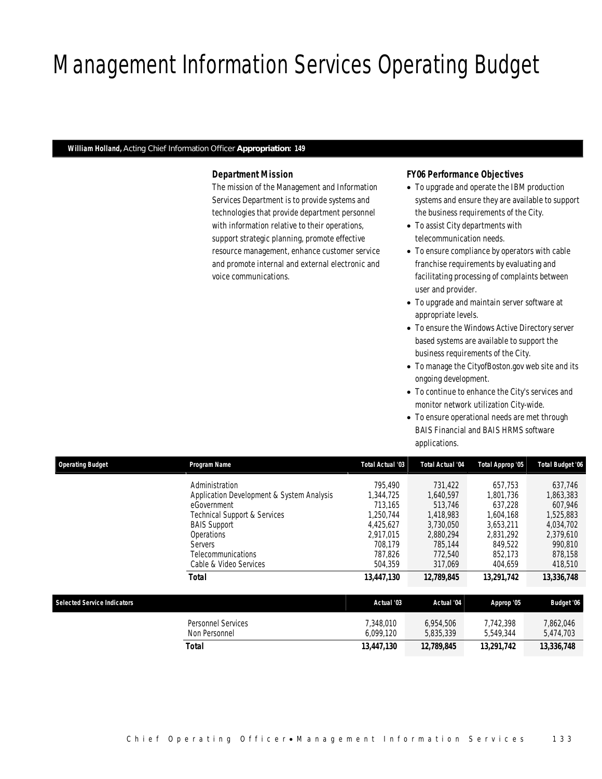# Management Information Services Operating Budget

#### *William Holland, Acting Chief Information Officer Appropriation: 149*

## *Department Mission*

The mission of the Management and Information Services Department is to provide systems and technologies that provide department personnel with information relative to their operations, support strategic planning, promote effective resource management, enhance customer service and promote internal and external electronic and voice communications.

### *FY06 Performance Objectives*

- To upgrade and operate the IBM production systems and ensure they are available to support the business requirements of the City.
- To assist City departments with telecommunication needs.
- To ensure compliance by operators with cable franchise requirements by evaluating and facilitating processing of complaints between user and provider.
- To upgrade and maintain server software at appropriate levels.
- To ensure the Windows Active Directory server based systems are available to support the business requirements of the City.
- To manage the CityofBoston.gov web site and its ongoing development.
- To continue to enhance the City's services and monitor network utilization City-wide.
- To ensure operational needs are met through BAIS Financial and BAIS HRMS software applications.

| <b>Operating Budget</b>            | Program Name                              | Total Actual '03 | <b>Total Actual '04</b> | Total Approp '05 | Total Budget '06 |
|------------------------------------|-------------------------------------------|------------------|-------------------------|------------------|------------------|
|                                    | Administration                            | 795.490          | 731.422                 | 657.753          | 637,746          |
|                                    | Application Development & System Analysis | 1.344.725        | 1.640.597               | 1.801.736        | 1,863,383        |
|                                    | eGovernment                               | 713.165          | 513.746                 | 637.228          | 607,946          |
|                                    | <b>Technical Support &amp; Services</b>   | 1.250.744        | 1,418,983               | 1,604,168        | 1,525,883        |
|                                    | <b>BAIS Support</b>                       | 4.425.627        | 3.730.050               | 3.653.211        | 4.034.702        |
|                                    | <b>Operations</b>                         | 2.917.015        | 2,880,294               | 2,831,292        | 2,379,610        |
|                                    | <b>Servers</b>                            | 708,179          | 785,144                 | 849,522          | 990,810          |
|                                    | Telecommunications                        | 787.826          | 772.540                 | 852,173          | 878,158          |
|                                    | Cable & Video Services                    | 504,359          | 317,069                 | 404,659          | 418,510          |
|                                    | Total                                     | 13,447,130       | 12,789,845              | 13,291,742       | 13,336,748       |
|                                    |                                           |                  |                         |                  |                  |
| <b>Selected Service Indicators</b> |                                           | Actual '03       | Actual '04              | Approp '05       | Budget '06       |
|                                    | Personnel Services                        | 7.348.010        | 6,954,506               | 7.742.398        | 7,862,046        |
|                                    | Non Personnel                             | 6,099,120        | 5,835,339               | 5,549,344        | 5,474,703        |
|                                    | Total                                     | 13,447,130       | 12,789,845              | 13.291.742       | 13,336,748       |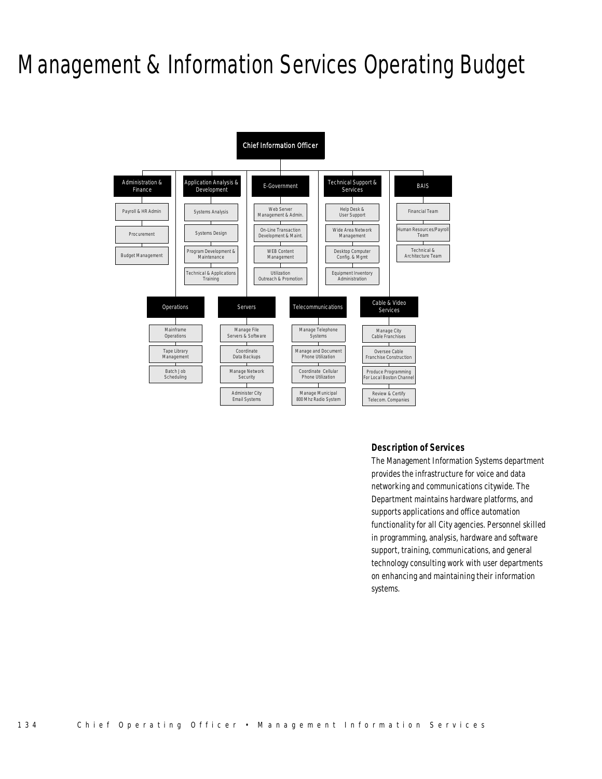# Management & Information Services Operating Budget



### *Description of Services*

The Management Information Systems department provides the infrastructure for voice and data networking and communications citywide. The Department maintains hardware platforms, and supports applications and office automation functionality for all City agencies. Personnel skilled in programming, analysis, hardware and software support, training, communications, and general technology consulting work with user departments on enhancing and maintaining their information systems.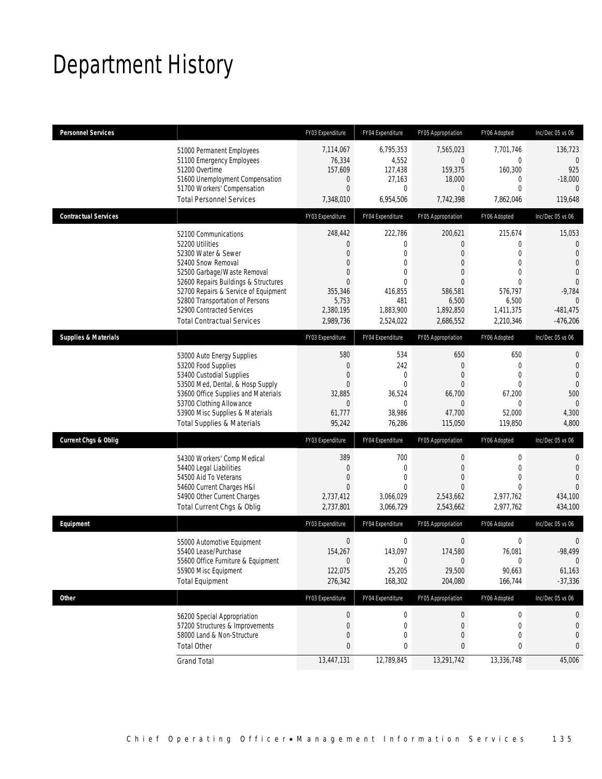# Department History

| <b>Personnel Services</b>       |                                                                                                                                                                                                                                                                                                          | FY03 Expenditure                                                                                                                          | FY04 Expenditure                                                                                                            | FY05 Appropriation                                                                                                                                          | FY06 Adopted                                                                                             | Inc/Dec 05 vs 06                                                                                                                                                         |
|---------------------------------|----------------------------------------------------------------------------------------------------------------------------------------------------------------------------------------------------------------------------------------------------------------------------------------------------------|-------------------------------------------------------------------------------------------------------------------------------------------|-----------------------------------------------------------------------------------------------------------------------------|-------------------------------------------------------------------------------------------------------------------------------------------------------------|----------------------------------------------------------------------------------------------------------|--------------------------------------------------------------------------------------------------------------------------------------------------------------------------|
|                                 | 51000 Permanent Employees<br>51100 Emergency Employees<br>51200 Overtime<br>51600 Unemployment Compensation<br>51700 Workers' Compensation<br><b>Total Personnel Services</b>                                                                                                                            | 7,114,067<br>76,334<br>157,609<br>$\mathbf 0$<br>$\mathbf{0}$                                                                             | 6,795,353<br>4,552<br>127,438<br>27,163<br>0                                                                                | 7,565,023<br>$\mathbf 0$<br>159,375<br>18,000<br>$\overline{0}$                                                                                             | 7.701.746<br>0<br>160,300<br>0<br>$\Omega$                                                               | 136,723<br>$\mathbf{0}$<br>925<br>$-18,000$<br>$\Omega$                                                                                                                  |
|                                 |                                                                                                                                                                                                                                                                                                          | 7,348,010                                                                                                                                 | 6,954,506                                                                                                                   | 7,742,398                                                                                                                                                   | 7,862,046                                                                                                | 119,648                                                                                                                                                                  |
| <b>Contractual Services</b>     | 52100 Communications<br>52200 Utilities<br>52300 Water & Sewer<br>52400 Snow Removal<br>52500 Garbage/Waste Removal<br>52600 Repairs Buildings & Structures<br>52700 Repairs & Service of Equipment<br>52800 Transportation of Persons<br>52900 Contracted Services<br><b>Total Contractual Services</b> | FY03 Expenditure<br>248,442<br>$\theta$<br>$\mathbf{0}$<br>$\theta$<br>$\theta$<br>$\theta$<br>355,346<br>5,753<br>2,380,195<br>2,989,736 | FY04 Expenditure<br>222,786<br>0<br>$\overline{0}$<br>0<br>$\theta$<br>$\theta$<br>416,855<br>481<br>1,883,900<br>2,524,022 | FY05 Appropriation<br>200,621<br>$\overline{0}$<br>$\mathbf{0}$<br>$\mathbf{0}$<br>$\overline{0}$<br>$\Omega$<br>586,581<br>6,500<br>1,892,850<br>2,686,552 | FY06 Adopted<br>215,674<br>0<br>$\mathbf 0$<br>0<br>0<br>0<br>576,797<br>6,500<br>1,411,375<br>2,210,346 | Inc/Dec 05 vs 06<br>15,053<br>$\overline{0}$<br>$\overline{0}$<br>$\overline{0}$<br>$\overline{0}$<br>$\overline{0}$<br>$-9,784$<br>$\Omega$<br>$-481,475$<br>$-476,206$ |
| <b>Supplies &amp; Materials</b> |                                                                                                                                                                                                                                                                                                          | FY03 Expenditure                                                                                                                          | FY04 Expenditure                                                                                                            | FY05 Appropriation                                                                                                                                          | FY06 Adopted                                                                                             | Inc/Dec 05 vs 06                                                                                                                                                         |
|                                 | 53000 Auto Energy Supplies<br>53200 Food Supplies<br>53400 Custodial Supplies<br>53500 Med, Dental, & Hosp Supply<br>53600 Office Supplies and Materials<br>53700 Clothing Allowance<br>53900 Misc Supplies & Materials<br><b>Total Supplies &amp; Materials</b>                                         | 580<br>$\overline{0}$<br>$\mathbf{0}$<br>$\theta$<br>32,885<br>$\mathbf{0}$<br>61,777<br>95,242                                           | 534<br>242<br>$\mathbf{0}$<br>$\mathbf{0}$<br>36,524<br>0<br>38,986<br>76,286                                               | 650<br>$\overline{0}$<br>$\mathbf{0}$<br>$\Omega$<br>66,700<br>$\overline{0}$<br>47,700<br>115,050                                                          | 650<br>0<br>$\mathbf 0$<br>0<br>67,200<br>0<br>52,000<br>119,850                                         | $\mathbf 0$<br>$\overline{0}$<br>$\overline{0}$<br>$\mathbf{0}$<br>500<br>$\mathbf{0}$<br>4,300<br>4,800                                                                 |
| <b>Current Chgs &amp; Oblig</b> |                                                                                                                                                                                                                                                                                                          | FY03 Expenditure                                                                                                                          | FY04 Expenditure                                                                                                            | FY05 Appropriation                                                                                                                                          | FY06 Adopted                                                                                             | Inc/Dec 05 vs 06                                                                                                                                                         |
|                                 | 54300 Workers' Comp Medical<br>54400 Legal Liabilities<br>54500 Aid To Veterans<br>54600 Current Charges H&I<br>54900 Other Current Charges<br>Total Current Chgs & Oblig                                                                                                                                | 389<br>$\theta$<br>$\Omega$<br>$\overline{0}$<br>2,737,412<br>2,737,801                                                                   | 700<br>$\mathbf{0}$<br>$\theta$<br>$\theta$<br>3,066,029<br>3,066,729                                                       | $\boldsymbol{0}$<br>$\boldsymbol{0}$<br>$\Omega$<br>$\Omega$<br>2,543,662<br>2,543,662                                                                      | $\boldsymbol{0}$<br>$\mathbf 0$<br>0<br>$\Omega$<br>2,977,762<br>2,977,762                               | 0<br>$\mathbf{0}$<br>$\overline{0}$<br>$\Omega$<br>434,100<br>434,100                                                                                                    |
| Equipment                       |                                                                                                                                                                                                                                                                                                          | FY03 Expenditure                                                                                                                          | FY04 Expenditure                                                                                                            | FY05 Appropriation                                                                                                                                          | FY06 Adopted                                                                                             | Inc/Dec 05 vs 06                                                                                                                                                         |
|                                 | 55000 Automotive Equipment<br>55400 Lease/Purchase<br>55600 Office Furniture & Equipment<br>55900 Misc Equipment<br><b>Total Equipment</b>                                                                                                                                                               | $\boldsymbol{0}$<br>154,267<br>$\Omega$<br>122,075<br>276,342                                                                             | 0<br>143,097<br>$\Omega$<br>25,205<br>168,302                                                                               | 0<br>174,580<br>$\Omega$<br>29,500<br>204,080                                                                                                               | $\mathbf 0$<br>76,081<br>$\Omega$<br>90,663<br>166,744                                                   | 0<br>$-98,499$<br>$\Omega$<br>61,163<br>$-37,336$                                                                                                                        |
| Other                           |                                                                                                                                                                                                                                                                                                          | FY03 Expenditure                                                                                                                          | FY04 Expenditure                                                                                                            | FY05 Appropriation                                                                                                                                          | FY06 Adopted                                                                                             | Inc/Dec 05 vs 06                                                                                                                                                         |
|                                 | 56200 Special Appropriation<br>57200 Structures & Improvements<br>58000 Land & Non-Structure<br><b>Total Other</b>                                                                                                                                                                                       | $\boldsymbol{0}$<br>$\theta$<br>$\theta$<br>$\pmb{0}$                                                                                     | $\boldsymbol{0}$<br>$\boldsymbol{0}$<br>$\mathbf 0$<br>0                                                                    | $\boldsymbol{0}$<br>$\boldsymbol{0}$<br>$\boldsymbol{0}$<br>0                                                                                               | $\boldsymbol{0}$<br>0<br>0<br>0                                                                          | 0<br>0<br>$\mathbf{0}$<br>0                                                                                                                                              |
|                                 | <b>Grand Total</b>                                                                                                                                                                                                                                                                                       | 13,447,131                                                                                                                                | 12,789,845                                                                                                                  | 13,291,742                                                                                                                                                  | 13,336,748                                                                                               | 45,006                                                                                                                                                                   |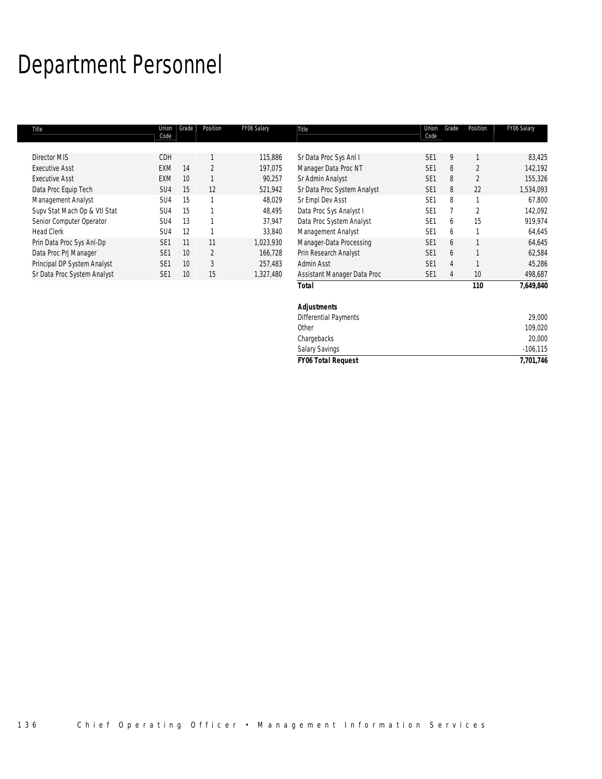# Department Personnel

| Title                        | Union           | Grade           | Position       | FY06 Salary | <b>Title</b>                | Union           | Grade        | Position       | FY06 Salary |
|------------------------------|-----------------|-----------------|----------------|-------------|-----------------------------|-----------------|--------------|----------------|-------------|
|                              | Code            |                 |                |             |                             | Code            |              |                |             |
|                              |                 |                 |                |             |                             |                 |              |                |             |
| Director MIS                 | CDH             |                 |                | 115,886     | Sr Data Proc Sys Anl I      | SE <sub>1</sub> | 9            |                | 83,425      |
| <b>Executive Asst</b>        | <b>EXM</b>      | 14              | $\overline{2}$ | 197.075     | Manager Data Proc NT        | SE <sub>1</sub> | 8            | $\overline{2}$ | 142,192     |
| <b>Executive Asst</b>        | <b>EXM</b>      | 10              |                | 90,257      | Sr Admin Analyst            | SE <sub>1</sub> | 8            | $\overline{2}$ | 155,326     |
| Data Proc Equip Tech         | SU <sub>4</sub> | 15              | 12             | 521,942     | Sr Data Proc System Analyst | SE <sub>1</sub> | 8            | 22             | 1,534,093   |
| Management Analyst           | SU4             | 15              |                | 48,029      | Sr Empl Dev Asst            | SE <sub>1</sub> | 8            |                | 67,800      |
| Supv Stat Mach Op & Vtl Stat | SU4             | 15              |                | 48,495      | Data Proc Sys Analyst I     | SE <sub>1</sub> |              | 2              | 142,092     |
| Senior Computer Operator     | SU <sub>4</sub> | 13              |                | 37,947      | Data Proc System Analyst    | SE <sub>1</sub> | <sub>b</sub> | 15             | 919,974     |
| <b>Head Clerk</b>            | SU <sub>4</sub> | 12              |                | 33,840      | Management Analyst          | SE <sub>1</sub> | b            |                | 64,645      |
| Prin Data Proc Sys Anl-Dp    | SE <sub>1</sub> | 11              | 11             | 1,023,930   | Manager-Data Processing     | SE <sub>1</sub> | 6            |                | 64,645      |
| Data Proc Prj Manager        | SE <sub>1</sub> | 10              | $\overline{2}$ | 166,728     | Prin Research Analyst       | SE <sub>1</sub> | 6            |                | 62,584      |
| Principal DP System Analyst  | SE <sub>1</sub> | 10              | 3              | 257,483     | Admin Asst                  | SE <sub>1</sub> | 4            |                | 45,286      |
| Sr Data Proc System Analyst  | SE <sub>1</sub> | 10 <sup>°</sup> | 15             | 1,327,480   | Assistant Manager Data Proc | SE <sub>1</sub> | 4            | 10             | 498,687     |
|                              |                 |                 |                |             | Total                       |                 |              | 110            | 7,649,840   |

| <b>Adjustments</b>           |             |
|------------------------------|-------------|
| <b>Differential Payments</b> | 29,000      |
| Other                        | 109,020     |
| Chargebacks                  | 20,000      |
| <b>Salary Savings</b>        | $-106, 115$ |
| <b>FY06 Total Request</b>    | 7,701,746   |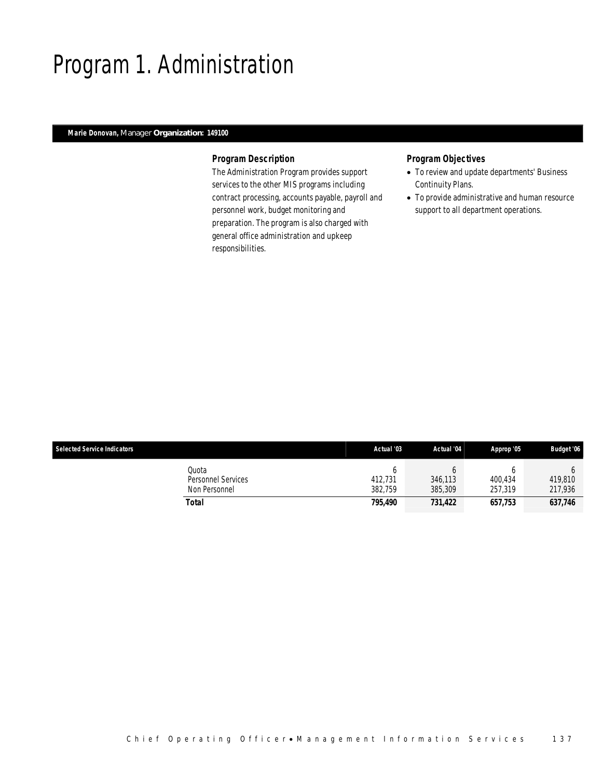## Program 1. Administration

### *Marie Donovan, Manager Organization: 149100*

#### *Program Description*

The Administration Program provides support services to the other MIS programs including contract processing, accounts payable, payroll and personnel work, budget monitoring and preparation. The program is also charged with general office administration and upkeep responsibilities.

- To review and update departments' Business Continuity Plans.
- To provide administrative and human resource support to all department operations.

| <b>Selected Service Indicators</b> |                                                     | Actual '03         | Actual '04         | Approp '05         | <b>Budget '06</b>  |
|------------------------------------|-----------------------------------------------------|--------------------|--------------------|--------------------|--------------------|
|                                    | Quota<br><b>Personnel Services</b><br>Non Personnel | 412.731<br>382.759 | 346.113<br>385,309 | 400.434<br>257.319 | 419,810<br>217,936 |
|                                    | Total                                               | 795.490            | 731.422            | 657,753            | 637,746            |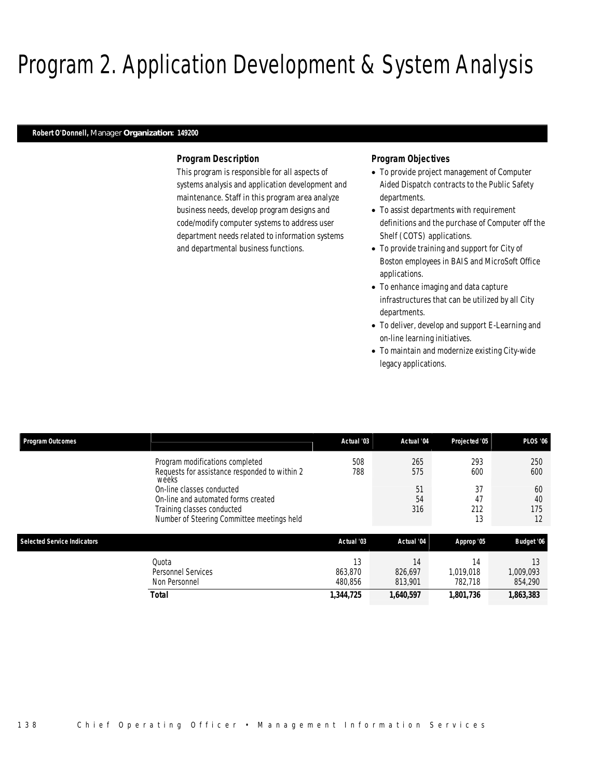# Program 2. Application Development & System Analysis

#### *Robert O'Donnell, Manager Organization: 149200*

#### *Program Description*

This program is responsible for all aspects of systems analysis and application development and maintenance. Staff in this program area analyze business needs, develop program designs and code/modify computer systems to address user department needs related to information systems and departmental business functions.

- To provide project management of Computer Aided Dispatch contracts to the Public Safety departments.
- To assist departments with requirement definitions and the purchase of Computer off the Shelf (COTS) applications.
- To provide training and support for City of Boston employees in BAIS and MicroSoft Office applications.
- To enhance imaging and data capture infrastructures that can be utilized by all City departments.
- To deliver, develop and support E-Learning and on-line learning initiatives.
- To maintain and modernize existing City-wide legacy applications.

| <b>Program Outcomes</b>            |                                                                                                                                              | Actual '03               | Actual '04               | Projected '05              | <b>PLOS '06</b>            |
|------------------------------------|----------------------------------------------------------------------------------------------------------------------------------------------|--------------------------|--------------------------|----------------------------|----------------------------|
|                                    | Program modifications completed<br>Requests for assistance responded to within 2<br>weeks                                                    | 508<br>788               | 265<br>575               | 293<br>600                 | 250<br>600                 |
|                                    | On-line classes conducted<br>On-line and automated forms created<br>Training classes conducted<br>Number of Steering Committee meetings held |                          | 51<br>54<br>316          | 37<br>47<br>212<br>13      | 60<br>40<br>175<br>12      |
| <b>Selected Service Indicators</b> |                                                                                                                                              | Actual '03               | Actual '04               | Approp '05                 | Budget '06                 |
|                                    | Quota<br>Personnel Services<br>Non Personnel                                                                                                 | 13<br>863.870<br>480,856 | 14<br>826.697<br>813,901 | 14<br>1.019.018<br>782,718 | 13<br>1,009,093<br>854,290 |
|                                    | <b>Total</b>                                                                                                                                 | 1,344,725                | 1,640,597                | 1.801.736                  | 1,863,383                  |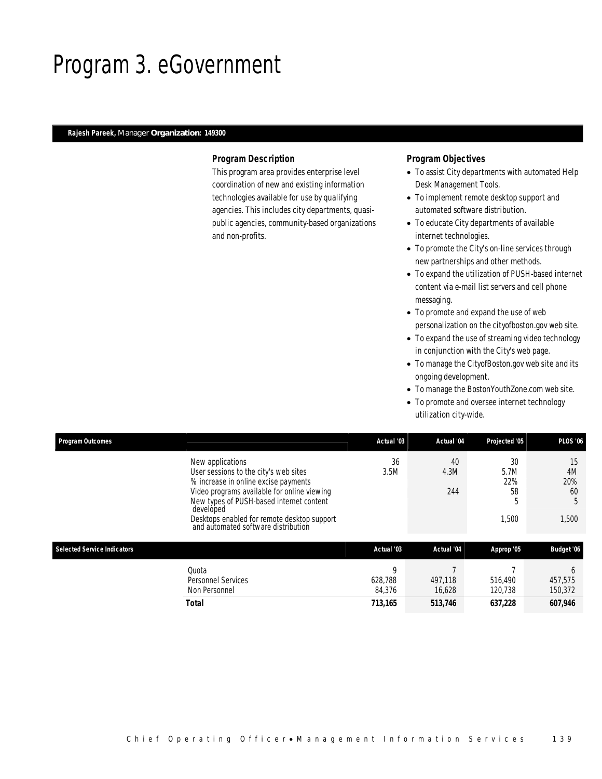## Program 3. eGovernment

#### *Rajesh Pareek, Manager Organization: 149300*

### *Program Description*

This program area provides enterprise level coordination of new and existing information technologies available for use by qualifying agencies. This includes city departments, quasipublic agencies, community-based organizations and non-profits.

- To assist City departments with automated Help Desk Management Tools.
- To implement remote desktop support and automated software distribution.
- To educate City departments of available internet technologies.
- To promote the City's on-line services through new partnerships and other methods.
- To expand the utilization of PUSH-based internet content via e-mail list servers and cell phone messaging.
- To promote and expand the use of web personalization on the cityofboston.gov web site.
- To expand the use of streaming video technology in conjunction with the City's web page.
- To manage the CityofBoston.gov web site and its ongoing development.
- To manage the BostonYouthZone.com web site.
- To promote and oversee internet technology utilization city-wide.

| <b>Program Outcomes</b>            |                                                                                                                                                                                                                                                                                                 | Actual '03             | Actual '04        | Projected '05                    | <b>PLOS '06</b>                     |
|------------------------------------|-------------------------------------------------------------------------------------------------------------------------------------------------------------------------------------------------------------------------------------------------------------------------------------------------|------------------------|-------------------|----------------------------------|-------------------------------------|
|                                    | New applications<br>User sessions to the city's web sites<br>% increase in online excise payments<br>Video programs available for online viewing<br>New types of PUSH-based internet content<br>developed<br>Desktops enabled for remote desktop support<br>and automated software distribution | 36<br>3.5M             | 40<br>4.3M<br>244 | 30<br>5.7M<br>22%<br>58<br>1,500 | 15<br>4M<br>20%<br>60<br>5<br>1,500 |
| <b>Selected Service Indicators</b> |                                                                                                                                                                                                                                                                                                 | Actual '03             | Actual '04        | Approp '05                       | Budget '06                          |
|                                    | Ouota<br><b>Personnel Services</b><br>Non Personnel                                                                                                                                                                                                                                             | Q<br>628.788<br>84,376 | 497.118<br>16,628 | 516.490<br>120,738               | <sub>b</sub><br>457.575<br>150,372  |
|                                    | <b>Total</b>                                                                                                                                                                                                                                                                                    | 713,165                | 513,746           | 637,228                          | 607,946                             |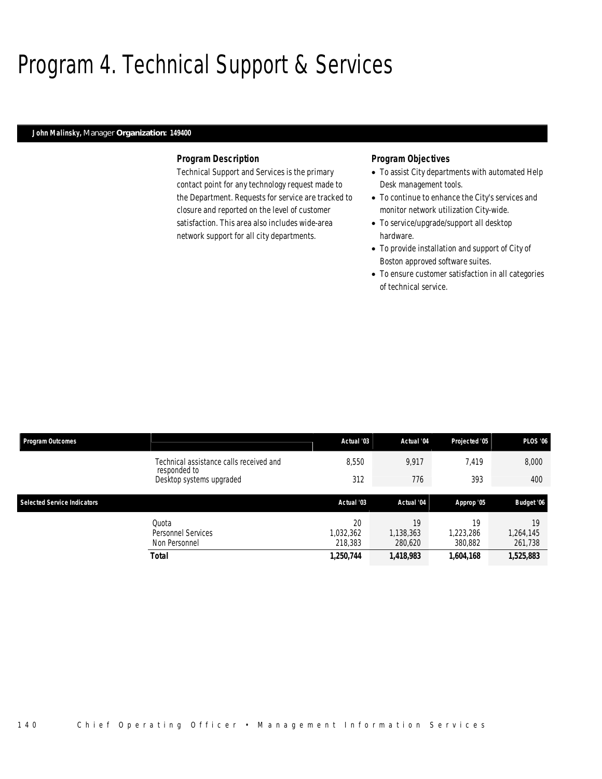## Program 4. Technical Support & Services

#### *John Malinsky, Manager Organization: 149400*

#### *Program Description*

Technical Support and Services is the primary contact point for any technology request made to the Department. Requests for service are tracked to closure and reported on the level of customer satisfaction. This area also includes wide-area network support for all city departments.

- To assist City departments with automated Help Desk management tools.
- To continue to enhance the City's services and monitor network utilization City-wide.
- To service/upgrade/support all desktop hardware.
- To provide installation and support of City of Boston approved software suites.
- To ensure customer satisfaction in all categories of technical service.

| Program Outcomes                   |                                                         | Actual '03                 | Actual '04                 | Projected '05              | <b>PLOS '06</b>            |
|------------------------------------|---------------------------------------------------------|----------------------------|----------------------------|----------------------------|----------------------------|
|                                    | Technical assistance calls received and<br>responded to | 8,550                      | 9,917                      | 7,419                      | 8,000                      |
|                                    | Desktop systems upgraded                                | 312                        | 776                        | 393                        | 400                        |
| <b>Selected Service Indicators</b> |                                                         | Actual '03                 | Actual '04                 | Approp '05                 | Budget '06                 |
|                                    | Ouota<br>Personnel Services<br>Non Personnel            | 20<br>1,032,362<br>218,383 | 19<br>1,138,363<br>280,620 | 19<br>1,223,286<br>380,882 | 19<br>1,264,145<br>261,738 |
|                                    | <b>Total</b>                                            | 1,250,744                  | 1,418,983                  | 1,604,168                  | 1,525,883                  |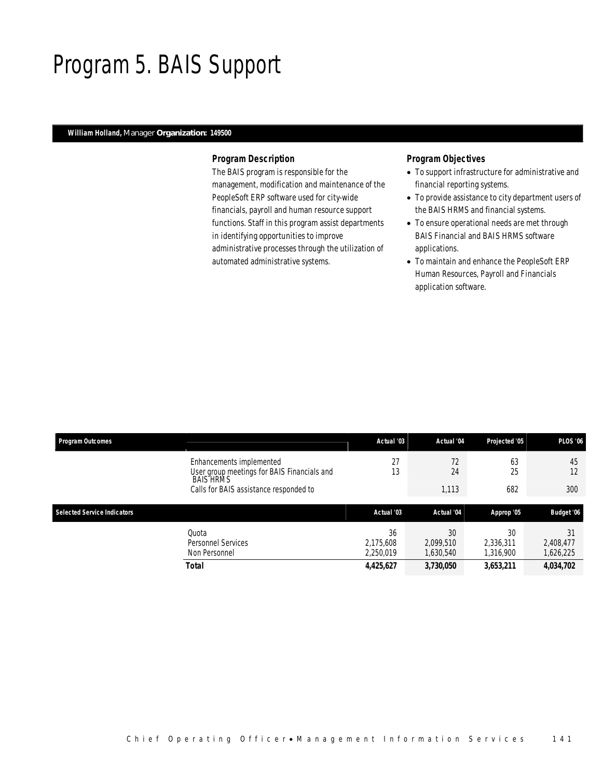## Program 5. BAIS Support

## *William Holland, Manager Organization: 149500*

### *Program Description*

The BAIS program is responsible for the management, modification and maintenance of the PeopleSoft ERP software used for city-wide financials, payroll and human resource support functions. Staff in this program assist departments in identifying opportunities to improve administrative processes through the utilization of automated administrative systems.

- To support infrastructure for administrative and financial reporting systems.
- To provide assistance to city department users of the BAIS HRMS and financial systems.
- To ensure operational needs are met through BAIS Financial and BAIS HRMS software applications.
- To maintain and enhance the PeopleSoft ERP Human Resources, Payroll and Financials application software.

| <b>Program Outcomes</b>            |                                                                                      | Actual '03                   | Actual '04                   | Projected '05                | <b>PLOS '06</b>              |
|------------------------------------|--------------------------------------------------------------------------------------|------------------------------|------------------------------|------------------------------|------------------------------|
|                                    | Enhancements implemented<br>User group meetings for BAIS Financials and<br>BAIS HRMS | 27<br>13                     | 72<br>24                     | 63<br>25                     | 45<br>12                     |
|                                    | Calls for BAIS assistance responded to                                               |                              | 1,113                        | 682                          | 300                          |
|                                    |                                                                                      |                              |                              |                              |                              |
| <b>Selected Service Indicators</b> |                                                                                      | Actual '03                   | Actual '04                   | Approp '05                   | Budget '06                   |
|                                    | Ouota<br>Personnel Services<br>Non Personnel                                         | 36<br>2,175,608<br>2,250,019 | 30<br>2,099,510<br>1,630,540 | 30<br>2,336,311<br>1,316,900 | 31<br>2,408,477<br>1,626,225 |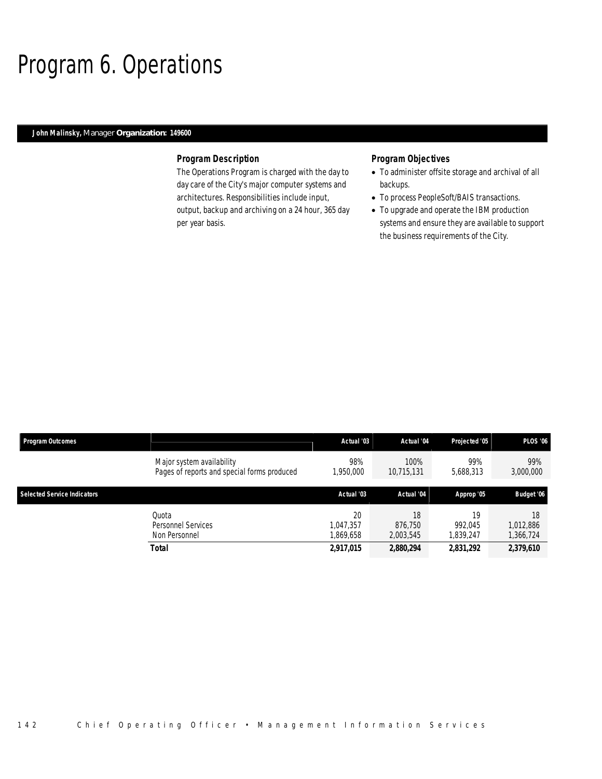## Program 6. Operations

## *John Malinsky, Manager Organization: 149600*

#### *Program Description*

The Operations Program is charged with the day to day care of the City's major computer systems and architectures. Responsibilities include input, output, backup and archiving on a 24 hour, 365 day per year basis.

- To administer offsite storage and archival of all backups.
- To process PeopleSoft/BAIS transactions.
- To upgrade and operate the IBM production systems and ensure they are available to support the business requirements of the City.

| <b>Program Outcomes</b>            |                                                                          | Actual '03                 | Actual '04                 | Projected '05              | <b>PLOS '06</b>              |
|------------------------------------|--------------------------------------------------------------------------|----------------------------|----------------------------|----------------------------|------------------------------|
|                                    | Major system availability<br>Pages of reports and special forms produced | 98%<br>1.950.000           | 100%<br>10,715,131         | 99%<br>5,688,313           | 99%<br>3,000,000             |
| <b>Selected Service Indicators</b> |                                                                          | Actual '03                 | Actual '04                 | Approp '05                 | Budget '06                   |
|                                    | Ouota<br>Personnel Services<br>Non Personnel                             | 20<br>1.047.357<br>869,658 | 18<br>876.750<br>2,003,545 | 19<br>992.045<br>1.839.247 | 18<br>1,012,886<br>1,366,724 |
|                                    | <b>Total</b>                                                             | 2,917,015                  | 2,880,294                  | 2,831,292                  | 2,379,610                    |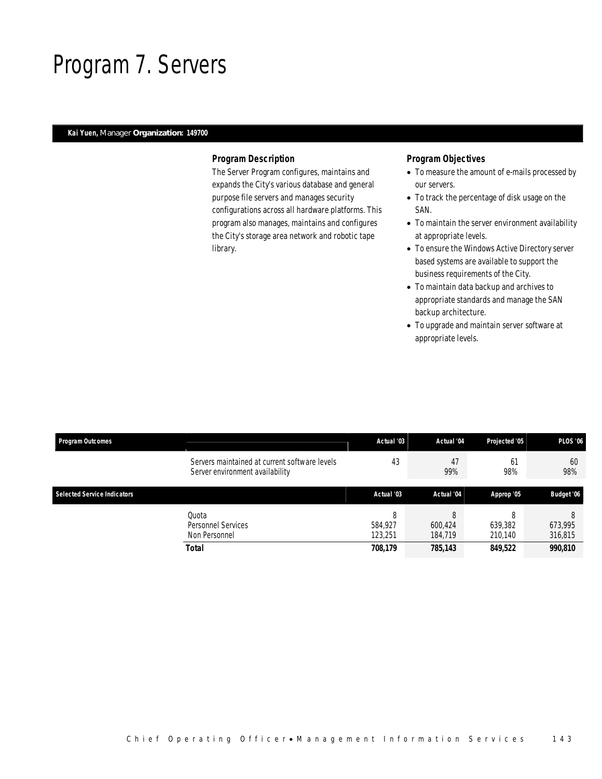## Program 7. Servers

#### *Kai Yuen, Manager Organization: 149700*

#### *Program Description*

The Server Program configures, maintains and expands the City's various database and general purpose file servers and manages security configurations across all hardware platforms. This program also manages, maintains and configures the City's storage area network and robotic tape library.

- To measure the amount of e-mails processed by our servers.
- To track the percentage of disk usage on the SAN.
- To maintain the server environment availability at appropriate levels.
- To ensure the Windows Active Directory server based systems are available to support the business requirements of the City.
- To maintain data backup and archives to appropriate standards and manage the SAN backup architecture.
- To upgrade and maintain server software at appropriate levels.

| Program Outcomes                   |                                                                                  | Actual '03              | Actual '04              | Projected '05      | <b>PLOS '06</b>         |
|------------------------------------|----------------------------------------------------------------------------------|-------------------------|-------------------------|--------------------|-------------------------|
|                                    | Servers maintained at current software levels<br>Server environment availability | 43                      | 47<br>99%               | 61<br>98%          | 60<br>98%               |
| <b>Selected Service Indicators</b> |                                                                                  | Actual '03              | Actual '04              | Approp '05         | Budget '06              |
|                                    | Quota<br>Personnel Services<br>Non Personnel                                     | 8<br>584.927<br>123.251 | 8<br>600.424<br>184,719 | 639.382<br>210,140 | 8<br>673.995<br>316,815 |
|                                    | <b>Total</b>                                                                     | 708,179                 | 785,143                 | 849,522            | 990,810                 |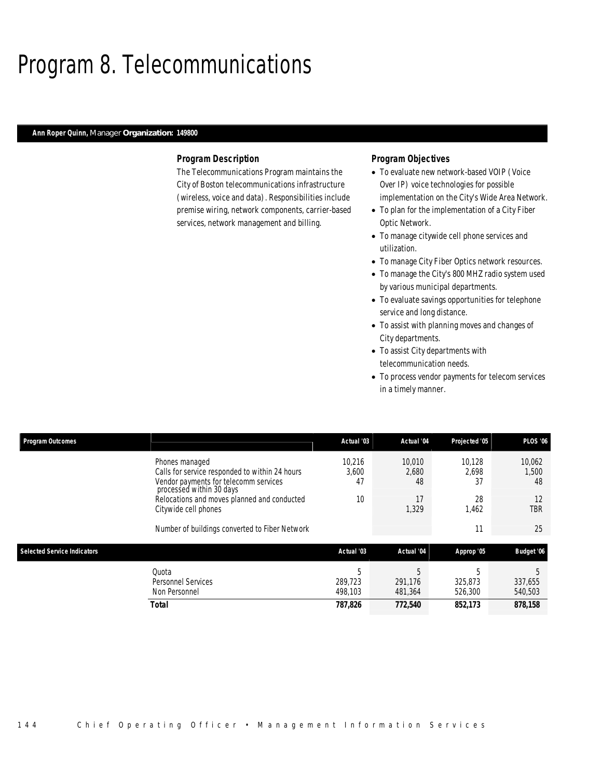## Program 8. Telecommunications

#### *Ann Roper Quinn, Manager Organization: 149800*

#### *Program Description*

The Telecommunications Program maintains the City of Boston telecommunications infrastructure (wireless, voice and data). Responsibilities include premise wiring, network components, carrier-based services, network management and billing.

- To evaluate new network-based VOIP (Voice Over IP) voice technologies for possible implementation on the City's Wide Area Network.
- To plan for the implementation of a City Fiber Optic Network.
- To manage citywide cell phone services and utilization.
- To manage City Fiber Optics network resources.
- To manage the City's 800 MHZ radio system used by various municipal departments.
- To evaluate savings opportunities for telephone service and long distance.
- To assist with planning moves and changes of City departments.
- To assist City departments with telecommunication needs.
- To process vendor payments for telecom services in a timely manner.

| <b>Program Outcomes</b>            |                                                                                                                                       | Actual '03              | Actual '04              | Projected '05           | <b>PLOS '06</b>         |
|------------------------------------|---------------------------------------------------------------------------------------------------------------------------------------|-------------------------|-------------------------|-------------------------|-------------------------|
|                                    | Phones managed<br>Calls for service responded to within 24 hours<br>Vendor payments for telecomm services<br>processed within 30 days | 10,216<br>3,600<br>47   | 10,010<br>2,680<br>48   | 10,128<br>2,698<br>37   | 10,062<br>1,500<br>48   |
|                                    | Relocations and moves planned and conducted<br>Citywide cell phones                                                                   | 10                      | 17<br>1,329             | 28<br>1,462             | 12<br>TBR               |
|                                    | Number of buildings converted to Fiber Network                                                                                        |                         |                         |                         | 25                      |
| <b>Selected Service Indicators</b> |                                                                                                                                       | Actual '03              | Actual '04              | Approp '05              | Budget '06              |
|                                    | Quota<br><b>Personnel Services</b><br>Non Personnel                                                                                   | 5<br>289.723<br>498,103 | 5<br>291,176<br>481.364 | 5<br>325,873<br>526,300 | 5<br>337,655<br>540,503 |
|                                    | <b>Total</b>                                                                                                                          | 787,826                 | 772,540                 | 852.173                 | 878,158                 |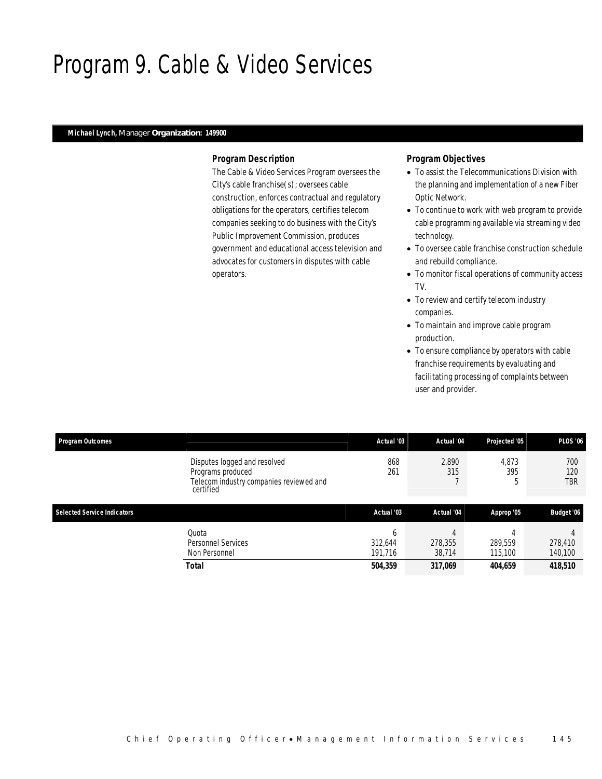## Program 9. Cable & Video Services

#### *Michael Lynch, Manager Organization: 149900*

#### *Program Description*

The Cable & Video Services Program oversees the City's cable franchise(s); oversees cable construction, enforces contractual and regulatory obligations for the operators, certifies telecom companies seeking to do business with the City's Public Improvement Commission, produces government and educational access television and advocates for customers in disputes with cable operators.

- To assist the Telecommunications Division with the planning and implementation of a new Fiber Optic Network.
- To continue to work with web program to provide cable programming available via streaming video technology.
- To oversee cable franchise construction schedule and rebuild compliance.
- To monitor fiscal operations of community access TV.
- To review and certify telecom industry companies.
- To maintain and improve cable program production.
- To ensure compliance by operators with cable franchise requirements by evaluating and facilitating processing of complaints between user and provider.

| <b>Program Outcomes</b>            |                                                                                                           | Actual '03                         | Actual '04        | Projected '05           | <b>PLOS '06</b>    |
|------------------------------------|-----------------------------------------------------------------------------------------------------------|------------------------------------|-------------------|-------------------------|--------------------|
|                                    | Disputes logged and resolved<br>Programs produced<br>Telecom industry companies reviewed and<br>certified | 868<br>261                         | 2,890<br>315      | 4,873<br>395<br>b       | 700<br>120<br>TBR  |
| <b>Selected Service Indicators</b> |                                                                                                           | Actual '03                         | Actual '04        | Approp '05              | Budget '06         |
|                                    | Quota<br>Personnel Services<br>Non Personnel                                                              | <sub>n</sub><br>312.644<br>191.716 | 278,355<br>38,714 | Д<br>289.559<br>115,100 | 278,410<br>140,100 |
|                                    | <b>Total</b>                                                                                              | 504,359                            | 317,069           | 404,659                 | 418,510            |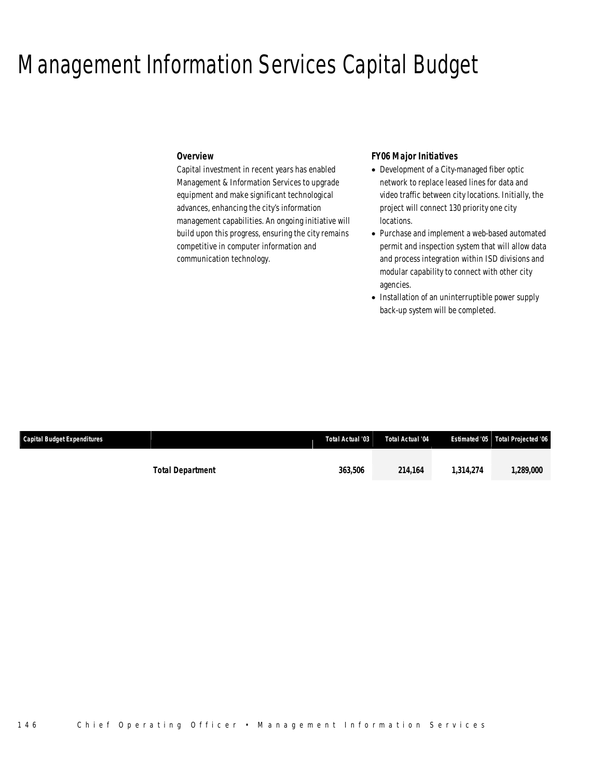## Management Information Services Capital Budget

## *Overview*

Capital investment in recent years has enabled Management & Information Services to upgrade equipment and make significant technological advances, enhancing the city's information management capabilities. An ongoing initiative will build upon this progress, ensuring the city remains competitive in computer information and communication technology.

### *FY06 Major Initiatives*

- Development of a City-managed fiber optic network to replace leased lines for data and video traffic between city locations. Initially, the project will connect 130 priority one city locations.
- Purchase and implement a web-based automated permit and inspection system that will allow data and process integration within ISD divisions and modular capability to connect with other city agencies.
- Installation of an uninterruptible power supply back-up system will be completed.

| <b>Capital Budget Expenditures</b> |                         | Total Actual '03 | Total Actual '04 |           | <b>Estimated '05 Total Projected '06</b> |
|------------------------------------|-------------------------|------------------|------------------|-----------|------------------------------------------|
|                                    |                         |                  |                  |           |                                          |
|                                    | <b>Total Department</b> | 363,506          | 214.164          | 1,314,274 | 1,289,000                                |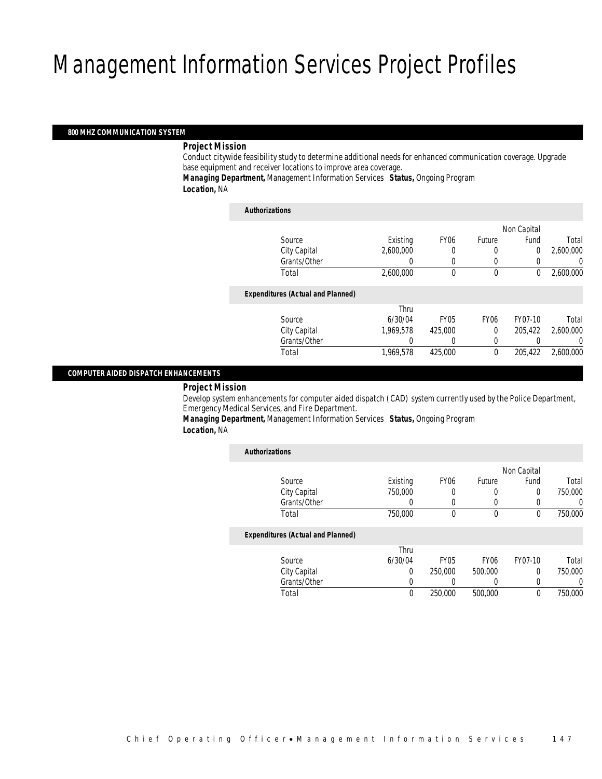#### *800 MHZ COMMUNICATION SYSTEM*

#### *Project Mission*

Conduct citywide feasibility study to determine additional needs for enhanced communication coverage. Upgrade base equipment and receiver locations to improve area coverage.

*Managing Department,* Management Information Services *Status,* Ongoing Program *Location,* NA

| <b>ושו, ושו</b> |  |  |
|-----------------|--|--|
|                 |  |  |

| <b>Authorizations</b>                    |           |             |                  |             |           |
|------------------------------------------|-----------|-------------|------------------|-------------|-----------|
|                                          |           |             |                  | Non Capital |           |
| Source                                   | Existing  | <b>FY06</b> | Future           | Fund        | Total     |
| City Capital                             | 2,600,000 | 0           | 0                | 0           | 2,600,000 |
| Grants/Other                             |           | 0           | 0                |             | 0         |
| Total                                    | 2,600,000 | 0           | $\mathbf 0$      | 0           | 2,600,000 |
| <b>Expenditures (Actual and Planned)</b> |           |             |                  |             |           |
|                                          | Thru      |             |                  |             |           |
| Source                                   | 6/30/04   | <b>FY05</b> | FY <sub>06</sub> | FY07-10     | Total     |
| City Capital                             | 1.969.578 | 425,000     | $\Omega$         | 205.422     | 2,600,000 |
| Grants/Other                             |           |             | 0                |             | 0         |
| Total                                    | 1.969.578 | 425,000     | 0                | 205,422     | 2.600.000 |
|                                          |           |             |                  |             |           |

#### *COMPUTER AIDED DISPATCH ENHANCEMENTS*

#### *Project Mission*

Develop system enhancements for computer aided dispatch (CAD) system currently used by the Police Department, Emergency Medical Services, and Fire Department.

*Managing Department,* Management Information Services *Status,* Ongoing Program

*Location,* NA

| <b>Authorizations</b>                    |          |                  |                  |             |         |
|------------------------------------------|----------|------------------|------------------|-------------|---------|
|                                          |          |                  |                  | Non Capital |         |
| Source                                   | Existing | <b>FY06</b>      | Future           | Fund        | Total   |
| City Capital                             | 750,000  | 0                | 0                | 0           | 750,000 |
| Grants/Other                             | 0        | 0                | 0                |             | 0       |
| Total                                    | 750,000  | 0                | $\theta$         | 0           | 750,000 |
| <b>Expenditures (Actual and Planned)</b> |          |                  |                  |             |         |
|                                          | Thru     |                  |                  |             |         |
| Source                                   | 6/30/04  | FY <sub>05</sub> | FY <sub>06</sub> | FY07-10     | Total   |
| City Capital                             | 0        | 250,000          | 500,000          | 0           | 750,000 |
| Grants/Other                             | 0        |                  | 0                | 0           | 0       |
| Total                                    | 0        | 250,000          | 500,000          | 0           | 750,000 |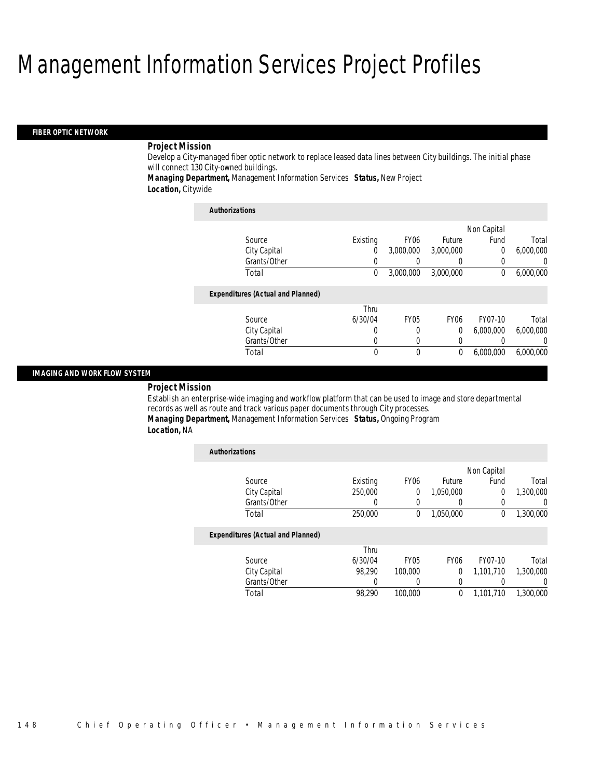#### *FIBER OPTIC NETWORK*

## *Project Mission*

Develop a City-managed fiber optic network to replace leased data lines between City buildings. The initial phase will connect 130 City-owned buildings.

*Managing Department,* Management Information Services *Status,* New Project *Location,* Citywide

| <b>Authorizations</b>                    |          |                  |              |             |                |
|------------------------------------------|----------|------------------|--------------|-------------|----------------|
|                                          |          |                  |              | Non Capital |                |
| Source                                   | Existing | FY <sub>06</sub> | Future       | Fund        | Total          |
| City Capital                             | 0        | 3,000,000        | 3,000,000    | 0           | 6,000,000      |
| Grants/Other                             | 0        |                  |              |             | $\overline{0}$ |
| Total                                    | 0        | 3,000,000        | 3,000,000    | $\Omega$    | 6,000,000      |
| <b>Expenditures (Actual and Planned)</b> |          |                  |              |             |                |
|                                          | Thru     |                  |              |             |                |
| Source                                   | 6/30/04  | <b>FY05</b>      | <b>FY06</b>  | FY07-10     | Total          |
| City Capital                             | 0        | 0                | $\theta$     | 6,000,000   | 6.000.000      |
| Grants/Other                             | 0        | 0                | $\left($     |             | $\Omega$       |
| Total                                    | 0        | $\theta$         | $\mathbf{0}$ | 6,000,000   | 6.000.000      |

#### *IMAGING AND WORK FLOW SYSTEM*

*Project Mission* 

Establish an enterprise-wide imaging and workflow platform that can be used to image and store departmental records as well as route and track various paper documents through City processes.

*Managing Department,* Management Information Services *Status,* Ongoing Program

#### *Location,* NA

| <b>Authorizations</b> |                                          |          |                  |                  |             |           |
|-----------------------|------------------------------------------|----------|------------------|------------------|-------------|-----------|
|                       |                                          |          |                  |                  | Non Capital |           |
| Source                |                                          | Existing | FY <sub>06</sub> | <b>Future</b>    | Fund        | Total     |
|                       | City Capital                             | 250,000  | $\theta$         | 1.050.000        | 0           | 1.300.000 |
|                       | Grants/Other                             | 0        | $\Omega$         | $\left($         | 0           | U         |
| Total                 |                                          | 250,000  | $\theta$         | 1,050,000        | 0           | 1,300,000 |
|                       | <b>Expenditures (Actual and Planned)</b> |          |                  |                  |             |           |
|                       |                                          | Thru     |                  |                  |             |           |
| Source                |                                          | 6/30/04  | <b>FY05</b>      | FY <sub>06</sub> | FY07-10     | Total     |
|                       | City Capital                             | 98.290   | 100,000          | $\Omega$         | 1.101.710   | 1.300.000 |
|                       | Grants/Other                             | 0        |                  | 0                |             | 0         |
| Total                 |                                          | 98.290   | 100,000          | 0                | 1.101.710   | 1.300.000 |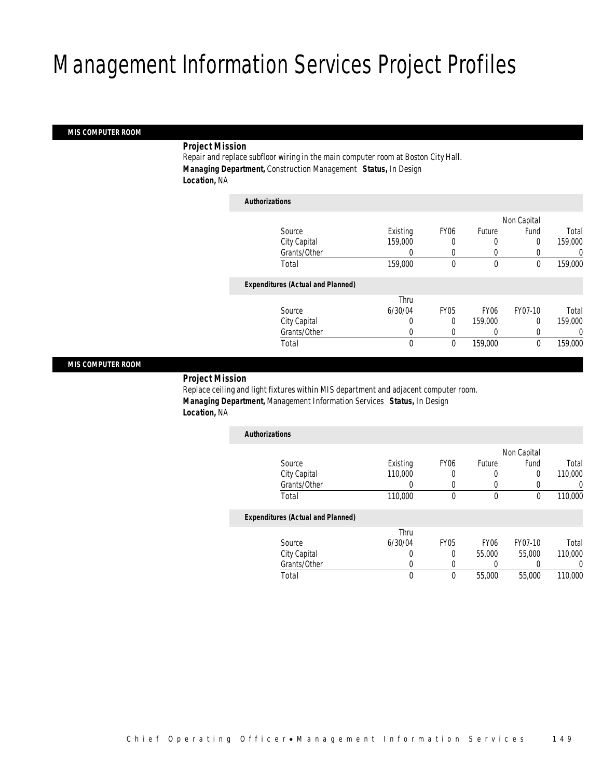#### *MIS COMPUTER ROOM*

#### *Project Mission*

Repair and replace subfloor wiring in the main computer room at Boston City Hall. *Managing Department,* Construction Management *Status,* In Design *Location,* NA

| <b>Authorizations</b>                    |          |                  |                  | Non Capital |         |
|------------------------------------------|----------|------------------|------------------|-------------|---------|
| Source                                   | Existing | FY <sub>06</sub> | Future           | Fund        | Total   |
| City Capital                             | 159,000  | 0                | 0                | 0           | 159,000 |
| Grants/Other                             | 0        | 0                | 0                |             |         |
| Total                                    | 159,000  | 0                | $\mathbf 0$      | $\mathbf 0$ | 159,000 |
| <b>Expenditures (Actual and Planned)</b> |          |                  |                  |             |         |
|                                          | Thru     |                  |                  |             |         |
| Source                                   | 6/30/04  | FY05             | FY <sub>06</sub> | FY07-10     | Total   |
| City Capital                             | 0        | $\Omega$         | 159,000          | $\Omega$    | 159,000 |
| Grants/Other                             | 0        | 0                | 0                | $\Omega$    |         |
| Total                                    | 0        | 0                | 159,000          | $\mathbf 0$ | 159,000 |

#### *MIS COMPUTER ROOM*

#### *Project Mission*

Replace ceiling and light fixtures within MIS department and adjacent computer room. *Managing Department,* Management Information Services *Status,* In Design *Location,* NA

| <b>Authorizations</b>                    |          |                  |                  |             |         |
|------------------------------------------|----------|------------------|------------------|-------------|---------|
|                                          |          |                  |                  | Non Capital |         |
| Source                                   | Existing | FY <sub>06</sub> | Future           | Fund        | Total   |
| City Capital                             | 110,000  | 0                | 0                | 0           | 110,000 |
| Grants/Other                             | 0        |                  | $\left($         | 0           |         |
| Total                                    | 110,000  | 0                | $\theta$         | 0           | 110,000 |
| <b>Expenditures (Actual and Planned)</b> |          |                  |                  |             |         |
|                                          | Thru     |                  |                  |             |         |
| Source                                   | 6/30/04  | FY <sub>05</sub> | FY <sub>06</sub> | FY07-10     | Total   |
| City Capital                             | 0        | $\Omega$         | 55,000           | 55,000      | 110,000 |
| Grants/Other                             |          |                  |                  | 0           | 0       |

Total 0 0 55,000 55,000 110,000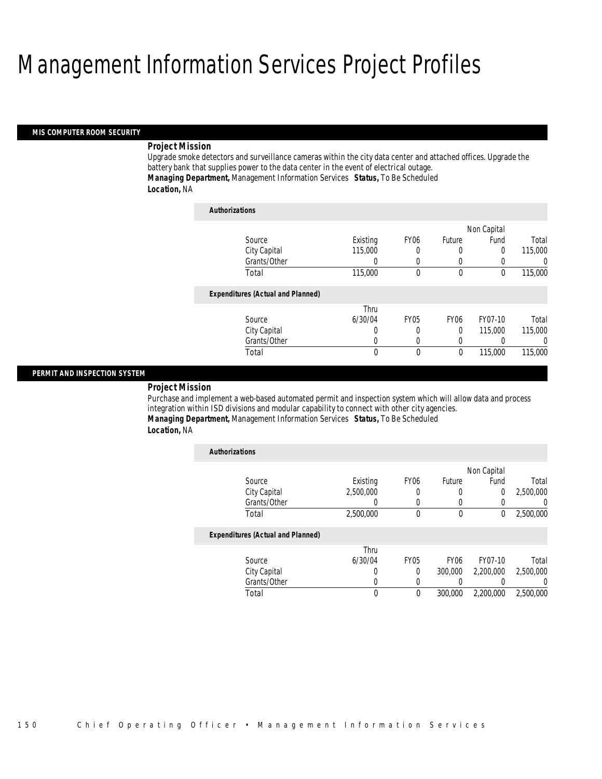#### *MIS COMPUTER ROOM SECURITY*

#### *Project Mission*

Upgrade smoke detectors and surveillance cameras within the city data center and attached offices. Upgrade the battery bank that supplies power to the data center in the event of electrical outage. *Managing Department,* Management Information Services *Status,* To Be Scheduled *Location,* NA

| <b>Authorizations</b>                    |          |                  |             |             |          |
|------------------------------------------|----------|------------------|-------------|-------------|----------|
|                                          |          |                  |             | Non Capital |          |
| Source                                   | Existing | FY <sub>06</sub> | Future      | Fund        | Total    |
| City Capital                             | 115,000  | 0                | $\left($    | 0           | 115,000  |
| Grants/Other                             | 0        | $\left($         | 0           |             | $\left($ |
| Total                                    | 115,000  | 0                | $\theta$    | $\Omega$    | 115,000  |
| <b>Expenditures (Actual and Planned)</b> |          |                  |             |             |          |
|                                          | Thru     |                  |             |             |          |
| Source                                   | 6/30/04  | <b>FY05</b>      | <b>FY06</b> | FY07-10     | Total    |
| City Capital                             | 0        | 0                | $\theta$    | 115,000     | 115,000  |
| Grants/Other                             | 0        | 0                | 0           |             | $\Omega$ |
| Total                                    | 0        | $\theta$         | $\theta$    | 115,000     | 115,000  |

#### *PERMIT AND INSPECTION SYSTEM*

*Project Mission* 

Purchase and implement a web-based automated permit and inspection system which will allow data and process integration within ISD divisions and modular capability to connect with other city agencies. *Managing Department,* Management Information Services *Status,* To Be Scheduled

#### *Location,* NA

| <b>Authorizations</b>                    |           |             |                  |             |                  |
|------------------------------------------|-----------|-------------|------------------|-------------|------------------|
|                                          |           |             |                  | Non Capital |                  |
| Source                                   | Existing  | <b>FY06</b> | Future           | Fund        | Total            |
| City Capital                             | 2.500.000 |             | 0                | 0           | 2.500.000        |
| Grants/Other                             | 0         |             | 0                | 0           | $\left( \right)$ |
| Total                                    | 2,500,000 | $\theta$    | $\theta$         | 0           | 2,500,000        |
| <b>Expenditures (Actual and Planned)</b> |           |             |                  |             |                  |
|                                          | Thru      |             |                  |             |                  |
| Source                                   | 6/30/04   | <b>FY05</b> | FY <sub>06</sub> | FY07-10     | Total            |
| City Capital                             | 0         | $\Omega$    | 300,000          | 2,200,000   | 2,500,000        |
| Grants/Other                             | U         |             |                  |             | 0                |
| Total                                    | 0         | $\theta$    | 300,000          | 2.200.000   | 2.500.000        |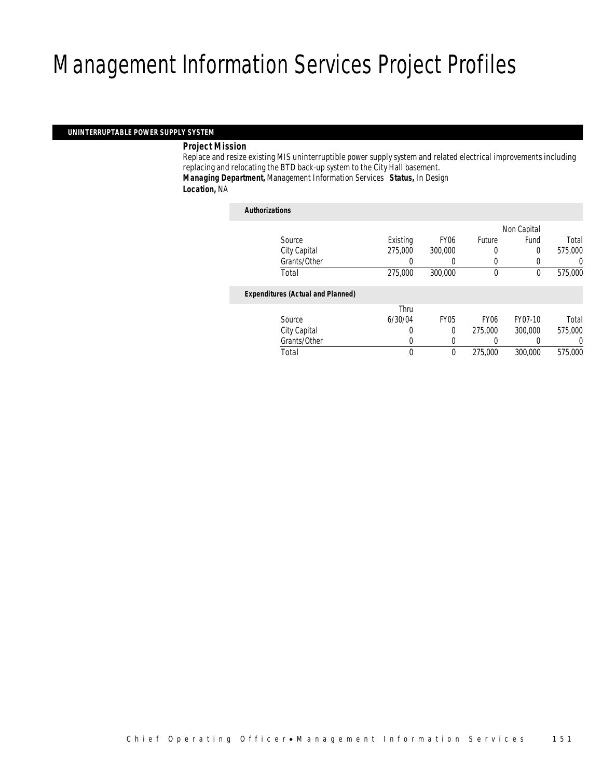#### *UNINTERRUPTABLE POWER SUPPLY SYSTEM*

*Project Mission* 

Replace and resize existing MIS uninterruptible power supply system and related electrical improvements including replacing and relocating the BTD back-up system to the City Hall basement. *Managing Department,* Management Information Services *Status,* In Design *Location,* NA

### *Authorizations* Source Existing FY06 Future Non Capital Fund Total<br>0 575,000 City Capital 275,000 300,000 0 0<br>
Grants/Other 0 0 0 0 0 Grants/Other 0 0 0 0 0 0 Total 275,000 300,000 0 0 575,000*Expenditures (Actual and Planned)* Source Thru 6/30/04 FY05 FY06 FY07-10 Total City Capital 0 0 275,000 300,000 575,000 Grants/Other 0 0 0 0 0 0 Total 0 0 275,000 300,000 575,000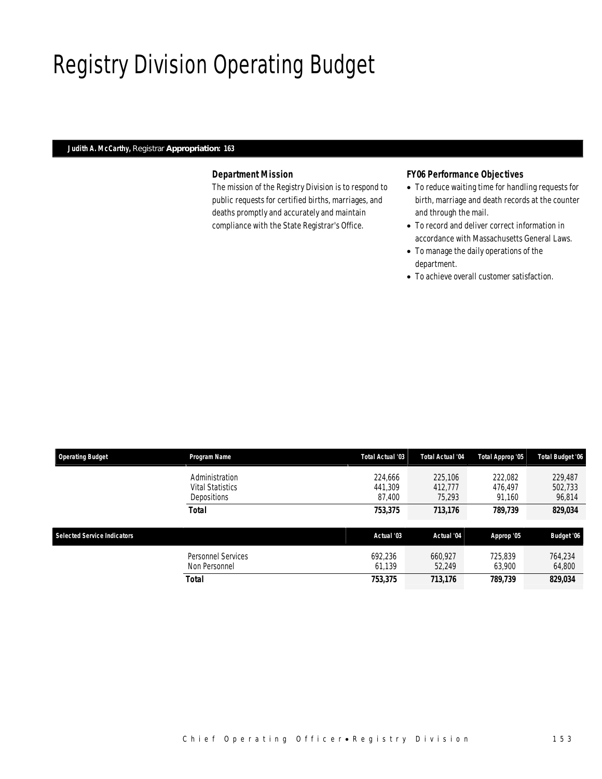# Registry Division Operating Budget

## *Judith A. McCarthy, Registrar Appropriation: 163*

## *Department Mission*

The mission of the Registry Division is to respond to public requests for certified births, marriages, and deaths promptly and accurately and maintain compliance with the State Registrar's Office.

### *FY06 Performance Objectives*

- To reduce waiting time for handling requests for birth, marriage and death records at the counter and through the mail.
- To record and deliver correct information in accordance with Massachusetts General Laws.
- To manage the daily operations of the department.
- To achieve overall customer satisfaction.

| <b>Operating Budget</b>            | Program Name                                                    | Total Actual '03             | <b>Total Actual '04</b>      | Total Approp '05             | <b>Total Budget '06</b>      |
|------------------------------------|-----------------------------------------------------------------|------------------------------|------------------------------|------------------------------|------------------------------|
|                                    | Administration<br><b>Vital Statistics</b><br><b>Depositions</b> | 224,666<br>441.309<br>87.400 | 225,106<br>412.777<br>75,293 | 222,082<br>476,497<br>91.160 | 229,487<br>502,733<br>96,814 |
|                                    | Total                                                           | 753,375                      | 713,176                      | 789,739                      | 829,034                      |
| <b>Selected Service Indicators</b> |                                                                 | Actual '03                   | Actual '04                   | Approp '05                   | Budget '06                   |
|                                    |                                                                 |                              |                              |                              |                              |
|                                    | Personnel Services<br>Non Personnel                             | 692.236<br>61,139            | 660.927<br>52,249            | 725.839<br>63,900            | 764.234<br>64,800            |
|                                    | Total                                                           | 753,375                      | 713,176                      | 789,739                      | 829,034                      |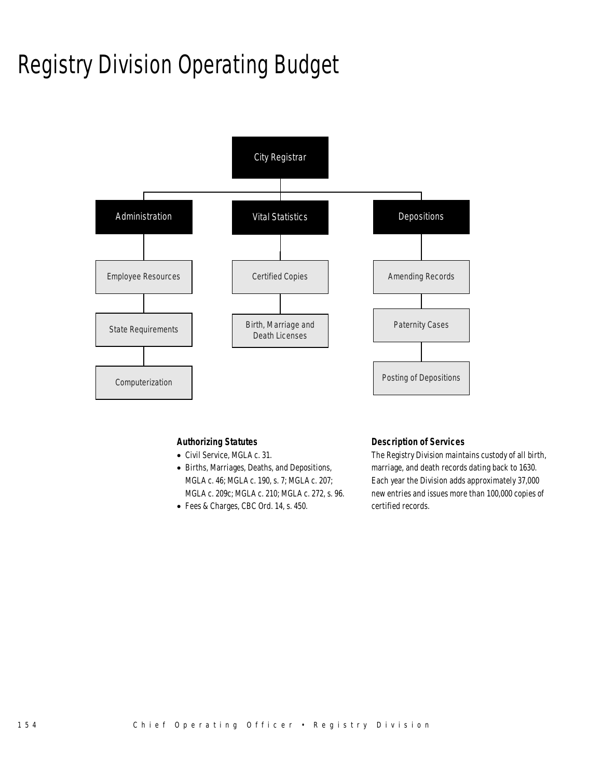# Registry Division Operating Budget



## *Authorizing Statutes*

- Civil Service, MGLA c. 31.
- Births, Marriages, Deaths, and Depositions, MGLA c. 46; MGLA c. 190, s. 7; MGLA c. 207; MGLA c. 209c; MGLA c. 210; MGLA c. 272, s. 96.
- Fees & Charges, CBC Ord. 14, s. 450.

#### *Description of Services*

The Registry Division maintains custody of all birth, marriage, and death records dating back to 1630. Each year the Division adds approximately 37,000 new entries and issues more than 100,000 copies of certified records.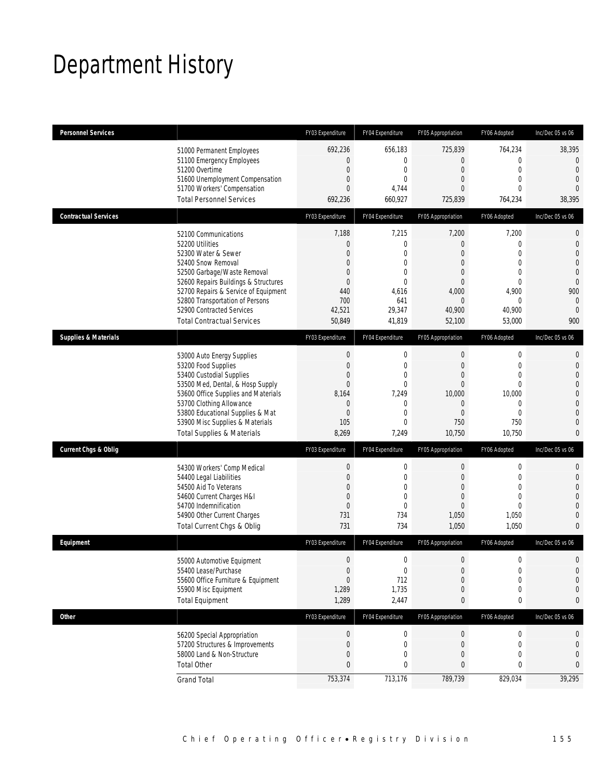# Department History

| <b>Personnel Services</b>       |                                                                                                                                                                                                                                                                                                          | FY03 Expenditure                                                                                                              | FY04 Expenditure                                                                                                           | FY05 Appropriation                                                                                             | FY06 Adopted                                                                                                               | Inc/Dec 05 vs 06                                                                                                                                   |
|---------------------------------|----------------------------------------------------------------------------------------------------------------------------------------------------------------------------------------------------------------------------------------------------------------------------------------------------------|-------------------------------------------------------------------------------------------------------------------------------|----------------------------------------------------------------------------------------------------------------------------|----------------------------------------------------------------------------------------------------------------|----------------------------------------------------------------------------------------------------------------------------|----------------------------------------------------------------------------------------------------------------------------------------------------|
|                                 | 51000 Permanent Employees<br>51100 Emergency Employees<br>51200 Overtime<br>51600 Unemployment Compensation<br>51700 Workers' Compensation<br><b>Total Personnel Services</b>                                                                                                                            | 692,236<br>0<br>$\overline{0}$<br>$\mathbf{0}$<br>$\overline{0}$<br>692,236                                                   | 656,183<br>$\mathbf{0}$<br>$\mathbf{0}$<br>$\mathbf{0}$<br>4,744<br>660,927                                                | 725,839<br>0<br>0<br>$\overline{0}$<br>$\Omega$<br>725,839                                                     | 764,234<br>$\Omega$<br>$\Omega$<br>$\Omega$<br>$\Omega$<br>764,234                                                         | 38,395<br>$\mathbf 0$<br>$\overline{0}$<br>$\mathbf{0}$<br>$\overline{0}$<br>38,395                                                                |
| <b>Contractual Services</b>     |                                                                                                                                                                                                                                                                                                          | FY03 Expenditure                                                                                                              | FY04 Expenditure                                                                                                           | FY05 Appropriation                                                                                             | FY06 Adopted                                                                                                               | Inc/Dec 05 vs 06                                                                                                                                   |
|                                 | 52100 Communications<br>52200 Utilities<br>52300 Water & Sewer<br>52400 Snow Removal<br>52500 Garbage/Waste Removal<br>52600 Repairs Buildings & Structures<br>52700 Repairs & Service of Equipment<br>52800 Transportation of Persons<br>52900 Contracted Services<br><b>Total Contractual Services</b> | 7,188<br>$\mathbf{0}$<br>$\overline{0}$<br>$\mathbf{0}$<br>$\overline{0}$<br>$\overline{0}$<br>440<br>700<br>42,521<br>50,849 | 7,215<br>$\mathbf{0}$<br>$\mathbf{0}$<br>$\mathbf{0}$<br>$\mathbf{0}$<br>$\theta$<br>4,616<br>641<br>29,347<br>41,819      | 7,200<br>0<br>$\overline{0}$<br>0<br>$\overline{0}$<br>$\Omega$<br>4,000<br>0<br>40,900<br>52,100              | 7,200<br>$\overline{0}$<br>$\Omega$<br>$\mathbf{0}$<br>$\overline{0}$<br>$\Omega$<br>4,900<br>$\Omega$<br>40,900<br>53,000 | 0<br>$\mathbf 0$<br>$\boldsymbol{0}$<br>$\mathbf 0$<br>$\mathbf 0$<br>$\mathbf{0}$<br>900<br>$\overline{0}$<br>$\mathbf{0}$<br>900                 |
| <b>Supplies &amp; Materials</b> |                                                                                                                                                                                                                                                                                                          | FY03 Expenditure                                                                                                              | FY04 Expenditure                                                                                                           | FY05 Appropriation                                                                                             | FY06 Adopted                                                                                                               | Inc/Dec 05 vs 06                                                                                                                                   |
|                                 | 53000 Auto Energy Supplies<br>53200 Food Supplies<br>53400 Custodial Supplies<br>53500 Med, Dental, & Hosp Supply<br>53600 Office Supplies and Materials<br>53700 Clothing Allowance<br>53800 Educational Supplies & Mat<br>53900 Misc Supplies & Materials<br><b>Total Supplies &amp; Materials</b>     | $\mathbf 0$<br>$\overline{0}$<br>0<br>$\overline{0}$<br>8,164<br>$\mathbf{0}$<br>$\overline{0}$<br>105<br>8,269               | $\mathbf 0$<br>$\mathbf 0$<br>$\mathbf{0}$<br>$\mathbf 0$<br>7,249<br>$\mathbf{0}$<br>$\mathbf 0$<br>$\mathbf{0}$<br>7,249 | $\mathbf 0$<br>$\mathbf 0$<br>$\overline{0}$<br>$\overline{0}$<br>10,000<br>0<br>$\mathbf{0}$<br>750<br>10,750 | $\mathbf 0$<br>$\mathbf{0}$<br>$\overline{0}$<br>$\overline{0}$<br>10,000<br>$\Omega$<br>$\Omega$<br>750<br>10,750         | $\mathbf 0$<br>$\boldsymbol{0}$<br>$\boldsymbol{0}$<br>$\mathbf 0$<br>$\boldsymbol{0}$<br>$\mathbf{0}$<br>$\mathbf{0}$<br>$\theta$<br>$\mathbf{0}$ |
| <b>Current Chgs &amp; Oblig</b> |                                                                                                                                                                                                                                                                                                          | FY03 Expenditure                                                                                                              | FY04 Expenditure                                                                                                           | FY05 Appropriation                                                                                             | FY06 Adopted                                                                                                               | Inc/Dec 05 vs 06                                                                                                                                   |
|                                 | 54300 Workers' Comp Medical<br>54400 Legal Liabilities<br>54500 Aid To Veterans<br>54600 Current Charges H&I<br>54700 Indemnification<br>54900 Other Current Charges<br>Total Current Chgs & Oblig                                                                                                       | $\mathbf 0$<br>$\overline{0}$<br>$\mathbf{0}$<br>$\mathbf{0}$<br>$\overline{0}$<br>731<br>731                                 | 0<br>$\mathbf 0$<br>$\mathbf{0}$<br>$\mathbf{0}$<br>$\mathbf{0}$<br>734<br>734                                             | $\theta$<br>$\overline{0}$<br>$\overline{0}$<br>0<br>$\Omega$<br>1,050<br>1,050                                | $\mathbf 0$<br>$\overline{0}$<br>0<br>$\Omega$<br>$\Omega$<br>1,050<br>1,050                                               | $\mathbf 0$<br>$\mathbf{0}$<br>$\mathbf{0}$<br>$\mathbf 0$<br>$\theta$<br>$\mathbf 0$<br>$\bf{0}$                                                  |
| Equipment                       |                                                                                                                                                                                                                                                                                                          | FY03 Expenditure                                                                                                              | FY04 Expenditure                                                                                                           | FY05 Appropriation                                                                                             | FY06 Adopted                                                                                                               | Inc/Dec 05 vs 06                                                                                                                                   |
|                                 | 55000 Automotive Equipment<br>55400 Lease/Purchase<br>55600 Office Furniture & Equipment<br>55900 Misc Equipment<br><b>Total Equipment</b>                                                                                                                                                               | $\boldsymbol{0}$<br>$\mathbf{0}$<br>$\overline{0}$<br>1,289<br>1,289                                                          | $\boldsymbol{0}$<br>$\boldsymbol{0}$<br>712<br>1,735<br>2,447                                                              | $\overline{0}$<br>$\mathbf 0$<br>0<br>0<br>0                                                                   | $\boldsymbol{0}$<br>$\mathbf 0$<br>0<br>0<br>0                                                                             | 0<br>0<br>0<br>0<br>$\bf{0}$                                                                                                                       |
| <b>Other</b>                    |                                                                                                                                                                                                                                                                                                          | FY03 Expenditure                                                                                                              | FY04 Expenditure                                                                                                           | FY05 Appropriation                                                                                             | FY06 Adopted                                                                                                               | Inc/Dec 05 vs 06                                                                                                                                   |
|                                 | 56200 Special Appropriation<br>57200 Structures & Improvements<br>58000 Land & Non-Structure<br><b>Total Other</b>                                                                                                                                                                                       | $\boldsymbol{0}$<br>0<br>$\mathbf{0}$<br>0                                                                                    | $\boldsymbol{0}$<br>$\mathbf 0$<br>$\mathbf{0}$<br>0                                                                       | $\theta$<br>$\theta$<br>0<br>0                                                                                 | $\boldsymbol{0}$<br>$\mathbf 0$<br>0<br>0                                                                                  | 0<br>$\boldsymbol{0}$<br>$\mathbf{0}$<br>0                                                                                                         |
|                                 | <b>Grand Total</b>                                                                                                                                                                                                                                                                                       | 753,374                                                                                                                       | 713,176                                                                                                                    | 789,739                                                                                                        | 829,034                                                                                                                    | 39,295                                                                                                                                             |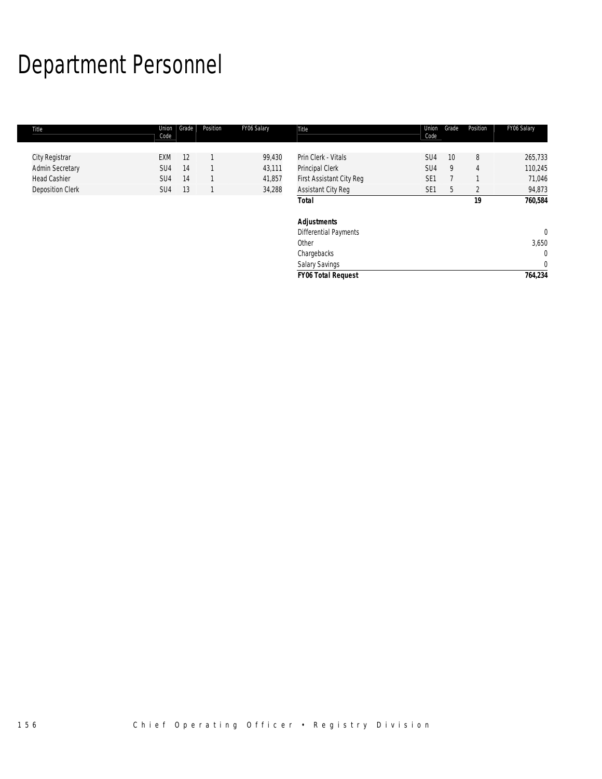# Department Personnel

| Title                                                                                      | Union<br>Code                                    | Grade                | Position | FY06 Salary                          | Title                                                                                           | Union<br>Code                                                            | Grade                     | Position                 | FY06 Salary                                        |
|--------------------------------------------------------------------------------------------|--------------------------------------------------|----------------------|----------|--------------------------------------|-------------------------------------------------------------------------------------------------|--------------------------------------------------------------------------|---------------------------|--------------------------|----------------------------------------------------|
| City Registrar<br><b>Admin Secretary</b><br><b>Head Cashier</b><br><b>Deposition Clerk</b> | EXM<br>SU <sub>4</sub><br>SU <sub>4</sub><br>SU4 | 12<br>14<br>14<br>13 |          | 99,430<br>43,111<br>41,857<br>34,288 | Prin Clerk - Vitals<br>Principal Clerk<br>First Assistant City Reg<br><b>Assistant City Reg</b> | SU <sub>4</sub><br>SU <sub>4</sub><br>SE <sub>1</sub><br>SE <sub>1</sub> | 10 <sup>°</sup><br>9<br>5 | 8<br>$\overline{4}$<br>2 | 265,733<br>110,245<br>71,046<br>94,873             |
|                                                                                            |                                                  |                      |          |                                      | <b>Total</b>                                                                                    |                                                                          |                           | 19                       | 760,584                                            |
|                                                                                            |                                                  |                      |          |                                      | <b>Adjustments</b><br><b>Differential Payments</b><br>Other<br>Chargebacks<br>Salary Savings    |                                                                          |                           |                          | $\mathbf 0$<br>3,650<br>$\mathbf 0$<br>$\mathbf 0$ |
|                                                                                            |                                                  |                      |          |                                      | <b>FY06 Total Request</b>                                                                       |                                                                          |                           |                          | 764,234                                            |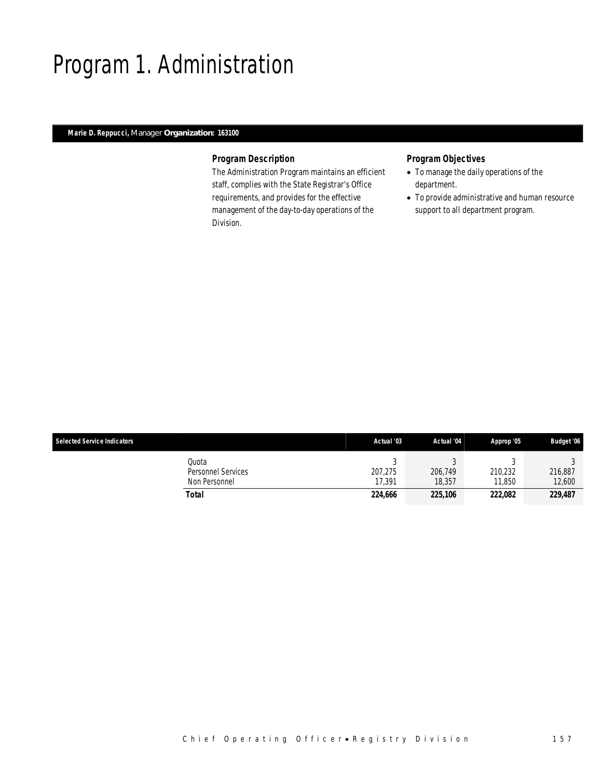## Program 1. Administration

## *Marie D. Reppucci, Manager Organization: 163100*

## *Program Description*

The Administration Program maintains an efficient staff, complies with the State Registrar's Office requirements, and provides for the effective management of the day-to-day operations of the Division.

- To manage the daily operations of the department.
- To provide administrative and human resource support to all department program.

| <b>Selected Service Indicators</b> |                                              | Actual '03        | Actual '04        | Approp '05            | <b>Budget '06</b> |
|------------------------------------|----------------------------------------------|-------------------|-------------------|-----------------------|-------------------|
|                                    | Quota<br>Personnel Services<br>Non Personnel | 207.275<br>17.391 | 206,749<br>18,357 | 210,232<br>11,850     | 216,887<br>12,600 |
|                                    | Total                                        | 224,666           | 225,106           | <i><b>222.082</b></i> | 229,487           |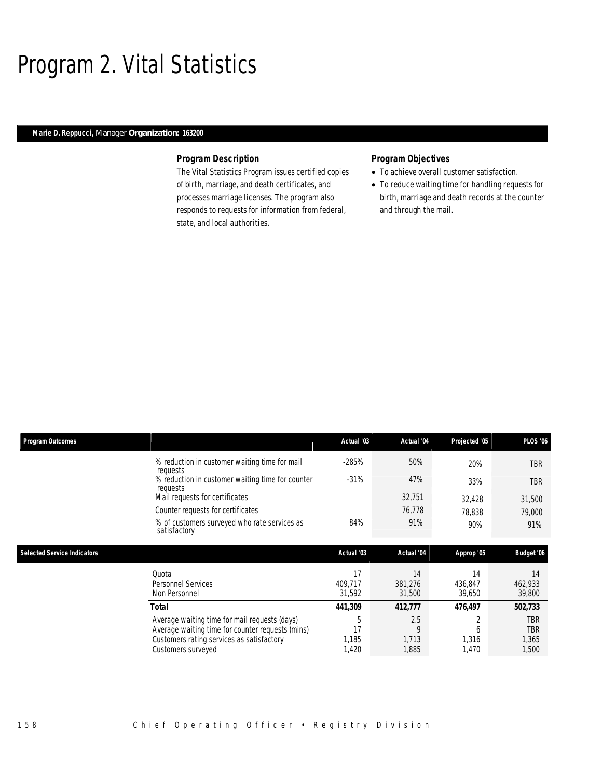## Program 2. Vital Statistics

## *Marie D. Reppucci, Manager Organization: 163200*

#### *Program Description*

The Vital Statistics Program issues certified copies of birth, marriage, and death certificates, and processes marriage licenses. The program also responds to requests for information from federal, state, and local authorities.

- To achieve overall customer satisfaction.
- To reduce waiting time for handling requests for birth, marriage and death records at the counter and through the mail.

| <b>Program Outcomes</b>            |                                                                          | Actual '03 | Actual '04 | Projected '05 | <b>PLOS '06</b> |
|------------------------------------|--------------------------------------------------------------------------|------------|------------|---------------|-----------------|
|                                    | % reduction in customer waiting time for mail                            | $-285%$    | 50%        | 20%           | <b>TBR</b>      |
|                                    | requests<br>% reduction in customer waiting time for counter<br>requests | $-31%$     | 47%        | 33%           | <b>TBR</b>      |
|                                    | Mail requests for certificates                                           |            | 32,751     | 32,428        | 31,500          |
|                                    | Counter requests for certificates                                        |            | 76,778     | 78,838        | 79,000          |
|                                    | % of customers surveyed who rate services as<br>satisfactory             | 84%        | 91%        | 90%           | 91%             |
| <b>Selected Service Indicators</b> |                                                                          | Actual '03 | Actual '04 | Approp '05    | Budget '06      |
|                                    | Quota                                                                    | 17         | 14         | 14            | 14              |
|                                    | <b>Personnel Services</b>                                                | 409,717    | 381,276    | 436,847       | 462,933         |
|                                    | Non Personnel                                                            | 31,592     | 31,500     | 39,650        | 39,800          |
|                                    | Total                                                                    | 441,309    | 412,777    | 476,497       | 502,733         |
|                                    | Average waiting time for mail requests (days)                            | 5          | 2.5        | Ζ             | <b>TBR</b>      |
|                                    | Average waiting time for counter requests (mins)                         | 17         | 9          | 6             | <b>TBR</b>      |
|                                    | Customers rating services as satisfactory                                | 1,185      | 1.713      | 1,316         | 1,365           |
|                                    | Customers surveyed                                                       | 1,420      | 1,885      | 1,470         | 1,500           |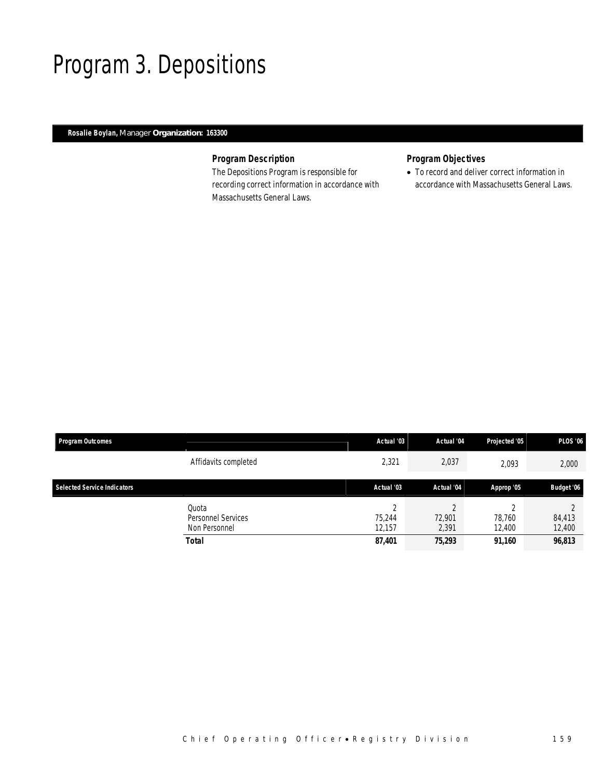## Program 3. Depositions

## *Rosalie Boylan, Manager Organization: 163300*

## *Program Description*

The Depositions Program is responsible for recording correct information in accordance with Massachusetts General Laws.

## *Program Objectives*

• To record and deliver correct information in accordance with Massachusetts General Laws.

| <b>Program Outcomes</b>            |                                                     | Actual '03            | Actual '04                  | Projected '05    | <b>PLOS '06</b>  |
|------------------------------------|-----------------------------------------------------|-----------------------|-----------------------------|------------------|------------------|
|                                    | Affidavits completed                                | 2,321                 | 2,037                       | 2,093            | 2,000            |
| <b>Selected Service Indicators</b> |                                                     | Actual '03            | Actual '04                  | Approp '05       | Budget '06       |
|                                    | Quota<br><b>Personnel Services</b><br>Non Personnel | ി<br>75,244<br>12,157 | $\Omega$<br>72,901<br>2,391 | 78,760<br>12.400 | 84,413<br>12,400 |
|                                    | <b>Total</b>                                        | 87,401                | 75,293                      | 91,160           | 96,813           |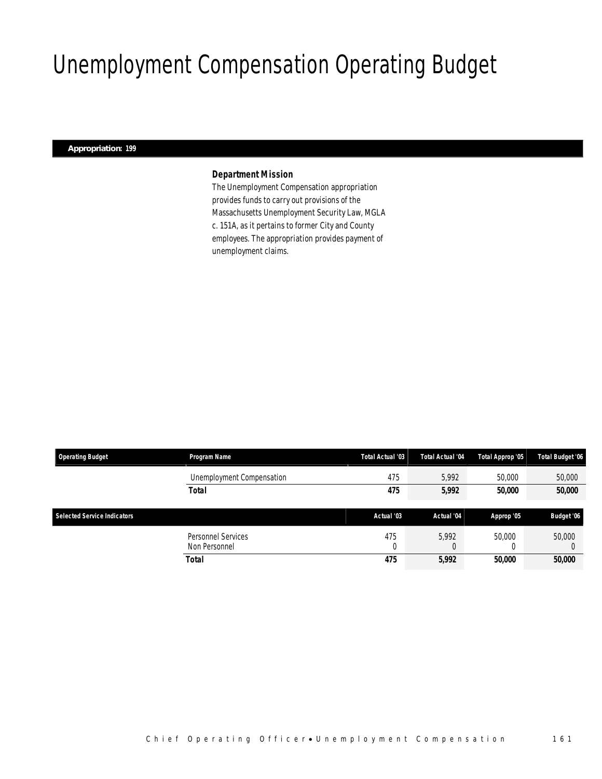# Unemployment Compensation Operating Budget

#### *Appropriation: 199*

## *Department Mission*

The Unemployment Compensation appropriation provides funds to carry out provisions of the Massachusetts Unemployment Security Law, MGLA c. 151A, as it pertains to former City and County employees. The appropriation provides payment of unemployment claims.

| <b>Operating Budget</b>            | Program Name                        | Total Actual '03 | Total Actual '04 | Total Approp '05 | <b>Total Budget '06</b> |
|------------------------------------|-------------------------------------|------------------|------------------|------------------|-------------------------|
|                                    | Unemployment Compensation           | 475              | 5.992            | 50,000           | 50,000                  |
|                                    | <b>Total</b>                        | 475              | 5.992            | 50,000           | 50,000                  |
|                                    |                                     |                  |                  |                  |                         |
| <b>Selected Service Indicators</b> |                                     | Actual '03       | Actual '04       | Approp '05       | Budget '06              |
|                                    | Personnel Services<br>Non Personnel | 475              | 5.992<br>0       | 50,000           | 50,000                  |
|                                    | Total                               | 475              | 5,992            | 50,000           | 50,000                  |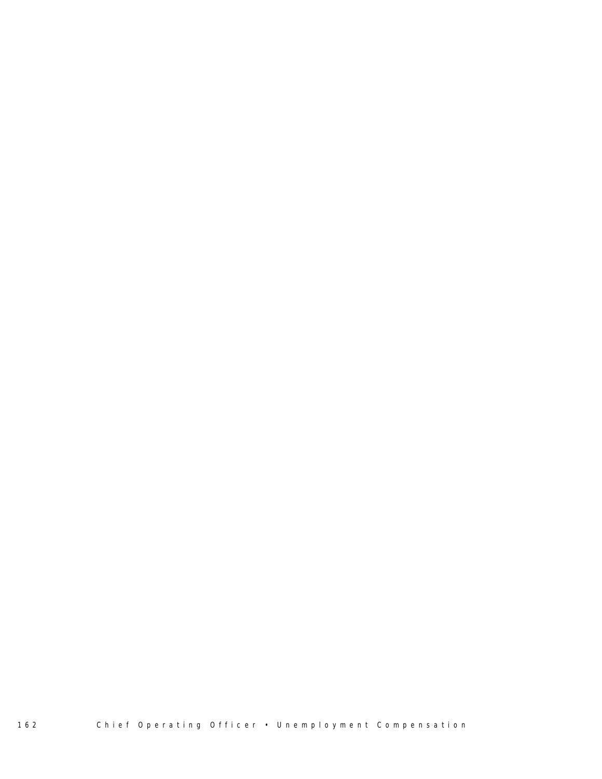162 Chief Operating Officer • Unemployment Compensation